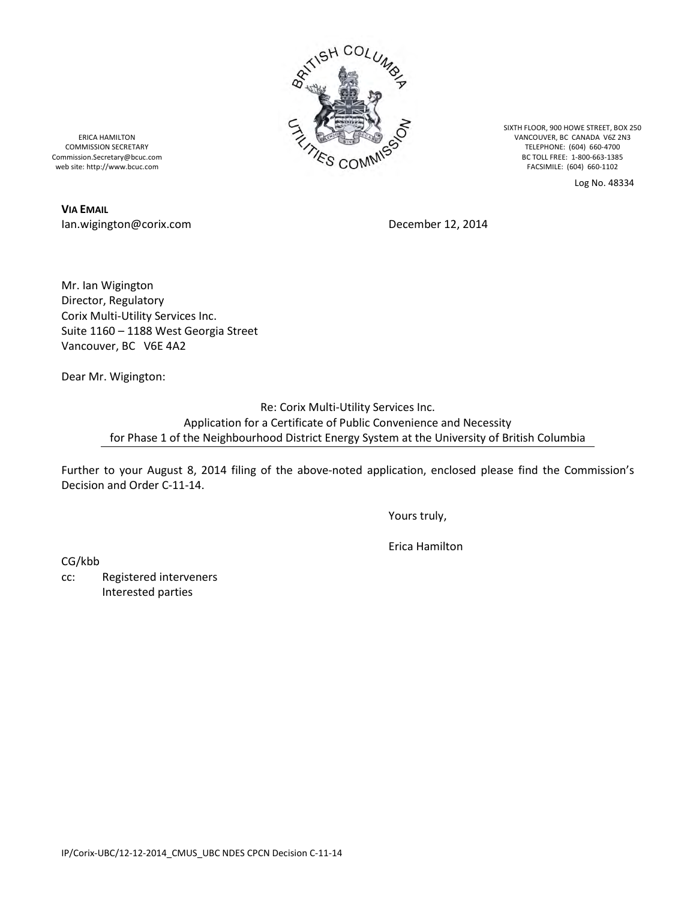

SIXTH FLOOR, 900 HOWE STREET, BOX 250 VANCOUVER, BC CANADA V6Z 2N3 TELEPHONE: (604) 660-4700 BC TOLL FREE: 1-800-663-1385 FACSIMILE: (604) 660-1102

Log No. 48334

ERICA HAMILTON COMMISSION SECRETARY Commission.Secretary@bcuc.com web site: http://www.bcuc.com

**VIA EMAIL** Ian.wigington@corix.com December 12, 2014

Mr. Ian Wigington Director, Regulatory Corix Multi-Utility Services Inc. Suite 1160 – 1188 West Georgia Street Vancouver, BC V6E 4A2

Dear Mr. Wigington:

Re: Corix Multi-Utility Services Inc. Application for a Certificate of Public Convenience and Necessity for Phase 1 of the Neighbourhood District Energy System at the University of British Columbia

Further to your August 8, 2014 filing of the above-noted application, enclosed please find the Commission's Decision and Order C-11-14.

Yours truly,

Erica Hamilton

CG/kbb

cc: Registered interveners Interested parties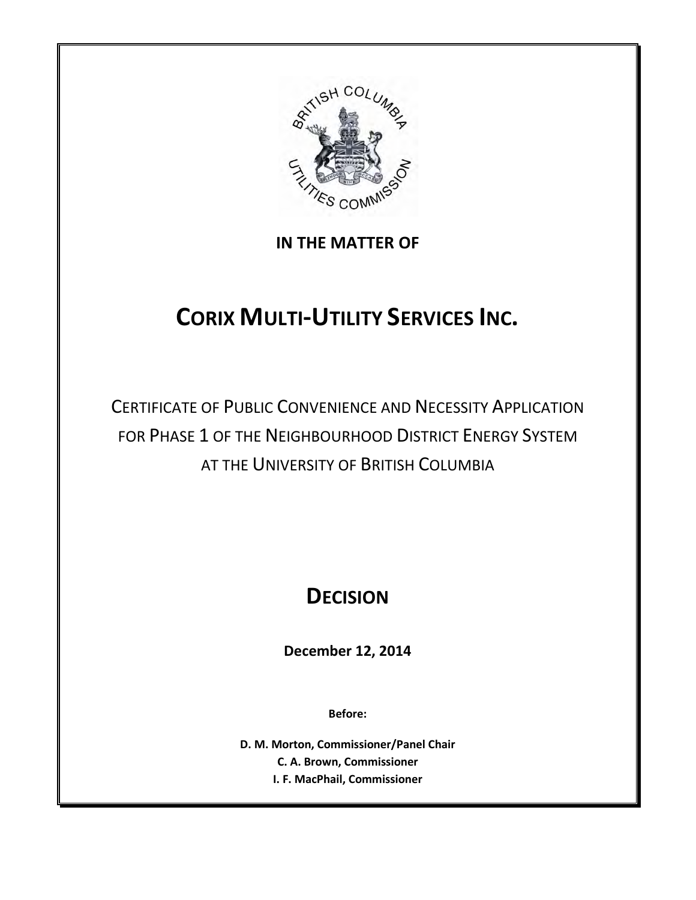

# **IN THE MATTER OF**

# **CORIX MULTI-UTILITY SERVICES INC.**

CERTIFICATE OF PUBLIC CONVENIENCE AND NECESSITY APPLICATION FOR PHASE 1 OF THE NEIGHBOURHOOD DISTRICT ENERGY SYSTEM AT THE UNIVERSITY OF BRITISH COLUMBIA

# **DECISION**

**December 12, 2014**

**Before:**

**D. M. Morton, Commissioner/Panel Chair C. A. Brown, Commissioner I. F. MacPhail, Commissioner**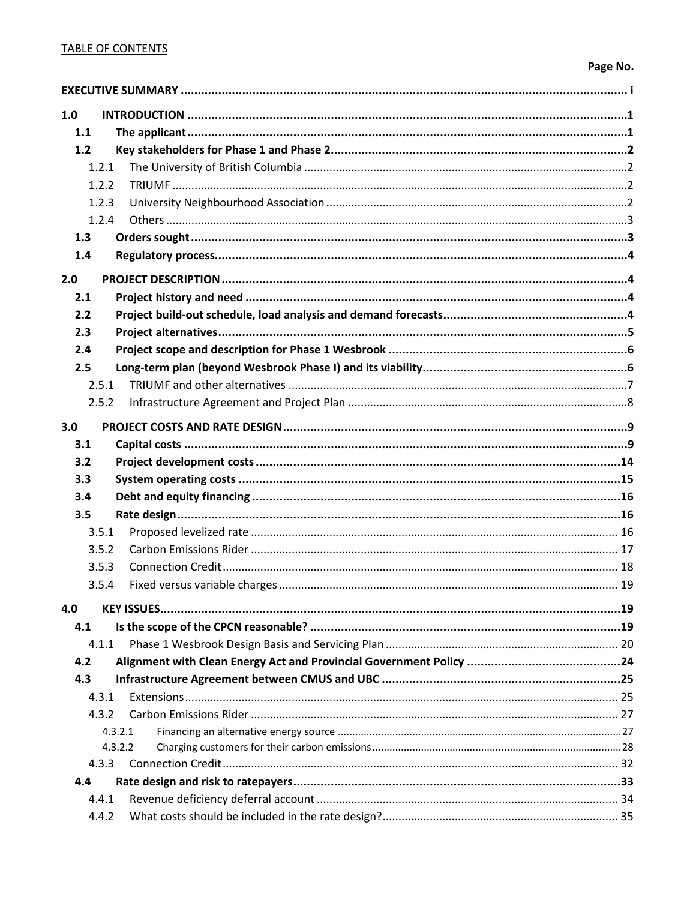# **TABLE OF CONTENTS**

# Page No.

| 1.0   |         |  |
|-------|---------|--|
| 1.1   |         |  |
| 1.2   |         |  |
| 1.2.1 |         |  |
| 1.2.2 |         |  |
| 1.2.3 |         |  |
| 1.2.4 |         |  |
| 1.3   |         |  |
| 1.4   |         |  |
| 2.0   |         |  |
| 2.1   |         |  |
| 2.2   |         |  |
| 2.3   |         |  |
| 2.4   |         |  |
| 2.5   |         |  |
| 2.5.1 |         |  |
| 2.5.2 |         |  |
| 3.0   |         |  |
| 3.1   |         |  |
| 3.2   |         |  |
| 3.3   |         |  |
| 3.4   |         |  |
| 3.5   |         |  |
| 3.5.1 |         |  |
| 3.5.2 |         |  |
| 3.5.3 |         |  |
| 3.5.4 |         |  |
| 4.0   |         |  |
| 4.1   |         |  |
| 4.1.1 |         |  |
| 4.2   |         |  |
| 4.3   |         |  |
| 4.3.1 |         |  |
| 4.3.2 |         |  |
|       | 4.3.2.1 |  |
|       | 4.3.2.2 |  |
| 4.3.3 |         |  |
| 4.4   |         |  |
| 4.4.1 |         |  |
| 4.4.2 |         |  |
|       |         |  |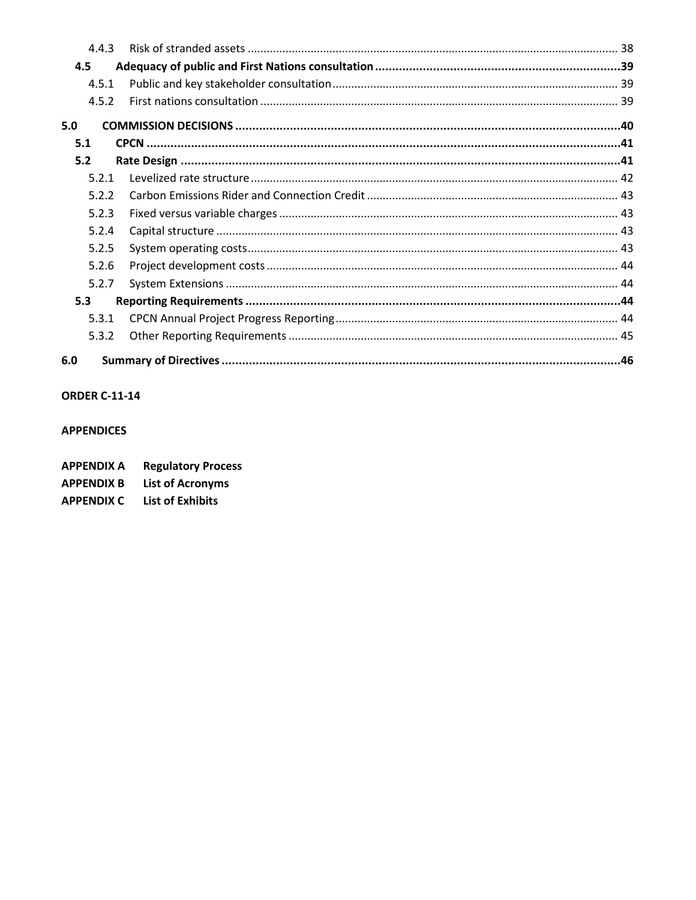| 4.4.3 |  |
|-------|--|
| 4.5   |  |
| 4.5.1 |  |
| 4.5.2 |  |
| 5.0   |  |
| 5.1   |  |
| 5.2   |  |
| 5.2.1 |  |
| 5.2.2 |  |
| 5.2.3 |  |
| 5.2.4 |  |
| 5.2.5 |  |
| 5.2.6 |  |
| 5.2.7 |  |
| 5.3   |  |
| 5.3.1 |  |
| 5.3.2 |  |
| 6.0   |  |

# **ORDER C-11-14**

#### **APPENDICES**

| <b>APPENDIX A</b> | <b>Regulatory Process</b> |
|-------------------|---------------------------|
| <b>APPENDIX B</b> | <b>List of Acronyms</b>   |

**APPENDIX C** List of Exhibits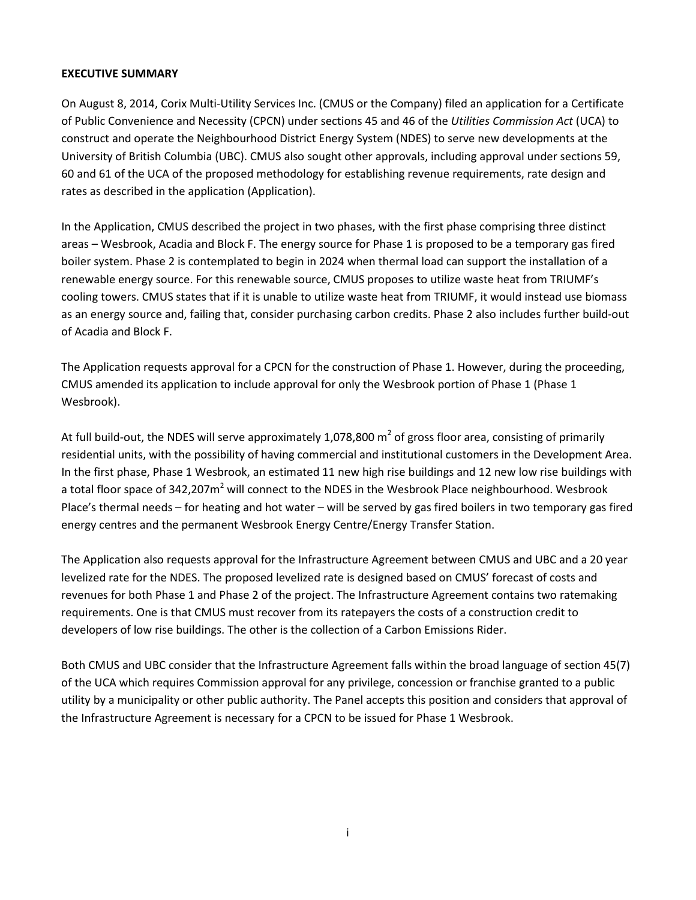#### <span id="page-4-0"></span>**EXECUTIVE SUMMARY**

On August 8, 2014, Corix Multi‐Utility Services Inc. (CMUS or the Company) filed an application for a Certificate of Public Convenience and Necessity (CPCN) under sections 45 and 46 of the *Utilities Commission Act* (UCA) to construct and operate the Neighbourhood District Energy System (NDES) to serve new developments at the University of British Columbia (UBC). CMUS also sought other approvals, including approval under sections 59, 60 and 61 of the UCA of the proposed methodology for establishing revenue requirements, rate design and rates as described in the application (Application).

In the Application, CMUS described the project in two phases, with the first phase comprising three distinct areas – Wesbrook, Acadia and Block F. The energy source for Phase 1 is proposed to be a temporary gas fired boiler system. Phase 2 is contemplated to begin in 2024 when thermal load can support the installation of a renewable energy source. For this renewable source, CMUS proposes to utilize waste heat from TRIUMF's cooling towers. CMUS states that if it is unable to utilize waste heat from TRIUMF, it would instead use biomass as an energy source and, failing that, consider purchasing carbon credits. Phase 2 also includes further build-out of Acadia and Block F.

The Application requests approval for a CPCN for the construction of Phase 1. However, during the proceeding, CMUS amended its application to include approval for only the Wesbrook portion of Phase 1 (Phase 1 Wesbrook).

At full build-out, the NDES will serve approximately 1,078,800  $m<sup>2</sup>$  of gross floor area, consisting of primarily residential units, with the possibility of having commercial and institutional customers in the Development Area. In the first phase, Phase 1 Wesbrook, an estimated 11 new high rise buildings and 12 new low rise buildings with a total floor space of 342,207m<sup>2</sup> will connect to the NDES in the Wesbrook Place neighbourhood. Wesbrook Place's thermal needs – for heating and hot water – will be served by gas fired boilers in two temporary gas fired energy centres and the permanent Wesbrook Energy Centre/Energy Transfer Station.

The Application also requests approval for the Infrastructure Agreement between CMUS and UBC and a 20 year levelized rate for the NDES. The proposed levelized rate is designed based on CMUS' forecast of costs and revenues for both Phase 1 and Phase 2 of the project. The Infrastructure Agreement contains two ratemaking requirements. One is that CMUS must recover from its ratepayers the costs of a construction credit to developers of low rise buildings. The other is the collection of a Carbon Emissions Rider.

Both CMUS and UBC consider that the Infrastructure Agreement falls within the broad language of section 45(7) of the UCA which requires Commission approval for any privilege, concession or franchise granted to a public utility by a municipality or other public authority. The Panel accepts this position and considers that approval of the Infrastructure Agreement is necessary for a CPCN to be issued for Phase 1 Wesbrook.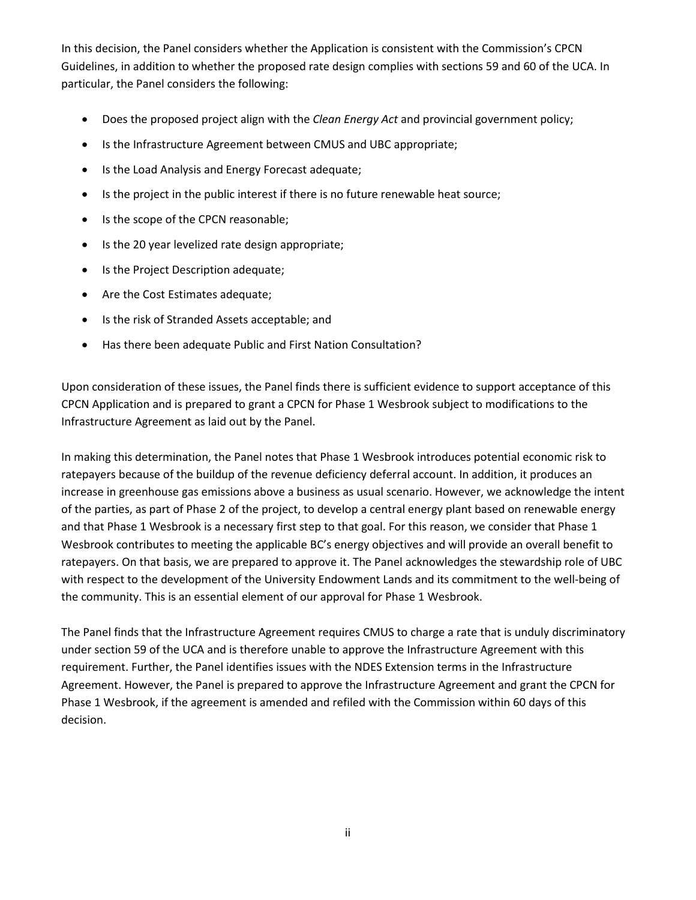In this decision, the Panel considers whether the Application is consistent with the Commission's CPCN Guidelines, in addition to whether the proposed rate design complies with sections 59 and 60 of the UCA. In particular, the Panel considers the following:

- Does the proposed project align with the *Clean Energy Act* and provincial government policy;
- Is the Infrastructure Agreement between CMUS and UBC appropriate;
- Is the Load Analysis and Energy Forecast adequate;
- Is the project in the public interest if there is no future renewable heat source;
- Is the scope of the CPCN reasonable;
- Is the 20 year levelized rate design appropriate;
- Is the Project Description adequate;
- Are the Cost Estimates adequate;
- Is the risk of Stranded Assets acceptable; and
- Has there been adequate Public and First Nation Consultation?

Upon consideration of these issues, the Panel finds there is sufficient evidence to support acceptance of this CPCN Application and is prepared to grant a CPCN for Phase 1 Wesbrook subject to modifications to the Infrastructure Agreement as laid out by the Panel.

In making this determination, the Panel notes that Phase 1 Wesbrook introduces potential economic risk to ratepayers because of the buildup of the revenue deficiency deferral account. In addition, it produces an increase in greenhouse gas emissions above a business as usual scenario. However, we acknowledge the intent of the parties, as part of Phase 2 of the project, to develop a central energy plant based on renewable energy and that Phase 1 Wesbrook is a necessary first step to that goal. For this reason, we consider that Phase 1 Wesbrook contributes to meeting the applicable BC's energy objectives and will provide an overall benefit to ratepayers. On that basis, we are prepared to approve it. The Panel acknowledges the stewardship role of UBC with respect to the development of the University Endowment Lands and its commitment to the well-being of the community. This is an essential element of our approval for Phase 1 Wesbrook.

The Panel finds that the Infrastructure Agreement requires CMUS to charge a rate that is unduly discriminatory under section 59 of the UCA and is therefore unable to approve the Infrastructure Agreement with this requirement. Further, the Panel identifies issues with the NDES Extension terms in the Infrastructure Agreement. However, the Panel is prepared to approve the Infrastructure Agreement and grant the CPCN for Phase 1 Wesbrook, if the agreement is amended and refiled with the Commission within 60 days of this decision.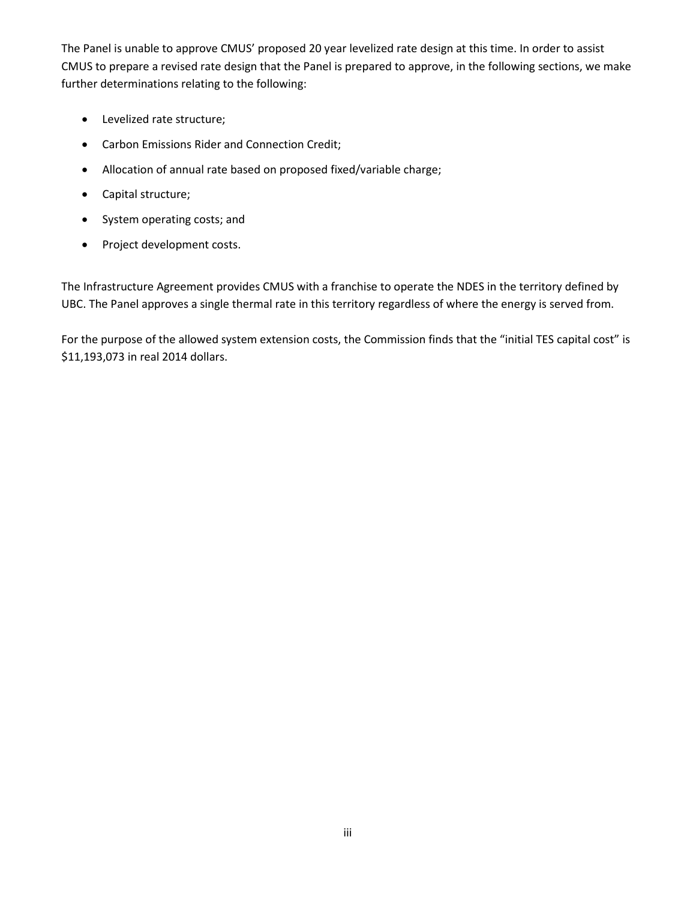The Panel is unable to approve CMUS' proposed 20 year levelized rate design at this time. In order to assist CMUS to prepare a revised rate design that the Panel is prepared to approve, in the following sections, we make further determinations relating to the following:

- Levelized rate structure;
- Carbon Emissions Rider and Connection Credit;
- Allocation of annual rate based on proposed fixed/variable charge;
- Capital structure;
- System operating costs; and
- Project development costs.

The Infrastructure Agreement provides CMUS with a franchise to operate the NDES in the territory defined by UBC. The Panel approves a single thermal rate in this territory regardless of where the energy is served from.

For the purpose of the allowed system extension costs, the Commission finds that the "initial TES capital cost" is \$11,193,073 in real 2014 dollars.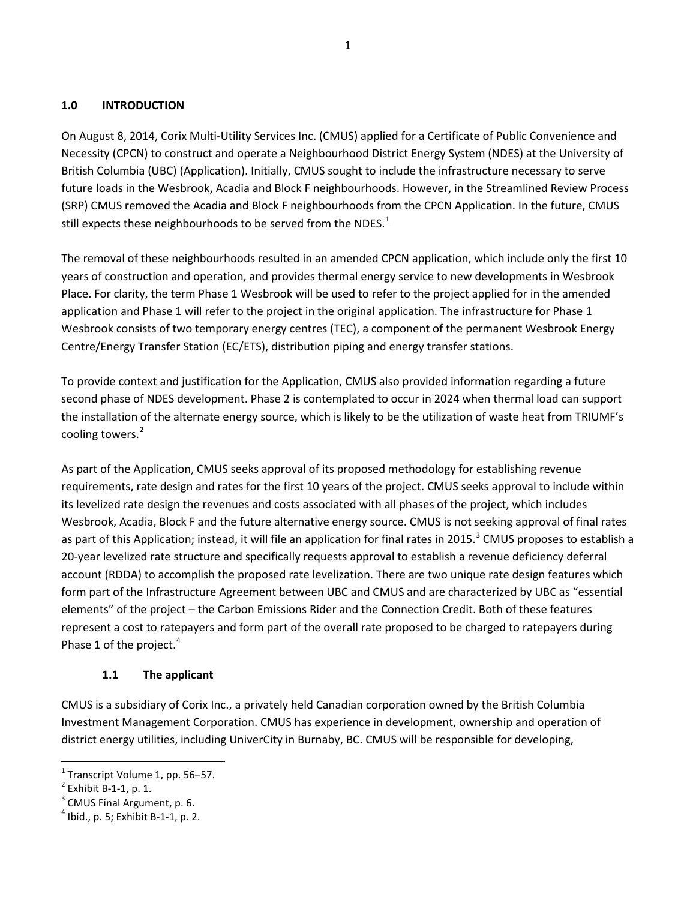#### <span id="page-7-0"></span>**1.0 INTRODUCTION**

On August 8, 2014, Corix Multi-Utility Services Inc. (CMUS) applied for a Certificate of Public Convenience and Necessity (CPCN) to construct and operate a Neighbourhood District Energy System (NDES) at the University of British Columbia (UBC) (Application). Initially, CMUS sought to include the infrastructure necessary to serve future loads in the Wesbrook, Acadia and Block F neighbourhoods. However, in the Streamlined Review Process (SRP) CMUS removed the Acadia and Block F neighbourhoods from the CPCN Application. In the future, CMUS still expects these neighbourhoods to be served from the NDES. $^1$  $^1$ 

The removal of these neighbourhoods resulted in an amended CPCN application, which include only the first 10 years of construction and operation, and provides thermal energy service to new developments in Wesbrook Place. For clarity, the term Phase 1 Wesbrook will be used to refer to the project applied for in the amended application and Phase 1 will refer to the project in the original application. The infrastructure for Phase 1 Wesbrook consists of two temporary energy centres (TEC), a component of the permanent Wesbrook Energy Centre/Energy Transfer Station (EC/ETS), distribution piping and energy transfer stations.

To provide context and justification for the Application, CMUS also provided information regarding a future second phase of NDES development. Phase 2 is contemplated to occur in 2024 when thermal load can support the installation of the alternate energy source, which is likely to be the utilization of waste heat from TRIUMF's cooling towers.<sup>[2](#page-7-3)</sup>

As part of the Application, CMUS seeks approval of its proposed methodology for establishing revenue requirements, rate design and rates for the first 10 years of the project. CMUS seeks approval to include within its levelized rate design the revenues and costs associated with all phases of the project, which includes Wesbrook, Acadia, Block F and the future alternative energy source. CMUS is not seeking approval of final rates as part of this Application; instead, it will file an application for final rates in 2015.<sup>[3](#page-7-4)</sup> CMUS proposes to establish a 20-year levelized rate structure and specifically requests approval to establish a revenue deficiency deferral account (RDDA) to accomplish the proposed rate levelization. There are two unique rate design features which form part of the Infrastructure Agreement between UBC and CMUS and are characterized by UBC as "essential elements" of the project – the Carbon Emissions Rider and the Connection Credit. Both of these features represent a cost to ratepayers and form part of the overall rate proposed to be charged to ratepayers during Phase 1 of the project.<sup>[4](#page-7-5)</sup>

#### **1.1 The applicant**

<span id="page-7-1"></span>CMUS is a subsidiary of Corix Inc., a privately held Canadian corporation owned by the British Columbia Investment Management Corporation. CMUS has experience in development, ownership and operation of district energy utilities, including UniverCity in Burnaby, BC. CMUS will be responsible for developing,

<span id="page-7-2"></span><sup>&</sup>lt;sup>1</sup> Transcript Volume 1, pp. 56–57.<br>
<sup>2</sup> Exhibit B-1-1, p. 1.<br>
<sup>3</sup> CMUS Final Argument, p. 6.

<span id="page-7-3"></span>

<span id="page-7-4"></span>

<span id="page-7-5"></span> $4$  Ibid., p. 5; Exhibit B-1-1, p. 2.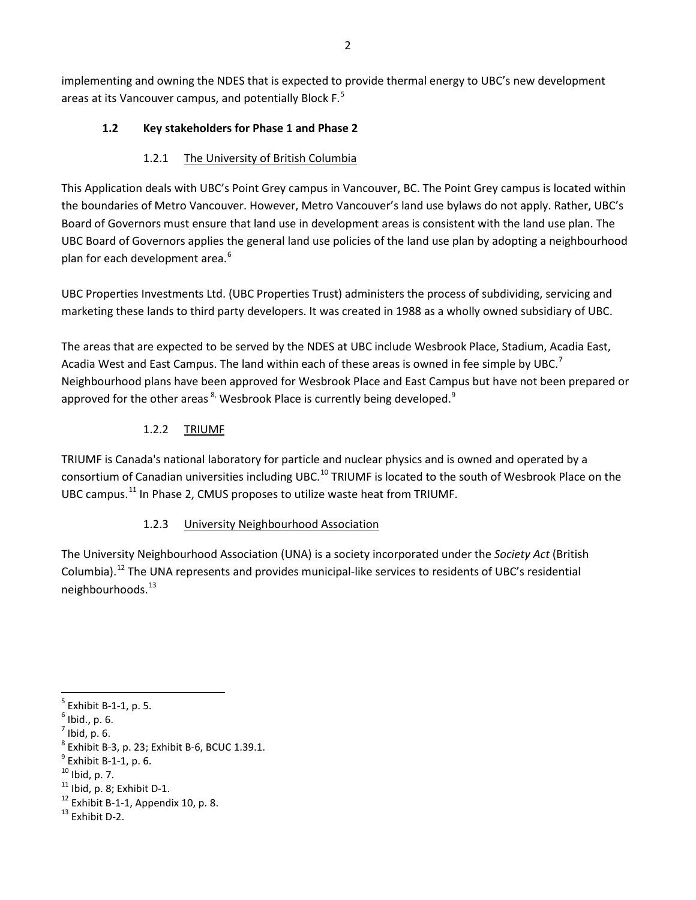<span id="page-8-0"></span>implementing and owning the NDES that is expected to provide thermal energy to UBC's new development areas at its Vancouver campus, and potentially Block F.<sup>[5](#page-8-4)</sup>

# **1.2 Key stakeholders for Phase 1 and Phase 2**

# 1.2.1 The University of British Columbia

<span id="page-8-1"></span>This Application deals with UBC's Point Grey campus in Vancouver, BC. The Point Grey campus is located within the boundaries of Metro Vancouver. However, Metro Vancouver's land use bylaws do not apply. Rather, UBC's Board of Governors must ensure that land use in development areas is consistent with the land use plan. The UBC Board of Governors applies the general land use policies of the land use plan by adopting a neighbourhood plan for each development area.<sup>[6](#page-8-5)</sup>

UBC Properties Investments Ltd. (UBC Properties Trust) administers the process of subdividing, servicing and marketing these lands to third party developers. It was created in 1988 as a wholly owned subsidiary of UBC.

The areas that are expected to be served by the NDES at UBC include Wesbrook Place, Stadium, Acadia East, Acadia West and East Campus. The land within each of these areas is owned in fee simple by UBC.<sup>[7](#page-8-6)</sup> Neighbourhood plans have been approved for Wesbrook Place and East Campus but have not been prepared or approved for the other areas  $^{8}$ . Wesbrook Place is currently being developed.<sup>[9](#page-8-8)</sup>

# 1.2.2 TRIUMF

<span id="page-8-2"></span>TRIUMF is Canada's national laboratory for particle and nuclear physics and is owned and operated by a consortium of Canadian universities including UBC.<sup>[10](#page-8-9)</sup> TRIUMF is located to the south of Wesbrook Place on the UBC campus.<sup>[11](#page-8-10)</sup> In Phase 2, CMUS proposes to utilize waste heat from TRIUMF.

# 1.2.3 University Neighbourhood Association

<span id="page-8-3"></span>The University Neighbourhood Association (UNA) is a society incorporated under the *Society Act* (British Columbia).[12](#page-8-11) The UNA represents and provides municipal-like services to residents of UBC's residential neighbourhoods.<sup>13</sup>

l

<span id="page-8-4"></span> $^5$  Exhibit B-1-1, p. 5.<br>  $^6$  Ibid., p. 6.<br>  $^7$  Ibid, p. 6.

<span id="page-8-5"></span>

<span id="page-8-8"></span><span id="page-8-7"></span><span id="page-8-6"></span><sup>&</sup>lt;sup>8</sup> Exhibit B-3, p. 23; Exhibit B-6, BCUC 1.39.1.<br><sup>9</sup> Exhibit B-1-1, p. 6.<br><sup>10</sup> Ibid, p. 7.<br><sup>11</sup> Ibid, p. 8; Exhibit D-1.<br><sup>12</sup> Exhibit B-1-1, Appendix 10, p. 8.<br><sup>13</sup> Exhibit D-2.

<span id="page-8-10"></span><span id="page-8-9"></span>

<span id="page-8-11"></span>

<span id="page-8-12"></span>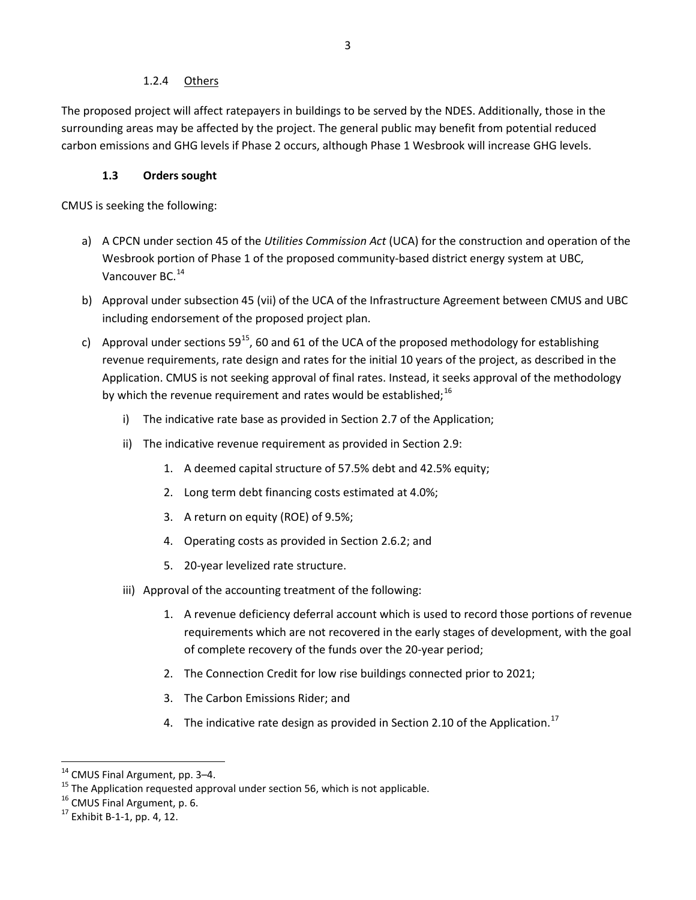#### 1.2.4 Others

<span id="page-9-0"></span>The proposed project will affect ratepayers in buildings to be served by the NDES. Additionally, those in the surrounding areas may be affected by the project. The general public may benefit from potential reduced carbon emissions and GHG levels if Phase 2 occurs, although Phase 1 Wesbrook will increase GHG levels.

### **1.3 Orders sought**

<span id="page-9-1"></span>CMUS is seeking the following:

- a) A CPCN under section 45 of the *Utilities Commission Act* (UCA) for the construction and operation of the Wesbrook portion of Phase 1 of the proposed community-based district energy system at UBC, Vancouver BC.<sup>[14](#page-9-2)</sup>
- b) Approval under subsection 45 (vii) of the UCA of the Infrastructure Agreement between CMUS and UBC including endorsement of the proposed project plan.
- c) Approval under sections  $59^{15}$ , 60 and 61 of the UCA of the proposed methodology for establishing revenue requirements, rate design and rates for the initial 10 years of the project, as described in the Application. CMUS is not seeking approval of final rates. Instead, it seeks approval of the methodology by which the revenue requirement and rates would be established;  $^{16}$  $^{16}$  $^{16}$ 
	- i) The indicative rate base as provided in Section 2.7 of the Application;
	- ii) The indicative revenue requirement as provided in Section 2.9:
		- 1. A deemed capital structure of 57.5% debt and 42.5% equity;
		- 2. Long term debt financing costs estimated at 4.0%;
		- 3. A return on equity (ROE) of 9.5%;
		- 4. Operating costs as provided in Section 2.6.2; and
		- 5. 20-year levelized rate structure.
	- iii) Approval of the accounting treatment of the following:
		- 1. A revenue deficiency deferral account which is used to record those portions of revenue requirements which are not recovered in the early stages of development, with the goal of complete recovery of the funds over the 20-year period;
		- 2. The Connection Credit for low rise buildings connected prior to 2021;
		- 3. The Carbon Emissions Rider; and
		- 4. The indicative rate design as provided in Section 2.10 of the Application.<sup>[17](#page-9-5)</sup>

<span id="page-9-3"></span><span id="page-9-2"></span><sup>&</sup>lt;sup>14</sup> CMUS Final Argument, pp. 3–4.<br><sup>15</sup> The Application requested approval under section 56, which is not applicable.<br><sup>16</sup> CMUS Final Argument, p. 6.<br><sup>17</sup> Exhibit B-1-1, pp. 4, 12.

<span id="page-9-5"></span><span id="page-9-4"></span>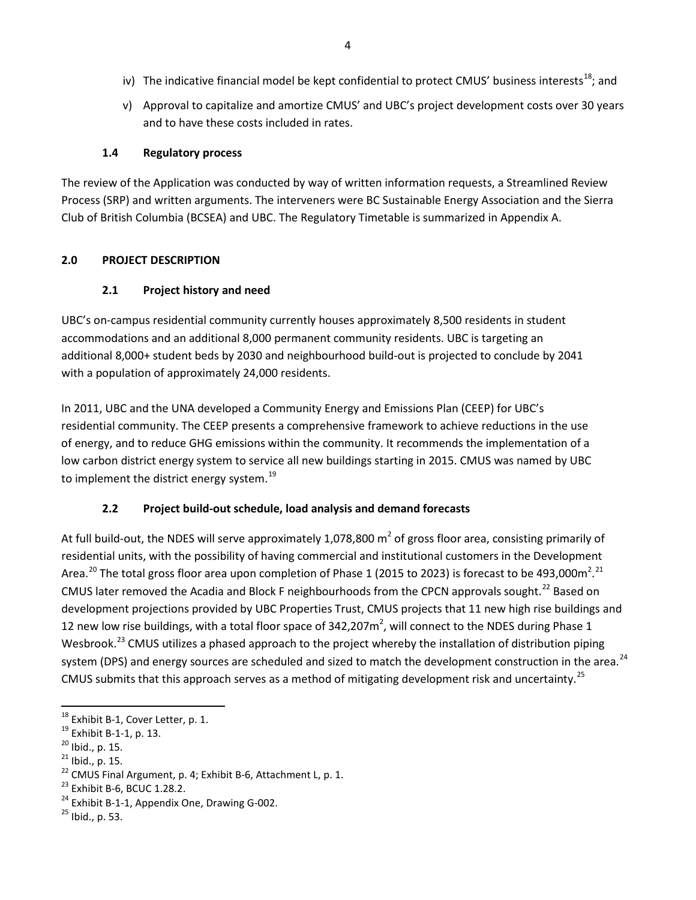- iv) The indicative financial model be kept confidential to protect CMUS' business interests<sup>[18](#page-10-4)</sup>; and
- v) Approval to capitalize and amortize CMUS' and UBC's project development costs over 30 years and to have these costs included in rates.

### **1.4 Regulatory process**

<span id="page-10-0"></span>The review of the Application was conducted by way of written information requests, a Streamlined Review Process (SRP) and written arguments. The interveners were BC Sustainable Energy Association and the Sierra Club of British Columbia (BCSEA) and UBC. The Regulatory Timetable is summarized in Appendix A.

#### <span id="page-10-2"></span><span id="page-10-1"></span>**2.0 PROJECT DESCRIPTION**

# **2.1 Project history and need**

UBC's on-campus residential community currently houses approximately 8,500 residents in student accommodations and an additional 8,000 permanent community residents. UBC is targeting an additional 8,000+ student beds by 2030 and neighbourhood build-out is projected to conclude by 2041 with a population of approximately 24,000 residents.

In 2011, UBC and the UNA developed a Community Energy and Emissions Plan (CEEP) for UBC's residential community. The CEEP presents a comprehensive framework to achieve reductions in the use of energy, and to reduce GHG emissions within the community. It recommends the implementation of a low carbon district energy system to service all new buildings starting in 2015. CMUS was named by UBC to implement the district energy system.<sup>[19](#page-10-5)</sup>

# **2.2 Project build-out schedule, load analysis and demand forecasts**

<span id="page-10-3"></span>At full build-out, the NDES will serve approximately 1,078,800  $m<sup>2</sup>$  of gross floor area, consisting primarily of residential units, with the possibility of having commercial and institutional customers in the Development Area.<sup>[20](#page-10-6)</sup> The total gross floor area upon completion of Phase 1 (2015 to 2023) is forecast to be 493,000m<sup>2</sup>.<sup>[21](#page-10-7)</sup> CMUS later removed the Acadia and Block F neighbourhoods from the CPCN approvals sought.<sup>[22](#page-10-8)</sup> Based on development projections provided by UBC Properties Trust, CMUS projects that 11 new high rise buildings and 12 new low rise buildings, with a total floor space of 342,207 $m^2$ , will connect to the NDES during Phase 1 Wesbrook.<sup>[23](#page-10-9)</sup> CMUS utilizes a phased approach to the project whereby the installation of distribution piping system (DPS) and energy sources are scheduled and sized to match the development construction in the area.<sup>[24](#page-10-10)</sup> CMUS submits that this approach serves as a method of mitigating development risk and uncertainty.<sup>[25](#page-10-11)</sup>

<span id="page-10-7"></span>

<span id="page-10-6"></span>

<span id="page-10-5"></span><span id="page-10-4"></span><sup>&</sup>lt;sup>18</sup> Exhibit B-1, Cover Letter, p. 1.<br>
<sup>19</sup> Exhibit B-1-1, p. 13.<br>
<sup>20</sup> Ibid., p. 15.<br>
<sup>21</sup> Ibid., p. 15.<br>
<sup>22</sup> CMUS Final Argument, p. 4; Exhibit B-6, Attachment L, p. 1.<br>
<sup>23</sup> Exhibit B-6, BCUC 1.28.2.<br>
<sup>24</sup> Exhibit B-1

<span id="page-10-9"></span><span id="page-10-8"></span>

<span id="page-10-10"></span>

<span id="page-10-11"></span>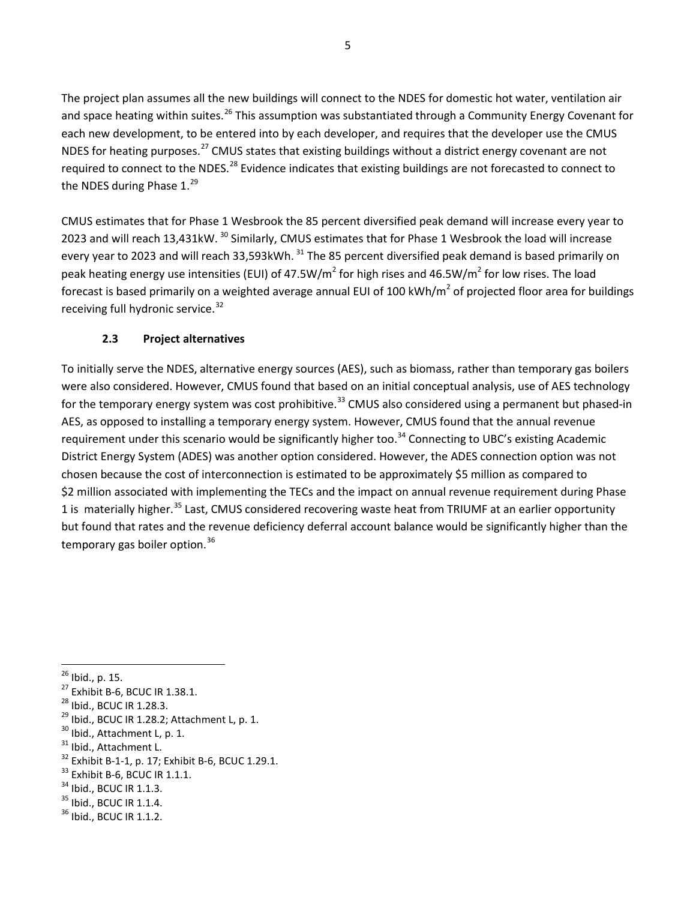The project plan assumes all the new buildings will connect to the NDES for domestic hot water, ventilation air and space heating within suites.<sup>[26](#page-11-1)</sup> This assumption was substantiated through a Community Energy Covenant for each new development, to be entered into by each developer, and requires that the developer use the CMUS NDES for heating purposes.<sup>[27](#page-11-2)</sup> CMUS states that existing buildings without a district energy covenant are not required to connect to the NDES.<sup>[28](#page-11-3)</sup> Evidence indicates that existing buildings are not forecasted to connect to the NDES during Phase  $1.^{29}$  $1.^{29}$  $1.^{29}$ 

CMUS estimates that for Phase 1 Wesbrook the 85 percent diversified peak demand will increase every year to 2023 and will reach 13,431kW. <sup>[30](#page-11-5)</sup> Similarly, CMUS estimates that for Phase 1 Wesbrook the load will increase every year to 2023 and will reach 33,593kWh. <sup>[31](#page-11-6)</sup> The 85 percent diversified peak demand is based primarily on peak heating energy use intensities (EUI) of 47.5W/m<sup>2</sup> for high rises and 46.5W/m<sup>2</sup> for low rises. The load forecast is based primarily on a weighted average annual EUI of 100 kWh/ $m^2$  of projected floor area for buildings receiving full hydronic service.<sup>[32](#page-11-7)</sup>

# **2.3 Project alternatives**

<span id="page-11-0"></span>To initially serve the NDES, alternative energy sources (AES), such as biomass, rather than temporary gas boilers were also considered. However, CMUS found that based on an initial conceptual analysis, use of AES technology for the temporary energy system was cost prohibitive.<sup>[33](#page-11-8)</sup> CMUS also considered using a permanent but phased-in AES, as opposed to installing a temporary energy system. However, CMUS found that the annual revenue requirement under this scenario would be significantly higher too.<sup>[34](#page-11-9)</sup> Connecting to UBC's existing Academic District Energy System (ADES) was another option considered. However, the ADES connection option was not chosen because the cost of interconnection is estimated to be approximately \$5 million as compared to \$2 million associated with implementing the TECs and the impact on annual revenue requirement during Phase 1 is materially higher.<sup>[35](#page-11-10)</sup> Last, CMUS considered recovering waste heat from TRIUMF at an earlier opportunity but found that rates and the revenue deficiency deferral account balance would be significantly higher than the temporary gas boiler option.<sup>[36](#page-11-11)</sup>

- <span id="page-11-4"></span>
- <span id="page-11-5"></span>
- <span id="page-11-7"></span><span id="page-11-6"></span>
- <span id="page-11-1"></span><sup>26</sup> Ibid., p. 15.<br>
<sup>27</sup> Exhibit B-6, BCUC IR 1.38.1.<br>
<sup>28</sup> Ibid., BCUC IR 1.28.3.<br>
<sup>29</sup> Ibid., BCUC IR 1.28.2; Attachment L, p. 1.<br>
<sup>30</sup> Ibid., Attachment L, p. 1.<br>
<sup>31</sup> Ibid., Attachment L.<br>
<sup>32</sup> Exhibit B-1-1, p. 17; E
- <span id="page-11-8"></span>
- <span id="page-11-9"></span>
- <span id="page-11-10"></span>
- <span id="page-11-11"></span>

<span id="page-11-2"></span>

<span id="page-11-3"></span>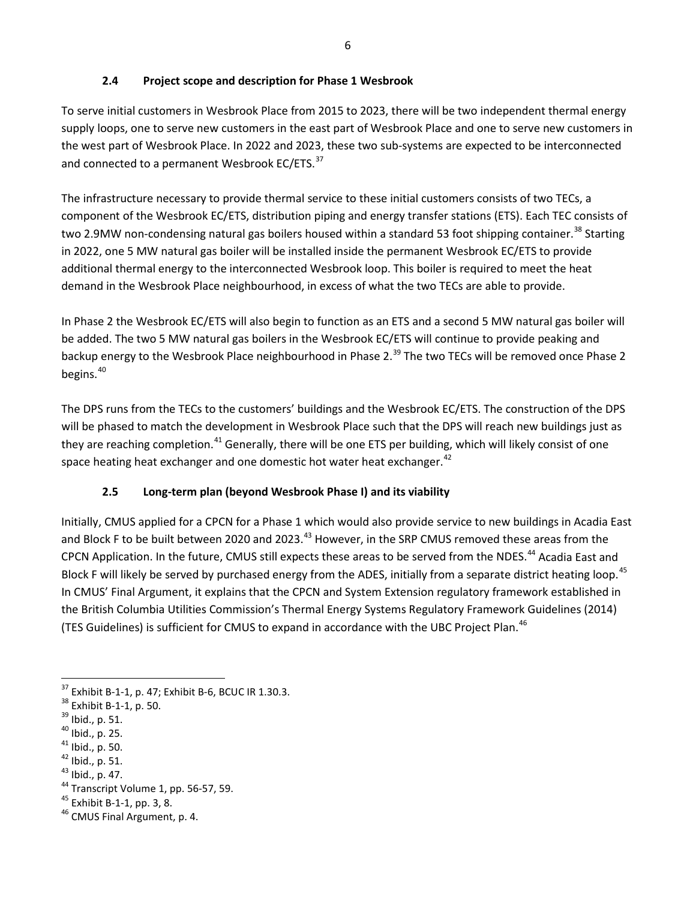# **2.4 Project scope and description for Phase 1 Wesbrook**

<span id="page-12-0"></span>To serve initial customers in Wesbrook Place from 2015 to 2023, there will be two independent thermal energy supply loops, one to serve new customers in the east part of Wesbrook Place and one to serve new customers in the west part of Wesbrook Place. In 2022 and 2023, these two sub-systems are expected to be interconnected and connected to a permanent Wesbrook EC/ETS.<sup>[37](#page-12-2)</sup>

The infrastructure necessary to provide thermal service to these initial customers consists of two TECs, a component of the Wesbrook EC/ETS, distribution piping and energy transfer stations (ETS). Each TEC consists of two 2.9MW non-condensing natural gas boilers housed within a standard 53 foot shipping container.<sup>[38](#page-12-3)</sup> Starting in 2022, one 5 MW natural gas boiler will be installed inside the permanent Wesbrook EC/ETS to provide additional thermal energy to the interconnected Wesbrook loop. This boiler is required to meet the heat demand in the Wesbrook Place neighbourhood, in excess of what the two TECs are able to provide.

In Phase 2 the Wesbrook EC/ETS will also begin to function as an ETS and a second 5 MW natural gas boiler will be added. The two 5 MW natural gas boilers in the Wesbrook EC/ETS will continue to provide peaking and backup energy to the Wesbrook Place neighbourhood in Phase 2.<sup>39</sup> The two TECs will be removed once Phase 2 begins.<sup>[40](#page-12-5)</sup>

The DPS runs from the TECs to the customers' buildings and the Wesbrook EC/ETS. The construction of the DPS will be phased to match the development in Wesbrook Place such that the DPS will reach new buildings just as they are reaching completion.<sup>[41](#page-12-6)</sup> Generally, there will be one ETS per building, which will likely consist of one space heating heat exchanger and one domestic hot water heat exchanger.<sup>[42](#page-12-7)</sup>

# <span id="page-12-1"></span>**2.5 Long-term plan (beyond Wesbrook Phase I) and its viability**

Initially, CMUS applied for a CPCN for a Phase 1 which would also provide service to new buildings in Acadia East and Block F to be built between 2020 and 2023.<sup>[43](#page-12-8)</sup> However, in the SRP CMUS removed these areas from the CPCN Application. In the future, CMUS still expects these areas to be served from the NDES.<sup>[44](#page-12-9)</sup> Acadia East and Block F will likely be served by purchased energy from the ADES, initially from a separate district heating loop.<sup>[45](#page-12-10)</sup> In CMUS' Final Argument, it explains that the CPCN and System Extension regulatory framework established in the British Columbia Utilities Commission's Thermal Energy Systems Regulatory Framework Guidelines (2014) (TES Guidelines) is sufficient for CMUS to expand in accordance with the UBC Project Plan.<sup>[46](#page-12-11)</sup>

<span id="page-12-2"></span><sup>&</sup>lt;sup>37</sup> Exhibit B-1-1, p. 47; Exhibit B-6, BCUC IR 1.30.3.<br><sup>38</sup> Exhibit B-1-1, p. 50.<br><sup>39</sup> Ibid., p. 51.<br><sup>41</sup> Ibid., p. 25.<br><sup>42</sup> Ibid., p. 51.<br><sup>42</sup> Ibid., p. 51.<br><sup>43</sup> Ibid., p. 47.<br><sup>44</sup> Transcript Volume 1, pp. 56-57, 59.<br><sup>4</sup>

<span id="page-12-3"></span>

<span id="page-12-4"></span>

<span id="page-12-5"></span>

<span id="page-12-6"></span>

<span id="page-12-7"></span>

<span id="page-12-8"></span>

<span id="page-12-9"></span>

<span id="page-12-10"></span>

<span id="page-12-11"></span>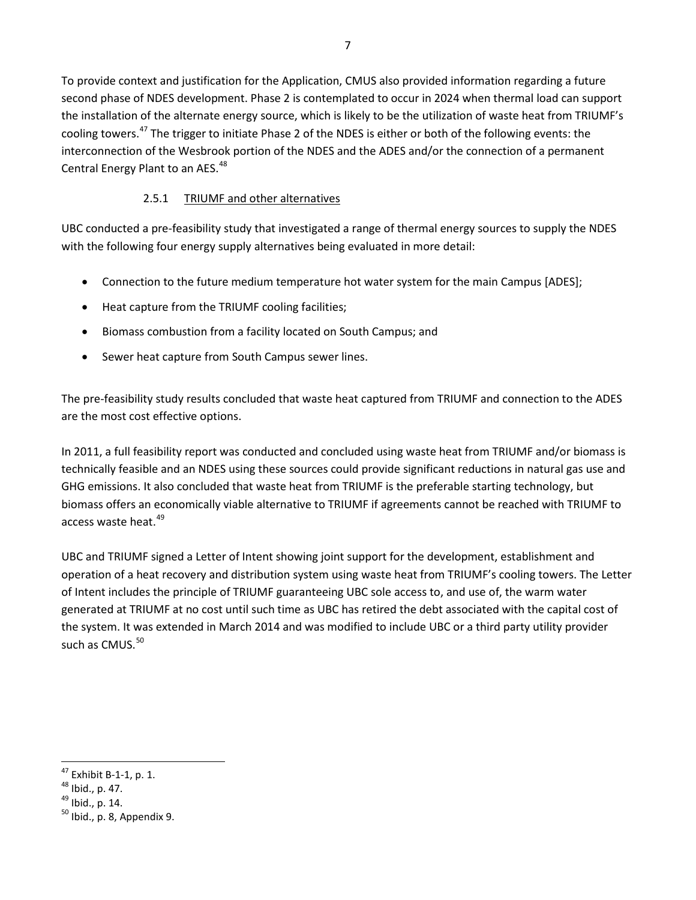To provide context and justification for the Application, CMUS also provided information regarding a future second phase of NDES development. Phase 2 is contemplated to occur in 2024 when thermal load can support the installation of the alternate energy source, which is likely to be the utilization of waste heat from TRIUMF's cooling towers.[47](#page-13-1) The trigger to initiate Phase 2 of the NDES is either or both of the following events: the interconnection of the Wesbrook portion of the NDES and the ADES and/or the connection of a permanent Central Energy Plant to an AES.<sup>[48](#page-13-2)</sup>

# 2.5.1 TRIUMF and other alternatives

<span id="page-13-0"></span>UBC conducted a pre-feasibility study that investigated a range of thermal energy sources to supply the NDES with the following four energy supply alternatives being evaluated in more detail:

- Connection to the future medium temperature hot water system for the main Campus [ADES];
- Heat capture from the TRIUMF cooling facilities;
- Biomass combustion from a facility located on South Campus; and
- Sewer heat capture from South Campus sewer lines.

The pre-feasibility study results concluded that waste heat captured from TRIUMF and connection to the ADES are the most cost effective options.

In 2011, a full feasibility report was conducted and concluded using waste heat from TRIUMF and/or biomass is technically feasible and an NDES using these sources could provide significant reductions in natural gas use and GHG emissions. It also concluded that waste heat from TRIUMF is the preferable starting technology, but biomass offers an economically viable alternative to TRIUMF if agreements cannot be reached with TRIUMF to access waste heat.<sup>[49](#page-13-3)</sup>

UBC and TRIUMF signed a Letter of Intent showing joint support for the development, establishment and operation of a heat recovery and distribution system using waste heat from TRIUMF's cooling towers. The Letter of Intent includes the principle of TRIUMF guaranteeing UBC sole access to, and use of, the warm water generated at TRIUMF at no cost until such time as UBC has retired the debt associated with the capital cost of the system. It was extended in March 2014 and was modified to include UBC or a third party utility provider such as CMUS.<sup>50</sup>

<span id="page-13-1"></span> $\overline{\phantom{a}}$ <sup>47</sup> Exhibit B-1-1, p. 1.<br><sup>48</sup> Ibid., p. 47.<br><sup>49</sup> Ibid., p. 14.<br><sup>50</sup> Ibid., p. 8, Appendix 9.

<span id="page-13-2"></span>

<span id="page-13-3"></span>

<span id="page-13-4"></span>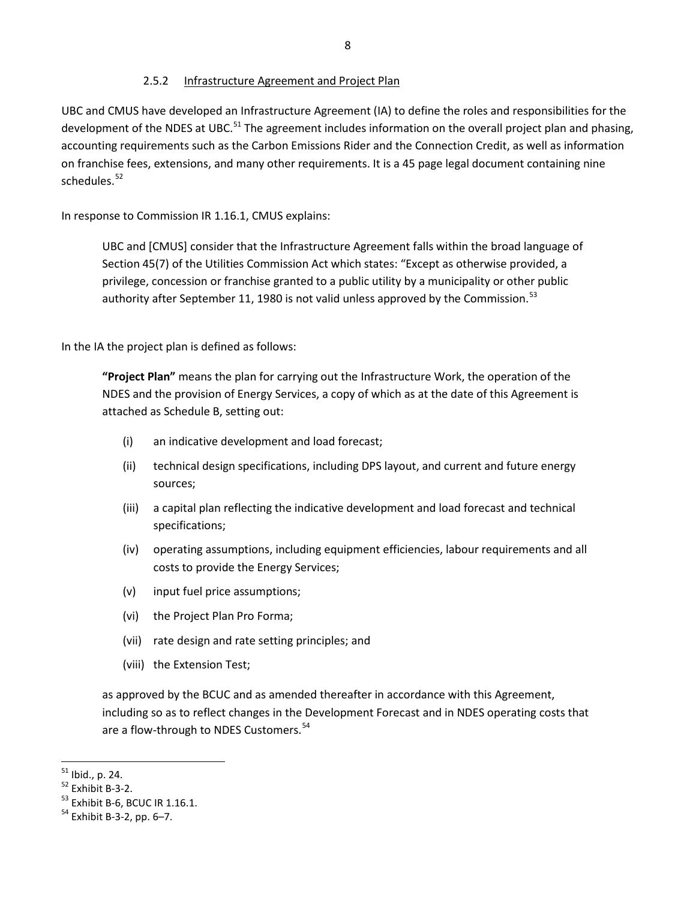#### 2.5.2 Infrastructure Agreement and Project Plan

<span id="page-14-0"></span>UBC and CMUS have developed an Infrastructure Agreement (IA) to define the roles and responsibilities for the development of the NDES at UBC.<sup>[51](#page-14-1)</sup> The agreement includes information on the overall project plan and phasing, accounting requirements such as the Carbon Emissions Rider and the Connection Credit, as well as information on franchise fees, extensions, and many other requirements. It is a 45 page legal document containing nine schedules.<sup>[52](#page-14-2)</sup>

In response to Commission IR 1.16.1, CMUS explains:

UBC and [CMUS] consider that the Infrastructure Agreement falls within the broad language of Section 45(7) of the Utilities Commission Act which states: "Except as otherwise provided, a privilege, concession or franchise granted to a public utility by a municipality or other public authority after September 11, 1980 is not valid unless approved by the Commission.<sup>[53](#page-14-3)</sup>

In the IA the project plan is defined as follows:

**"Project Plan"** means the plan for carrying out the Infrastructure Work, the operation of the NDES and the provision of Energy Services, a copy of which as at the date of this Agreement is attached as Schedule B, setting out:

- (i) an indicative development and load forecast;
- (ii) technical design specifications, including DPS layout, and current and future energy sources;
- (iii) a capital plan reflecting the indicative development and load forecast and technical specifications;
- (iv) operating assumptions, including equipment efficiencies, labour requirements and all costs to provide the Energy Services;
- (v) input fuel price assumptions;
- (vi) the Project Plan Pro Forma;
- (vii) rate design and rate setting principles; and
- (viii) the Extension Test;

as approved by the BCUC and as amended thereafter in accordance with this Agreement, including so as to reflect changes in the Development Forecast and in NDES operating costs that are a flow-through to NDES Customers.<sup>54</sup>

<span id="page-14-1"></span> $51$  Ibid., p. 24.

<span id="page-14-2"></span><sup>&</sup>lt;sup>52</sup> Exhibit B-3-2.<br><sup>53</sup> Exhibit B-6, BCUC IR 1.16.1.<br><sup>54</sup> Exhibit B-3-2, pp. 6–7.

<span id="page-14-4"></span><span id="page-14-3"></span>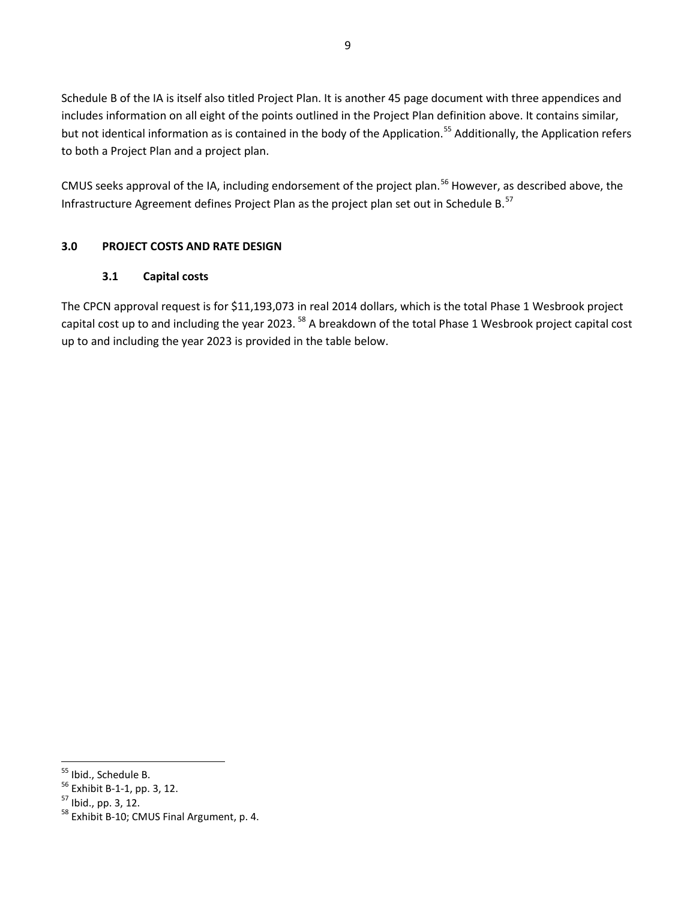Schedule B of the IA is itself also titled Project Plan. It is another 45 page document with three appendices and includes information on all eight of the points outlined in the Project Plan definition above. It contains similar, but not identical information as is contained in the body of the Application.<sup>[55](#page-15-2)</sup> Additionally, the Application refers to both a Project Plan and a project plan.

CMUS seeks approval of the IA, including endorsement of the project plan.<sup>[56](#page-15-3)</sup> However, as described above, the Infrastructure Agreement defines Project Plan as the project plan set out in Schedule B. [57](#page-15-4) 

# <span id="page-15-1"></span><span id="page-15-0"></span>**3.0 PROJECT COSTS AND RATE DESIGN**

#### **3.1 Capital costs**

The CPCN approval request is for \$11,193,073 in real 2014 dollars, which is the total Phase 1 Wesbrook project capital cost up to and including the year 2023.<sup>[58](#page-15-5)</sup> A breakdown of the total Phase 1 Wesbrook project capital cost up to and including the year 2023 is provided in the table below.

<span id="page-15-2"></span><sup>55</sup> Ibid., Schedule B.

<span id="page-15-5"></span><span id="page-15-4"></span>

<span id="page-15-3"></span><sup>&</sup>lt;sup>56</sup> Exhibit B-1-1, pp. 3, 12.<br><sup>57</sup> Ibid., pp. 3, 12.<br><sup>58</sup> Exhibit B-10; CMUS Final Argument, p. 4.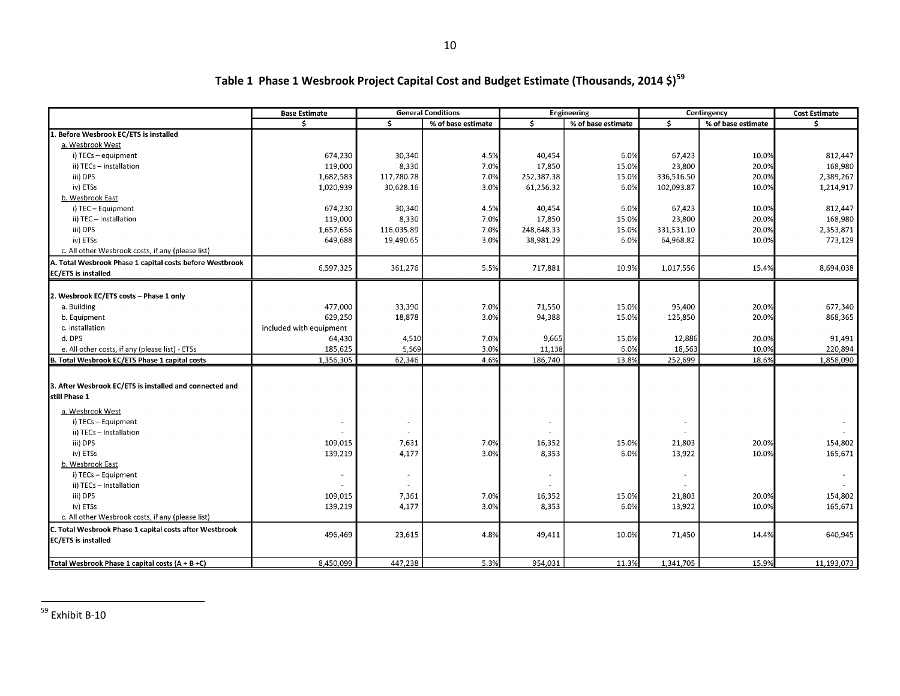| Š.<br>Ŝ.<br>Ś.<br>% of base estimate<br>% of base estimate<br>% of base estimate<br>Ŝ<br>Before Wesbrook EC/ETS is installed | Ŝ.         |
|------------------------------------------------------------------------------------------------------------------------------|------------|
|                                                                                                                              |            |
|                                                                                                                              |            |
| a. Wesbrook West                                                                                                             |            |
| 674,230<br>30,340<br>4.5%<br>40,454<br>6.0%<br>67,423<br>10.0%<br>i) TECs - equipment                                        | 812,447    |
| 8,330<br>119,000<br>7.0%<br>17,850<br>15.0%<br>23,800<br>20.0%<br>ii) TECs - installation                                    | 168,980    |
| 1,682,583<br>117,780.78<br>7.0%<br>252,387.38<br>15.0%<br>20.0%<br>iii) DPS<br>336,516.50                                    | 2,389,267  |
| iv) ETSs<br>1,020,939<br>6.0%<br>102,093.87<br>10.0%<br>30,628.16<br>3.0%<br>61,256.32                                       | 1,214,917  |
| b. Wesbrook East                                                                                                             |            |
| i) TEC - Equipment<br>674,230<br>30,340<br>4.5%<br>40,454<br>6.0%<br>67,423<br>10.0%                                         | 812,447    |
| ii) TEC - Installation<br>119,000<br>8,330<br>7.0%<br>23,800<br>20.0%<br>17,850<br>15.0%                                     | 168,980    |
| iii) DPS<br>1,657,656<br>116,035.89<br>7.0%<br>248,648.33<br>15.0%<br>331,531.10<br>20.0%                                    | 2,353,871  |
| 649,688<br>19,490.65<br>3.0%<br>38,981.29<br>6.0%<br>10.0%<br>iv) ETSs<br>64,968.82                                          | 773,129    |
| c. All other Wesbrook costs, if any (please list)                                                                            |            |
| A. Total Wesbrook Phase 1 capital costs before Westbrook                                                                     |            |
| 6,597,325<br>361,276<br>5.5%<br>717,881<br>10.9%<br>1,017,556<br>15.4%<br><b>EC/ETS</b> is installed                         | 8,694,038  |
|                                                                                                                              |            |
| 2. Wesbrook EC/ETS costs - Phase 1 only                                                                                      |            |
| 477,000<br>71,550<br>95,400<br>a. Building<br>33,390<br>7.0%<br>15.0%<br>20.0%                                               | 677,340    |
| 629,250<br>18,878<br>3.0%<br>94,388<br>15.0%<br>125,850<br>20.0%<br>b. Equipment                                             | 868,365    |
| c. Installation<br>included with equipment                                                                                   |            |
| 4,510<br>9,665<br>12,886<br>d. DPS<br>64,430<br>7.0%<br>15.0%<br>20.0%                                                       | 91,491     |
| 185,625<br>5,569<br>3.0%<br>6.0%<br>18,563<br>10.0%<br>e. All other costs, if any (please list) - ETSs<br>11,138             | 220,894    |
| 4.6%<br>13.8%<br>252,699<br>18.6%<br>1,356,305<br>62,346<br>186,740<br>B. Total Wesbrook EC/ETS Phase 1 capital costs        | 1,858,090  |
|                                                                                                                              |            |
| 3. After Wesbrook EC/ETS is installed and connected and                                                                      |            |
| still Phase 1                                                                                                                |            |
| a. Wesbrook West                                                                                                             |            |
| i) TECs - Equipment                                                                                                          |            |
| ii) TECs - Installation                                                                                                      |            |
| iii) DPS<br>7.0%<br>15.0%<br>21,803<br>20.0%<br>109,015<br>7,631<br>16,352                                                   | 154,802    |
| iv) ETSs<br>4,177<br>3.0%<br>13,922<br>10.0%<br>139,219<br>8,353<br>6.0%                                                     | 165,671    |
| b. Wesbrook East                                                                                                             |            |
| i) TECs - Equipment<br>$\sim$<br>$\sim$<br>ä,                                                                                | $\sim$     |
| ii) TECs - Installation                                                                                                      |            |
| iii) DPS<br>109,015<br>7,361<br>7.0%<br>16,352<br>15.0%<br>21,803<br>20.0%                                                   | 154,802    |
| 4,177<br>3.0%<br>6.0%<br>13,922<br>10.0%<br>iv) ETSs<br>139,219<br>8,353                                                     | 165,671    |
| c. All other Wesbrook costs, if any (please list)                                                                            |            |
| C. Total Wesbrook Phase 1 capital costs after Westbrook                                                                      |            |
| 496,469<br>4.8%<br>23,615<br>49,411<br>10.0%<br>71,450<br>14.4%<br><b>EC/ETS</b> is installed                                | 640,945    |
|                                                                                                                              |            |
| 954,031<br>15.9%<br>8,450,099<br>447,238<br>5.3%<br>11.3%<br>1,341,705<br>Total Wesbrook Phase 1 capital costs (A + B +C)    | 11,193,073 |

# <span id="page-16-0"></span>**Table 1 Phase 1 Wesbrook Project Capital Cost and Budget Estimate (Thousands, 2014 \$)[59](#page-16-0)**

l

<sup>&</sup>lt;sup>59</sup> Exhibit B-10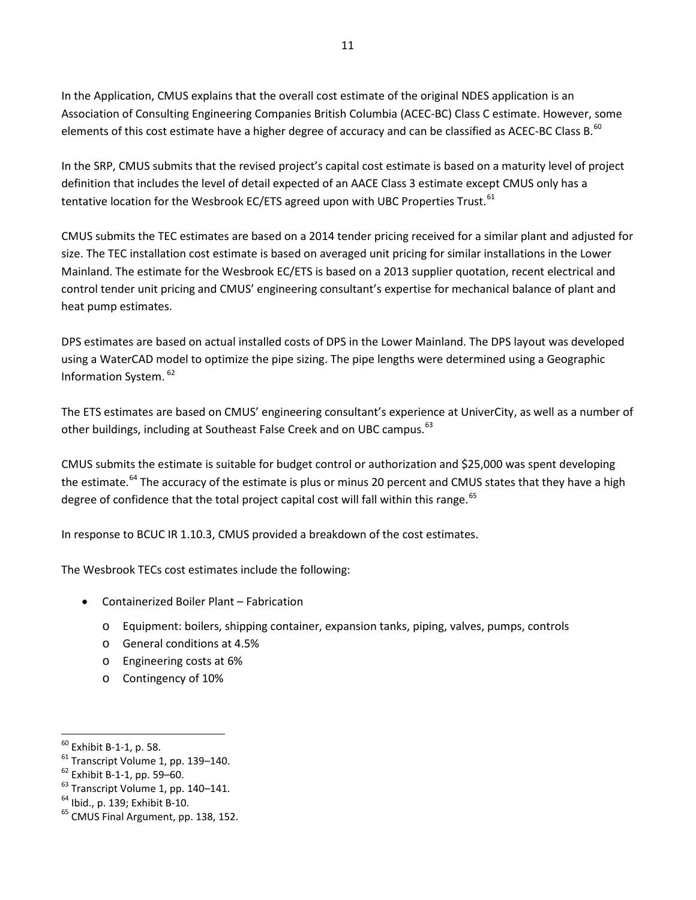In the Application, CMUS explains that the overall cost estimate of the original NDES application is an Association of Consulting Engineering Companies British Columbia (ACEC-BC) Class C estimate. However, some elements of this cost estimate have a higher degree of accuracy and can be classified as ACEC-BC Class B.<sup>[60](#page-17-0)</sup>

In the SRP, CMUS submits that the revised project's capital cost estimate is based on a maturity level of project definition that includes the level of detail expected of an AACE Class 3 estimate except CMUS only has a tentative location for the Wesbrook EC/ETS agreed upon with UBC Properties Trust.<sup>[61](#page-17-1)</sup>

CMUS submits the TEC estimates are based on a 2014 tender pricing received for a similar plant and adjusted for size. The TEC installation cost estimate is based on averaged unit pricing for similar installations in the Lower Mainland. The estimate for the Wesbrook EC/ETS is based on a 2013 supplier quotation, recent electrical and control tender unit pricing and CMUS' engineering consultant's expertise for mechanical balance of plant and heat pump estimates.

DPS estimates are based on actual installed costs of DPS in the Lower Mainland. The DPS layout was developed using a WaterCAD model to optimize the pipe sizing. The pipe lengths were determined using a Geographic Information System. [62](#page-17-2) 

The ETS estimates are based on CMUS' engineering consultant's experience at UniverCity, as well as a number of other buildings, including at Southeast False Creek and on UBC campus.<sup>[63](#page-17-3)</sup>

CMUS submits the estimate is suitable for budget control or authorization and \$25,000 was spent developing the estimate.<sup>[64](#page-17-4)</sup> The accuracy of the estimate is plus or minus 20 percent and CMUS states that they have a high degree of confidence that the total project capital cost will fall within this range.<sup>65</sup>

In response to BCUC IR 1.10.3, CMUS provided a breakdown of the cost estimates.

The Wesbrook TECs cost estimates include the following:

- Containerized Boiler Plant Fabrication
	- o Equipment: boilers, shipping container, expansion tanks, piping, valves, pumps, controls
	- o General conditions at 4.5%
	- o Engineering costs at 6%
	- o Contingency of 10%

<span id="page-17-0"></span><sup>&</sup>lt;sup>60</sup> Exhibit B-1-1, p. 58.

<span id="page-17-2"></span>

<span id="page-17-1"></span><sup>&</sup>lt;sup>61</sup> Transcript Volume 1, pp. 139–140.<br><sup>62</sup> Exhibit B-1-1, pp. 59–60.<br><sup>63</sup> Transcript Volume 1, pp. 140–141.<br><sup>64</sup> Ibid., p. 139; Exhibit B-10.<br><sup>65</sup> CMUS Final Argument, pp. 138, 152.

<span id="page-17-4"></span><span id="page-17-3"></span>

<span id="page-17-5"></span>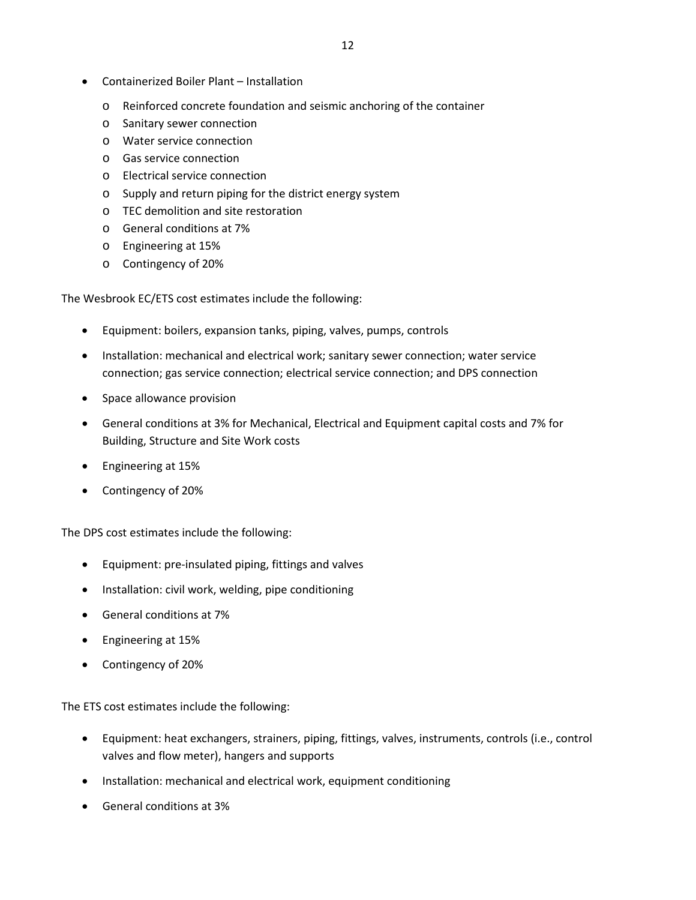- Containerized Boiler Plant Installation
	- o Reinforced concrete foundation and seismic anchoring of the container
	- o Sanitary sewer connection
	- o Water service connection
	- o Gas service connection
	- o Electrical service connection
	- o Supply and return piping for the district energy system
	- o TEC demolition and site restoration
	- o General conditions at 7%
	- o Engineering at 15%
	- o Contingency of 20%

The Wesbrook EC/ETS cost estimates include the following:

- Equipment: boilers, expansion tanks, piping, valves, pumps, controls
- Installation: mechanical and electrical work; sanitary sewer connection; water service connection; gas service connection; electrical service connection; and DPS connection
- Space allowance provision
- General conditions at 3% for Mechanical, Electrical and Equipment capital costs and 7% for Building, Structure and Site Work costs
- Engineering at 15%
- Contingency of 20%

The DPS cost estimates include the following:

- Equipment: pre-insulated piping, fittings and valves
- Installation: civil work, welding, pipe conditioning
- General conditions at 7%
- Engineering at 15%
- Contingency of 20%

The ETS cost estimates include the following:

- Equipment: heat exchangers, strainers, piping, fittings, valves, instruments, controls (i.e., control valves and flow meter), hangers and supports
- Installation: mechanical and electrical work, equipment conditioning
- General conditions at 3%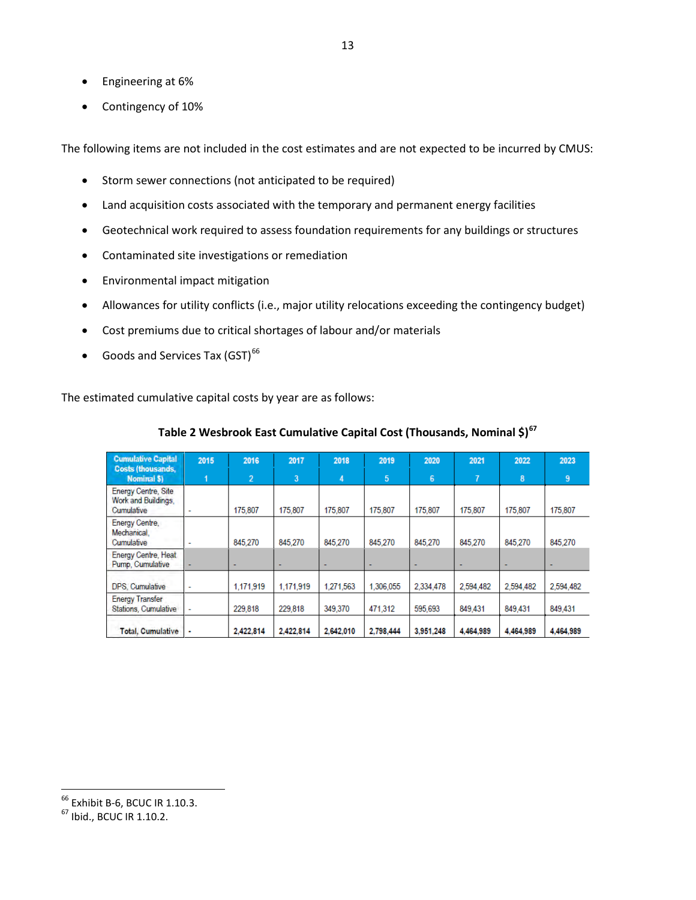- Engineering at 6%
- Contingency of 10%

The following items are not included in the cost estimates and are not expected to be incurred by CMUS:

- Storm sewer connections (not anticipated to be required)
- Land acquisition costs associated with the temporary and permanent energy facilities
- Geotechnical work required to assess foundation requirements for any buildings or structures
- Contaminated site investigations or remediation
- Environmental impact mitigation
- Allowances for utility conflicts (i.e., major utility relocations exceeding the contingency budget)
- Cost premiums due to critical shortages of labour and/or materials
- Goods and Services Tax  $(GST)^{66}$  $(GST)^{66}$  $(GST)^{66}$

The estimated cumulative capital costs by year are as follows:

| <b>Cumulative Capital</b><br><b>Costs (thousands,</b>           | 2015                     | 2016           | 2017                     | 2018      | 2019      | 2020      | 2021      | 2022      | 2023      |
|-----------------------------------------------------------------|--------------------------|----------------|--------------------------|-----------|-----------|-----------|-----------|-----------|-----------|
| Nominal \$)                                                     |                          | $\overline{2}$ | 3                        | 4         | 5         | 6         | 7         | 8         | 9         |
| <b>Energy Centre, Site</b><br>Work and Buildings,<br>Cumulative | $\overline{\phantom{a}}$ | 175,807        | 175,807                  | 175,807   | 175,807   | 175,807   | 175,807   | 175,807   | 175,807   |
| Energy Centre,<br>Mechanical.<br>Cumulative                     | ٠                        | 845.270        | 845.270                  | 845.270   | 845.270   | 845.270   | 845.270   | 845.270   | 845.270   |
| Energy Centre, Heat<br>Pump, Cumulative                         | $\overline{\phantom{a}}$ | ٠              | $\overline{\phantom{a}}$ |           |           |           |           |           |           |
| DPS, Cumulative                                                 | ٠                        | 1,171,919      | 1,171,919                | 1,271,563 | 1.306.055 | 2,334,478 | 2,594,482 | 2,594,482 | 2,594,482 |
| <b>Energy Transfer</b><br><b>Stations, Cumulative</b>           | $\sim$                   | 229,818        | 229.818                  | 349.370   | 471.312   | 595.693   | 849.431   | 849.431   | 849.431   |
| <b>Total, Cumulative</b>                                        | ٠                        | 2.422.814      | 2.422.814                | 2.642.010 | 2.798.444 | 3.951.248 | 4.464.989 | 4.464.989 | 4.464.989 |

#### **Table 2 Wesbrook East Cumulative Capital Cost (Thousands, Nominal \$)[67](#page-19-1)**

<span id="page-19-1"></span>

<span id="page-19-0"></span><sup>&</sup>lt;sup>66</sup> Exhibit B-6, BCUC IR 1.10.3.<br><sup>67</sup> Ibid., BCUC IR 1.10.2.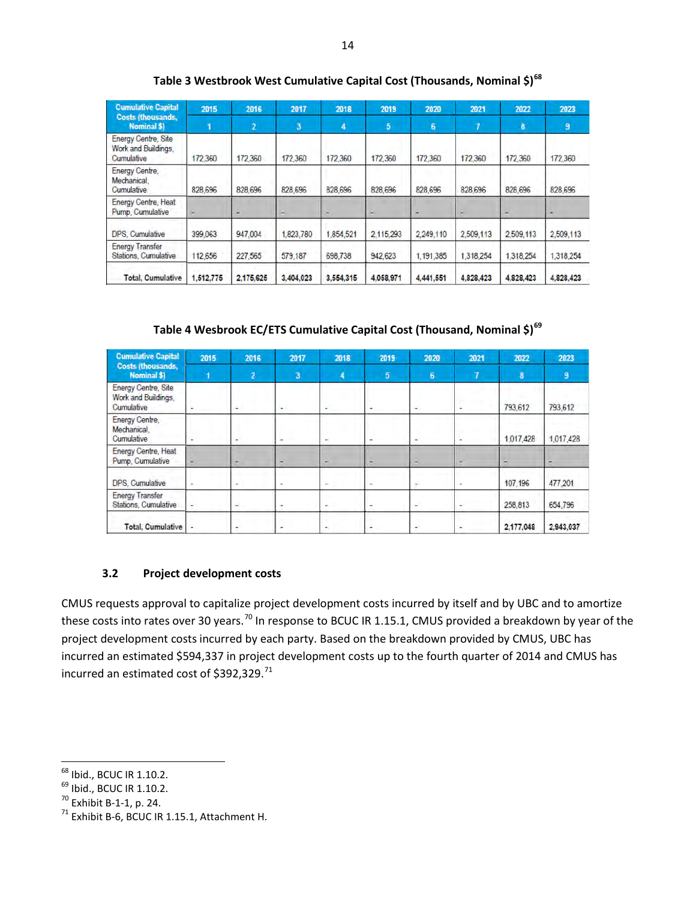| <b>Cumulative Capital</b>                                       | 2015      | 2016           | 2017      | 2018      | 2019      | 2020           | 2021      | 2022      | 2023      |
|-----------------------------------------------------------------|-----------|----------------|-----------|-----------|-----------|----------------|-----------|-----------|-----------|
| <b>Costs (thousands,</b><br><b>Nominal \$)</b>                  |           | $\overline{2}$ | 3         | 4         | 5         | $6\phantom{1}$ |           | 8         | 9         |
| <b>Energy Centre, Site</b><br>Work and Buildings,<br>Cumulative | 172,360   | 172,360        | 172,360   | 172,360   | 172,360   | 172,360        | 172,360   | 172,360   | 172,360   |
| Energy Centre,<br>Mechanical.<br>Cumulative                     | 828,696   | 828,696        | 828,696   | 828,696   | 828,696   | 828,696        | 828,696   | 828,696   | 828,696   |
| <b>Energy Centre, Heat</b><br>Pump, Cumulative                  |           |                |           | ٠         |           | ٠              |           |           |           |
| DPS. Cumulative                                                 | 399,063   | 947,004        | 1,823,780 | 1,854,521 | 2.115.293 | 2,249,110      | 2,509,113 | 2,509,113 | 2,509.113 |
| <b>Energy Transfer</b><br>Stations, Cumulative                  | 112,656   | 227,565        | 579,187   | 698,738   | 942,623   | 1,191,385      | 1,318,254 | 1,318,254 | 1,318,254 |
| <b>Total, Cumulative</b>                                        | 1.512.775 | 2.175.625      | 3.404,023 | 3.554.315 | 4.058.971 | 4.441.551      | 4.828.423 | 4,828,423 | 4,828,423 |

**Table 3 Westbrook West Cumulative Capital Cost (Thousands, Nominal \$)[68](#page-20-1)**

**Table 4 Wesbrook EC/ETS Cumulative Capital Cost (Thousand, Nominal \$)[69](#page-20-2)**

| <b>Cumulative Capital</b>                                       | 2015                     | 2016           | 2017         | 2018       | 2019            | 2020           | 2021 | 2022      | 2023      |
|-----------------------------------------------------------------|--------------------------|----------------|--------------|------------|-----------------|----------------|------|-----------|-----------|
| <b>Costs (thousands,</b><br>Nominal \$)                         |                          | $\overline{2}$ | $\mathbf{a}$ | 4          | $5\phantom{.0}$ | 6 <sub>6</sub> | 7    | 8         | 9         |
| <b>Energy Centre, Site</b><br>Work and Buildings,<br>Cumulative |                          | . .            | ۰            | ÷          |                 | $\sim$         |      | 793,612   | 793,612   |
| Energy Centre,<br>Mechanical.<br>Cumulative                     |                          |                |              | $\sim$     |                 | $\sim$         |      | 1,017,428 | 1,017,428 |
| Energy Centre, Heat<br>Pump, Cumulative                         |                          |                |              |            |                 |                |      |           |           |
| DPS. Cumulative                                                 |                          |                | ×.           | ÷          |                 | ٠              | ۰    | 107.196   | 477,201   |
| <b>Energy Transfer</b><br>Stations, Cumulative                  | $\overline{\phantom{a}}$ | ×.             | $\sim$       | <b>COL</b> |                 | $\sim$         |      | 258,813   | 654,796   |
| <b>Total, Cumulative</b>                                        |                          | ۰              | ۰            |            | ۰               | ۰              | ۰    | 2,177,048 | 2,943,037 |

# **3.2 Project development costs**

<span id="page-20-0"></span>CMUS requests approval to capitalize project development costs incurred by itself and by UBC and to amortize these costs into rates over 30 years.<sup>[70](#page-20-3)</sup> In response to BCUC IR 1.15.1, CMUS provided a breakdown by year of the project development costs incurred by each party. Based on the breakdown provided by CMUS, UBC has incurred an estimated \$594,337 in project development costs up to the fourth quarter of 2014 and CMUS has incurred an estimated cost of \$392,329.<sup>[71](#page-20-4)</sup>

<span id="page-20-1"></span> $<sup>68</sup>$  Ibid., BCUC IR 1.10.2.</sup>

<span id="page-20-4"></span><span id="page-20-3"></span>

<span id="page-20-2"></span> $^{69}$  Ibid., BCUC IR 1.10.2.<br>  $^{70}$  Exhibit B-1-1, p. 24.<br>
<sup>71</sup> Exhibit B-6, BCUC IR 1.15.1, Attachment H.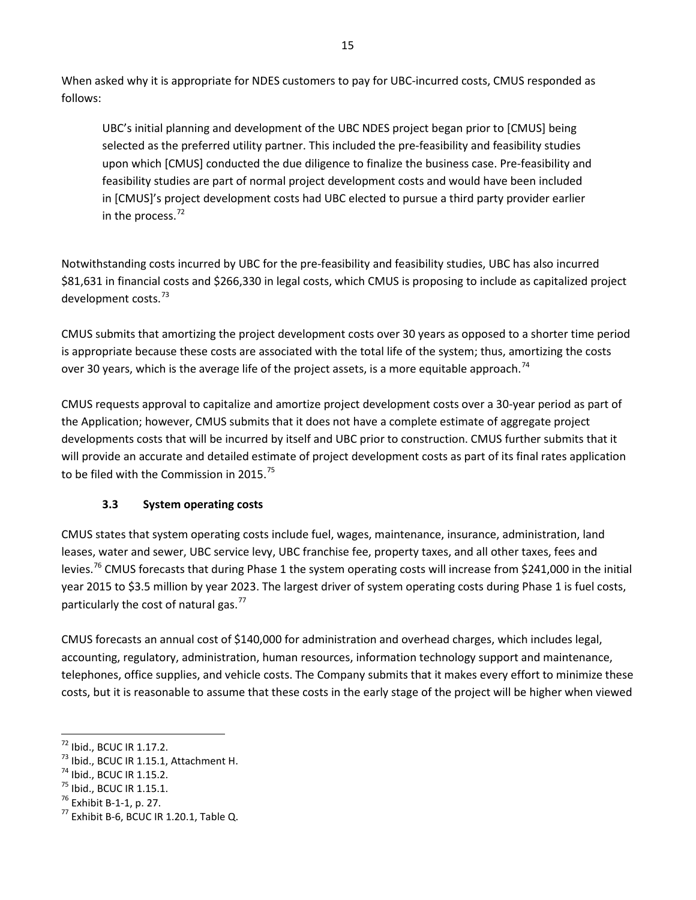When asked why it is appropriate for NDES customers to pay for UBC-incurred costs, CMUS responded as follows:

UBC's initial planning and development of the UBC NDES project began prior to [CMUS] being selected as the preferred utility partner. This included the pre-feasibility and feasibility studies upon which [CMUS] conducted the due diligence to finalize the business case. Pre-feasibility and feasibility studies are part of normal project development costs and would have been included in [CMUS]'s project development costs had UBC elected to pursue a third party provider earlier in the process. $72$ 

Notwithstanding costs incurred by UBC for the pre-feasibility and feasibility studies, UBC has also incurred \$81,631 in financial costs and \$266,330 in legal costs, which CMUS is proposing to include as capitalized project development costs.<sup>[73](#page-21-2)</sup>

CMUS submits that amortizing the project development costs over 30 years as opposed to a shorter time period is appropriate because these costs are associated with the total life of the system; thus, amortizing the costs over 30 years, which is the average life of the project assets, is a more equitable approach.<sup>[74](#page-21-3)</sup>

CMUS requests approval to capitalize and amortize project development costs over a 30-year period as part of the Application; however, CMUS submits that it does not have a complete estimate of aggregate project developments costs that will be incurred by itself and UBC prior to construction. CMUS further submits that it will provide an accurate and detailed estimate of project development costs as part of its final rates application to be filed with the Commission in 2015.<sup>[75](#page-21-4)</sup>

# **3.3 System operating costs**

<span id="page-21-0"></span>CMUS states that system operating costs include fuel, wages, maintenance, insurance, administration, land leases, water and sewer, UBC service levy, UBC franchise fee, property taxes, and all other taxes, fees and levies.<sup>[76](#page-21-5)</sup> CMUS forecasts that during Phase 1 the system operating costs will increase from \$241,000 in the initial year 2015 to \$3.5 million by year 2023. The largest driver of system operating costs during Phase 1 is fuel costs, particularly the cost of natural gas. $^{77}$  $^{77}$  $^{77}$ 

CMUS forecasts an annual cost of \$140,000 for administration and overhead charges, which includes legal, accounting, regulatory, administration, human resources, information technology support and maintenance, telephones, office supplies, and vehicle costs. The Company submits that it makes every effort to minimize these costs, but it is reasonable to assume that these costs in the early stage of the project will be higher when viewed

<span id="page-21-1"></span><sup>72</sup> Ibid., BCUC IR 1.17.2.

<span id="page-21-3"></span><span id="page-21-2"></span><sup>&</sup>lt;sup>73</sup> Ibid., BCUC IR 1.15.1, Attachment H.<br><sup>74</sup> Ibid., BCUC IR 1.15.2.<br><sup>75</sup> Ibid., BCUC IR 1.15.1.<br><sup>76</sup> Exhibit B-1-1, p. 27.<br><sup>77</sup> Exhibit B-6. BCUC IR 1.20.1. Table Q.

<span id="page-21-4"></span>

<span id="page-21-5"></span>

<span id="page-21-6"></span>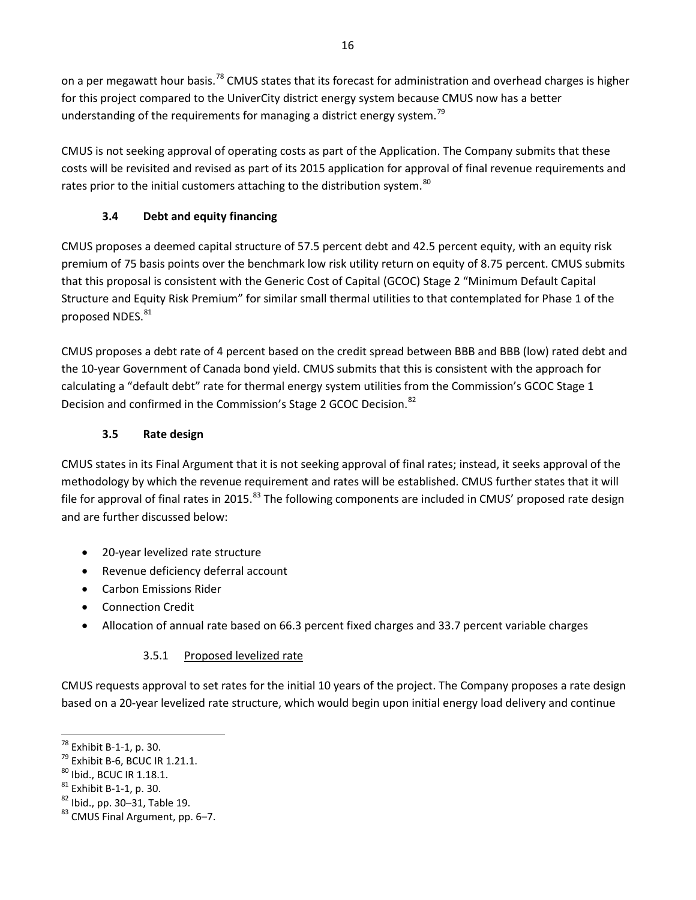on a per megawatt hour basis.<sup>[78](#page-22-3)</sup> CMUS states that its forecast for administration and overhead charges is higher for this project compared to the UniverCity district energy system because CMUS now has a better understanding of the requirements for managing a district energy system.<sup>[79](#page-22-4)</sup>

CMUS is not seeking approval of operating costs as part of the Application. The Company submits that these costs will be revisited and revised as part of its 2015 application for approval of final revenue requirements and rates prior to the initial customers attaching to the distribution system.<sup>[80](#page-22-5)</sup>

# **3.4 Debt and equity financing**

<span id="page-22-0"></span>CMUS proposes a deemed capital structure of 57.5 percent debt and 42.5 percent equity, with an equity risk premium of 75 basis points over the benchmark low risk utility return on equity of 8.75 percent. CMUS submits that this proposal is consistent with the Generic Cost of Capital (GCOC) Stage 2 "Minimum Default Capital Structure and Equity Risk Premium" for similar small thermal utilities to that contemplated for Phase 1 of the proposed NDES.<sup>[81](#page-22-6)</sup>

CMUS proposes a debt rate of 4 percent based on the credit spread between BBB and BBB (low) rated debt and the 10-year Government of Canada bond yield. CMUS submits that this is consistent with the approach for calculating a "default debt" rate for thermal energy system utilities from the Commission's GCOC Stage 1 Decision and confirmed in the Commission's Stage 2 GCOC Decision.<sup>[82](#page-22-7)</sup>

# **3.5 Rate design**

<span id="page-22-1"></span>CMUS states in its Final Argument that it is not seeking approval of final rates; instead, it seeks approval of the methodology by which the revenue requirement and rates will be established. CMUS further states that it will file for approval of final rates in 2015.<sup>[83](#page-22-8)</sup> The following components are included in CMUS' proposed rate design and are further discussed below:

- 20-year levelized rate structure
- Revenue deficiency deferral account
- Carbon Emissions Rider
- Connection Credit
- <span id="page-22-2"></span>• Allocation of annual rate based on 66.3 percent fixed charges and 33.7 percent variable charges

# 3.5.1 Proposed levelized rate

CMUS requests approval to set rates for the initial 10 years of the project. The Company proposes a rate design based on a 20-year levelized rate structure, which would begin upon initial energy load delivery and continue

<span id="page-22-3"></span><sup>&</sup>lt;sup>78</sup> Exhibit B-1-1, p. 30.

<span id="page-22-6"></span>

<span id="page-22-5"></span><span id="page-22-4"></span><sup>&</sup>lt;sup>79</sup> Exhibit B-6, BCUC IR 1.21.1.<br><sup>80</sup> Ibid., BCUC IR 1.18.1.<br><sup>81</sup> Exhibit B-1-1, p. 30.<br><sup>82</sup> Ibid., pp. 30–31, Table 19. 8<sup>3</sup> CMUS Final Argument, pp. 6–7.

<span id="page-22-8"></span><span id="page-22-7"></span>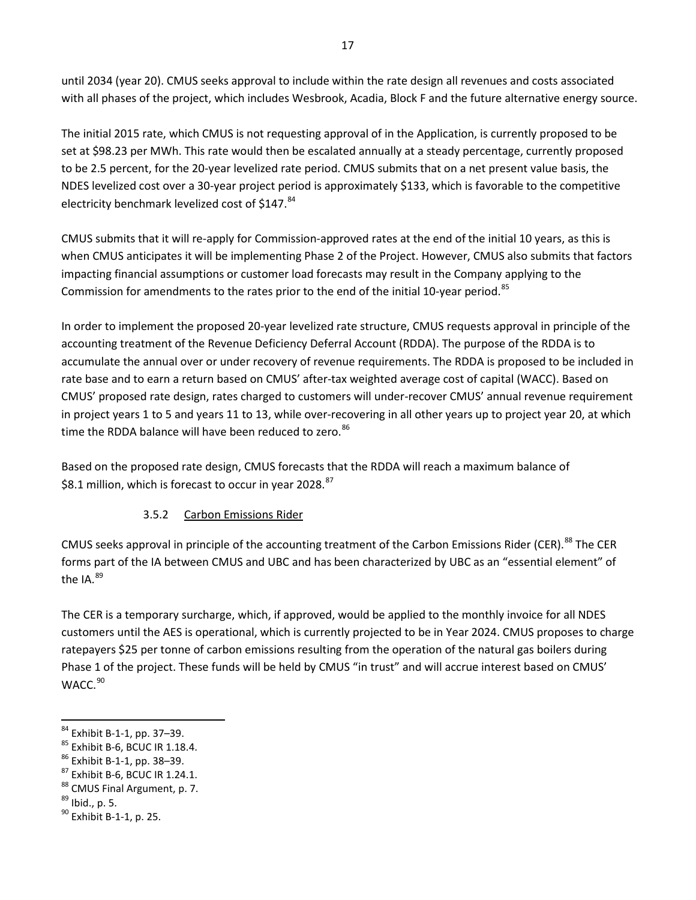until 2034 (year 20). CMUS seeks approval to include within the rate design all revenues and costs associated with all phases of the project, which includes Wesbrook, Acadia, Block F and the future alternative energy source.

The initial 2015 rate, which CMUS is not requesting approval of in the Application, is currently proposed to be set at \$98.23 per MWh. This rate would then be escalated annually at a steady percentage, currently proposed to be 2.5 percent, for the 20-year levelized rate period. CMUS submits that on a net present value basis, the NDES levelized cost over a 30-year project period is approximately \$133, which is favorable to the competitive electricity benchmark levelized cost of  $$147.^{84}$  $$147.^{84}$  $$147.^{84}$ 

CMUS submits that it will re-apply for Commission-approved rates at the end of the initial 10 years, as this is when CMUS anticipates it will be implementing Phase 2 of the Project. However, CMUS also submits that factors impacting financial assumptions or customer load forecasts may result in the Company applying to the Commission for amendments to the rates prior to the end of the initial 10-year period.<sup>[85](#page-23-2)</sup>

In order to implement the proposed 20-year levelized rate structure, CMUS requests approval in principle of the accounting treatment of the Revenue Deficiency Deferral Account (RDDA). The purpose of the RDDA is to accumulate the annual over or under recovery of revenue requirements. The RDDA is proposed to be included in rate base and to earn a return based on CMUS' after-tax weighted average cost of capital (WACC). Based on CMUS' proposed rate design, rates charged to customers will under-recover CMUS' annual revenue requirement in project years 1 to 5 and years 11 to 13, while over-recovering in all other years up to project year 20, at which time the RDDA balance will have been reduced to zero.<sup>86</sup>

<span id="page-23-0"></span>Based on the proposed rate design, CMUS forecasts that the RDDA will reach a maximum balance of \$8.1 million, which is forecast to occur in year 2028.<sup>[87](#page-23-4)</sup>

# 3.5.2 Carbon Emissions Rider

CMUS seeks approval in principle of the accounting treatment of the Carbon Emissions Rider (CER).<sup>[88](#page-23-5)</sup> The CER forms part of the IA between CMUS and UBC and has been characterized by UBC as an "essential element" of the IA. $^{89}$ 

The CER is a temporary surcharge, which, if approved, would be applied to the monthly invoice for all NDES customers until the AES is operational, which is currently projected to be in Year 2024. CMUS proposes to charge ratepayers \$25 per tonne of carbon emissions resulting from the operation of the natural gas boilers during Phase 1 of the project. These funds will be held by CMUS "in trust" and will accrue interest based on CMUS' WACC.<sup>[90](#page-23-7)</sup>

- <span id="page-23-3"></span>
- <span id="page-23-2"></span><sup>85</sup> Exhibit B-6, BCUC IR 1.18.4.<br><sup>86</sup> Exhibit B-1-1, pp. 38–39.<br><sup>87</sup> Exhibit B-6, BCUC IR 1.24.1.<br><sup>88</sup> CMUS Final Argument, p. 7.<br><sup>89</sup> Ibid., p. 5.<br><sup>90</sup> Exhibit B-1-1, p. 25.
- <span id="page-23-5"></span><span id="page-23-4"></span>
- <span id="page-23-6"></span>

<span id="page-23-1"></span><sup>84</sup> Exhibit B-1-1, pp. 37-39.

<span id="page-23-7"></span>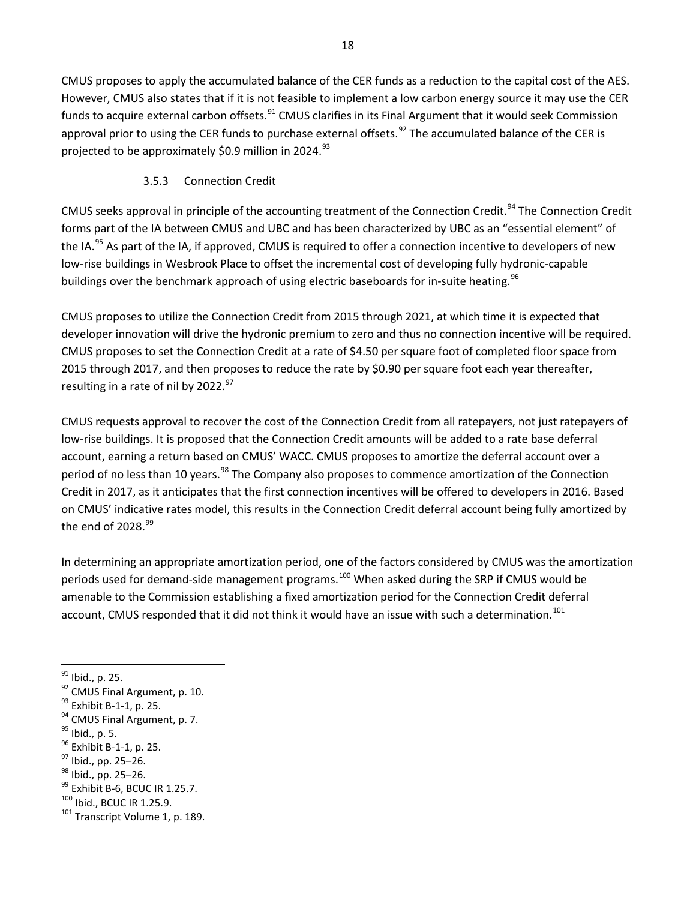CMUS proposes to apply the accumulated balance of the CER funds as a reduction to the capital cost of the AES. However, CMUS also states that if it is not feasible to implement a low carbon energy source it may use the CER funds to acquire external carbon offsets.<sup>[91](#page-24-1)</sup> CMUS clarifies in its Final Argument that it would seek Commission approval prior to using the CER funds to purchase external offsets.<sup>[92](#page-24-2)</sup> The accumulated balance of the CER is projected to be approximately \$0.9 million in 2024. $93$ 

# 3.5.3 Connection Credit

<span id="page-24-0"></span>CMUS seeks approval in principle of the accounting treatment of the Connection Credit.<sup>[94](#page-24-4)</sup> The Connection Credit forms part of the IA between CMUS and UBC and has been characterized by UBC as an "essential element" of the IA.<sup>[95](#page-24-5)</sup> As part of the IA, if approved, CMUS is required to offer a connection incentive to developers of new low-rise buildings in Wesbrook Place to offset the incremental cost of developing fully hydronic-capable buildings over the benchmark approach of using electric baseboards for in-suite heating.<sup>[96](#page-24-6)</sup>

CMUS proposes to utilize the Connection Credit from 2015 through 2021, at which time it is expected that developer innovation will drive the hydronic premium to zero and thus no connection incentive will be required. CMUS proposes to set the Connection Credit at a rate of \$4.50 per square foot of completed floor space from 2015 through 2017, and then proposes to reduce the rate by \$0.90 per square foot each year thereafter, resulting in a rate of nil by 2022.<sup>97</sup>

CMUS requests approval to recover the cost of the Connection Credit from all ratepayers, not just ratepayers of low-rise buildings. It is proposed that the Connection Credit amounts will be added to a rate base deferral account, earning a return based on CMUS' WACC. CMUS proposes to amortize the deferral account over a period of no less than 10 years.<sup>[98](#page-24-8)</sup> The Company also proposes to commence amortization of the Connection Credit in 2017, as it anticipates that the first connection incentives will be offered to developers in 2016. Based on CMUS' indicative rates model, this results in the Connection Credit deferral account being fully amortized by the end of  $2028.<sup>99</sup>$  $2028.<sup>99</sup>$  $2028.<sup>99</sup>$ 

In determining an appropriate amortization period, one of the factors considered by CMUS was the amortization periods used for demand-side management programs.<sup>[100](#page-24-10)</sup> When asked during the SRP if CMUS would be amenable to the Commission establishing a fixed amortization period for the Connection Credit deferral account, CMUS responded that it did not think it would have an issue with such a determination.<sup>[101](#page-24-11)</sup>

 $\overline{\phantom{a}}$ 

<span id="page-24-2"></span><span id="page-24-1"></span><sup>&</sup>lt;sup>91</sup> Ibid., p. 25.<br>
<sup>92</sup> CMUS Final Argument, p. 10.<br>
<sup>93</sup> Exhibit B-1-1, p. 25.<br>
<sup>94</sup> CMUS Final Argument, p. 7.<br>
<sup>95</sup> Ibid., p. 5.<br>
<sup>96</sup> Exhibit B-1-1, p. 25.<br>
<sup>97</sup> Ibid., pp. 25–26.<br>
<sup>98</sup> Ibid., pp. 25–26.<br>
<sup>99</sup> Exhibi

<span id="page-24-3"></span>

<span id="page-24-4"></span>

<span id="page-24-5"></span>

<span id="page-24-6"></span>

<span id="page-24-7"></span>

<span id="page-24-8"></span>

<span id="page-24-9"></span>

<span id="page-24-10"></span>

<span id="page-24-11"></span>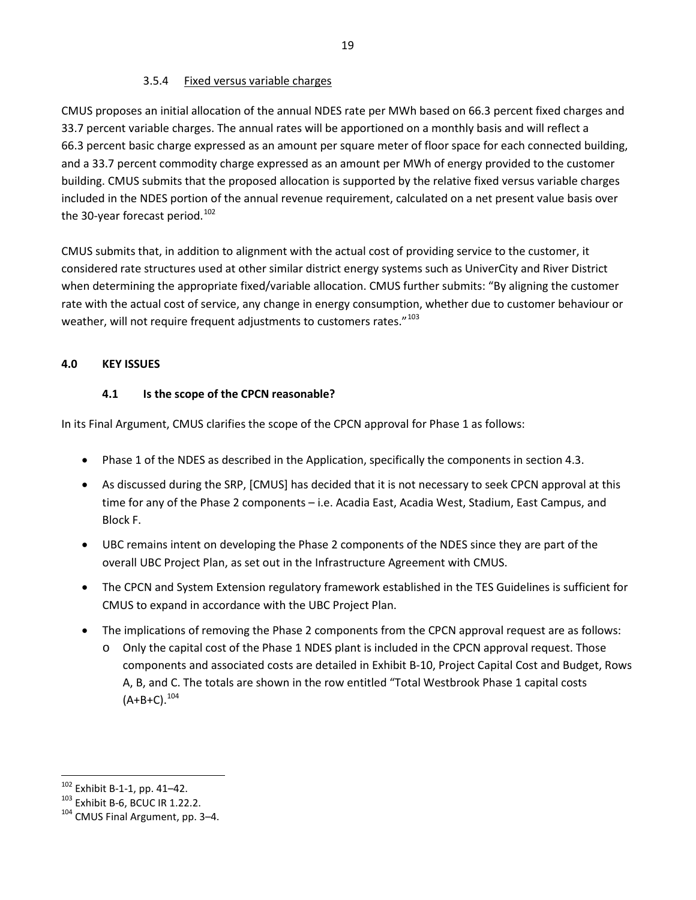#### 3.5.4 Fixed versus variable charges

<span id="page-25-0"></span>CMUS proposes an initial allocation of the annual NDES rate per MWh based on 66.3 percent fixed charges and 33.7 percent variable charges. The annual rates will be apportioned on a monthly basis and will reflect a 66.3 percent basic charge expressed as an amount per square meter of floor space for each connected building, and a 33.7 percent commodity charge expressed as an amount per MWh of energy provided to the customer building. CMUS submits that the proposed allocation is supported by the relative fixed versus variable charges included in the NDES portion of the annual revenue requirement, calculated on a net present value basis over the 30-year forecast period.<sup>[102](#page-25-3)</sup>

CMUS submits that, in addition to alignment with the actual cost of providing service to the customer, it considered rate structures used at other similar district energy systems such as UniverCity and River District when determining the appropriate fixed/variable allocation. CMUS further submits: "By aligning the customer rate with the actual cost of service, any change in energy consumption, whether due to customer behaviour or weather, will not require frequent adjustments to customers rates."<sup>[103](#page-25-4)</sup>

#### <span id="page-25-2"></span><span id="page-25-1"></span>**4.0 KEY ISSUES**

#### **4.1 Is the scope of the CPCN reasonable?**

In its Final Argument, CMUS clarifies the scope of the CPCN approval for Phase 1 as follows:

- Phase 1 of the NDES as described in the Application, specifically the components in section 4.3.
- As discussed during the SRP, [CMUS] has decided that it is not necessary to seek CPCN approval at this time for any of the Phase 2 components – i.e. Acadia East, Acadia West, Stadium, East Campus, and Block F.
- UBC remains intent on developing the Phase 2 components of the NDES since they are part of the overall UBC Project Plan, as set out in the Infrastructure Agreement with CMUS.
- The CPCN and System Extension regulatory framework established in the TES Guidelines is sufficient for CMUS to expand in accordance with the UBC Project Plan.
- The implications of removing the Phase 2 components from the CPCN approval request are as follows:
	- o Only the capital cost of the Phase 1 NDES plant is included in the CPCN approval request. Those components and associated costs are detailed in Exhibit B-10, Project Capital Cost and Budget, Rows A, B, and C. The totals are shown in the row entitled "Total Westbrook Phase 1 capital costs  $(A+B+C).^{104}$  $(A+B+C).^{104}$  $(A+B+C).^{104}$

<span id="page-25-3"></span> $102$  Exhibit B-1-1, pp. 41-42.

<span id="page-25-4"></span> $103$  Exhibit B-6, BCUC IR 1.22.2.<br> $104$  CMUS Final Argument, pp. 3–4.

<span id="page-25-5"></span>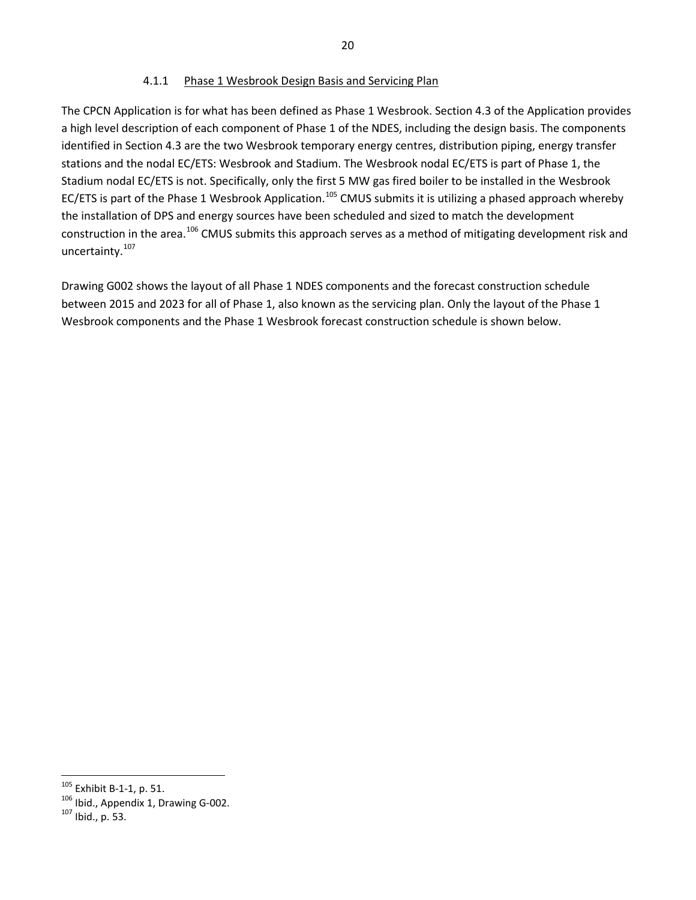#### 4.1.1 Phase 1 Wesbrook Design Basis and Servicing Plan

<span id="page-26-0"></span>The CPCN Application is for what has been defined as Phase 1 Wesbrook. Section 4.3 of the Application provides a high level description of each component of Phase 1 of the NDES, including the design basis. The components identified in Section 4.3 are the two Wesbrook temporary energy centres, distribution piping, energy transfer stations and the nodal EC/ETS: Wesbrook and Stadium. The Wesbrook nodal EC/ETS is part of Phase 1, the Stadium nodal EC/ETS is not. Specifically, only the first 5 MW gas fired boiler to be installed in the Wesbrook EC/ETS is part of the Phase 1 Wesbrook Application.<sup>[105](#page-26-1)</sup> CMUS submits it is utilizing a phased approach whereby the installation of DPS and energy sources have been scheduled and sized to match the development construction in the area.<sup>[106](#page-26-2)</sup> CMUS submits this approach serves as a method of mitigating development risk and uncertainty.[107](#page-26-3)

Drawing G002 shows the layout of all Phase 1 NDES components and the forecast construction schedule between 2015 and 2023 for all of Phase 1, also known as the servicing plan. Only the layout of the Phase 1 Wesbrook components and the Phase 1 Wesbrook forecast construction schedule is shown below.

<span id="page-26-1"></span> $105$  Exhibit B-1-1, p. 51.

<span id="page-26-3"></span><span id="page-26-2"></span> $105$  Ibid., Appendix 1, Drawing G-002.  $107$  Ibid., p. 53.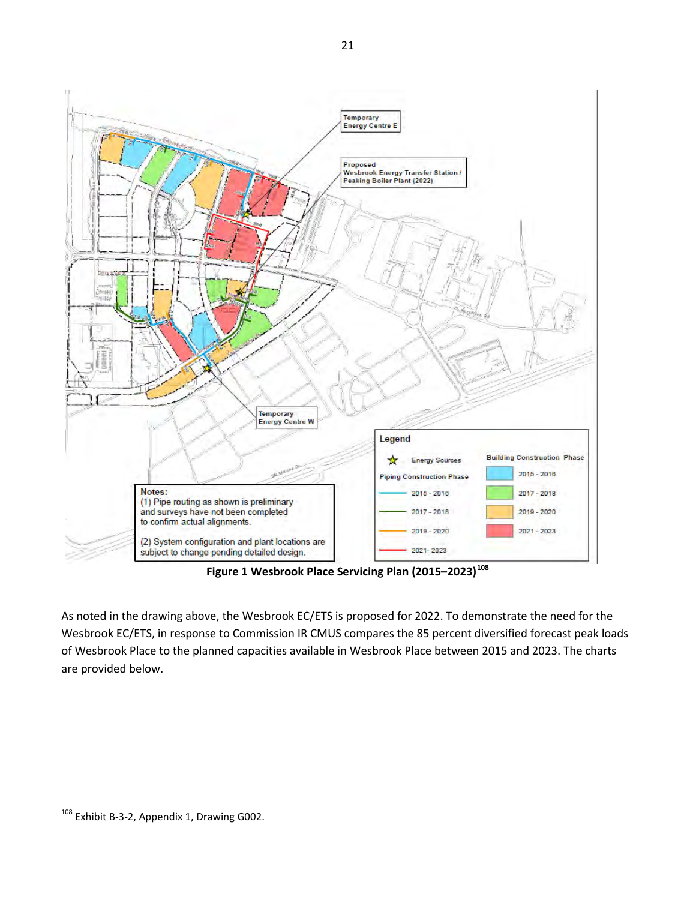

**Figure 1 Wesbrook Place Servicing Plan (2015–2023)[108](#page-27-0)** 

As noted in the drawing above, the Wesbrook EC/ETS is proposed for 2022. To demonstrate the need for the Wesbrook EC/ETS, in response to Commission IR CMUS compares the 85 percent diversified forecast peak loads of Wesbrook Place to the planned capacities available in Wesbrook Place between 2015 and 2023. The charts are provided below.

<span id="page-27-0"></span>l  $^{108}$  Exhibit B-3-2, Appendix 1, Drawing G002.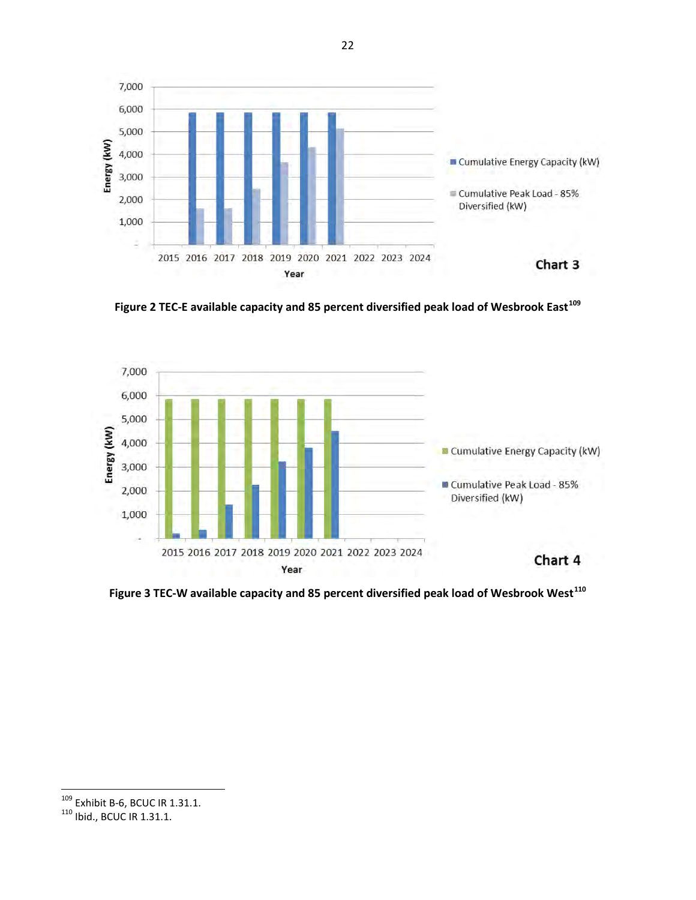

**Figure 2 TEC-E available capacity and 85 percent diversified peak load of Wesbrook East[109](#page-28-0)**



**Figure 3 TEC-W available capacity and 85 percent diversified peak load of Wesbrook West[110](#page-28-1)**

<span id="page-28-0"></span><sup>&</sup>lt;sup>109</sup> Exhibit B-6, BCUC IR 1.31.1.<br><sup>110</sup> Ibid., BCUC IR 1.31.1.

<span id="page-28-1"></span>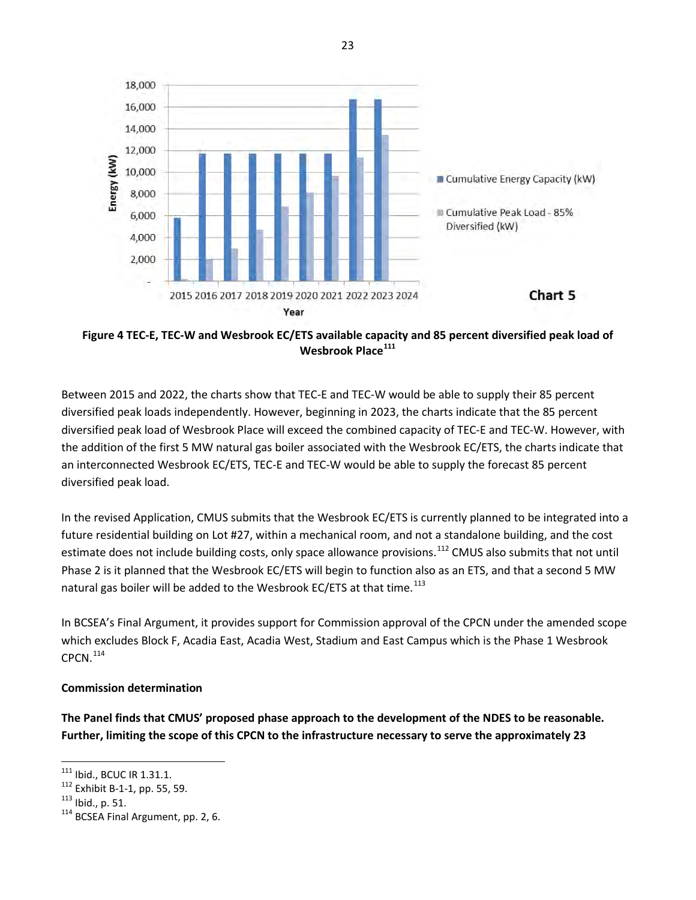

**Figure 4 TEC-E, TEC-W and Wesbrook EC/ETS available capacity and 85 percent diversified peak load of Wesbrook Place[111](#page-29-0)**

Between 2015 and 2022, the charts show that TEC-E and TEC-W would be able to supply their 85 percent diversified peak loads independently. However, beginning in 2023, the charts indicate that the 85 percent diversified peak load of Wesbrook Place will exceed the combined capacity of TEC-E and TEC-W. However, with the addition of the first 5 MW natural gas boiler associated with the Wesbrook EC/ETS, the charts indicate that an interconnected Wesbrook EC/ETS, TEC-E and TEC-W would be able to supply the forecast 85 percent diversified peak load.

In the revised Application, CMUS submits that the Wesbrook EC/ETS is currently planned to be integrated into a future residential building on Lot #27, within a mechanical room, and not a standalone building, and the cost estimate does not include building costs, only space allowance provisions.<sup>[112](#page-29-1)</sup> CMUS also submits that not until Phase 2 is it planned that the Wesbrook EC/ETS will begin to function also as an ETS, and that a second 5 MW natural gas boiler will be added to the Wesbrook EC/ETS at that time.<sup>[113](#page-29-2)</sup>

In BCSEA's Final Argument, it provides support for Commission approval of the CPCN under the amended scope which excludes Block F, Acadia East, Acadia West, Stadium and East Campus which is the Phase 1 Wesbrook  $CPCN.<sup>114</sup>$  $CPCN.<sup>114</sup>$  $CPCN.<sup>114</sup>$ 

#### **Commission determination**

<span id="page-29-4"></span>**The Panel finds that CMUS' proposed phase approach to the development of the NDES to be reasonable. Further, limiting the scope of this CPCN to the infrastructure necessary to serve the approximately 23** 

<span id="page-29-0"></span> $^{111}$  Ibid., BCUC IR 1.31.1.

<span id="page-29-3"></span><span id="page-29-2"></span>

<span id="page-29-1"></span><sup>112</sup> Exhibit B-1-1, pp. 55, 59.<br>
<sup>113</sup> Ibid., p. 51.<br>
<sup>114</sup> BCSEA Final Argument, pp. 2, 6.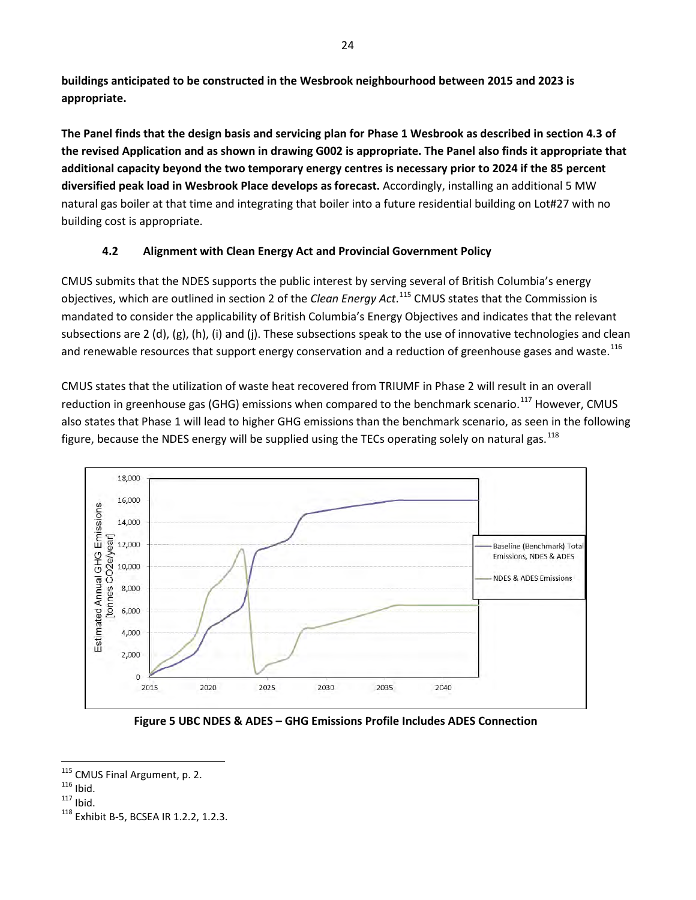**buildings anticipated to be constructed in the Wesbrook neighbourhood between 2015 and 2023 is appropriate.** 

<span id="page-30-5"></span>**The Panel finds that the design basis and servicing plan for Phase 1 Wesbrook as described in section 4.3 of the revised Application and as shown in drawing G002 is appropriate. The Panel also finds it appropriate that additional capacity beyond the two temporary energy centres is necessary prior to 2024 if the 85 percent diversified peak load in Wesbrook Place develops as forecast.** Accordingly, installing an additional 5 MW natural gas boiler at that time and integrating that boiler into a future residential building on Lot#27 with no building cost is appropriate.

# <span id="page-30-0"></span>**4.2 Alignment with Clean Energy Act and Provincial Government Policy**

CMUS submits that the NDES supports the public interest by serving several of British Columbia's energy objectives, which are outlined in section 2 of the *Clean Energy Act*. [115](#page-30-1) CMUS states that the Commission is mandated to consider the applicability of British Columbia's Energy Objectives and indicates that the relevant subsections are 2 (d), (g), (h), (i) and (j). These subsections speak to the use of innovative technologies and clean and renewable resources that support energy conservation and a reduction of greenhouse gases and waste.<sup>[116](#page-30-2)</sup>

CMUS states that the utilization of waste heat recovered from TRIUMF in Phase 2 will result in an overall reduction in greenhouse gas (GHG) emissions when compared to the benchmark scenario.<sup>[117](#page-30-3)</sup> However, CMUS also states that Phase 1 will lead to higher GHG emissions than the benchmark scenario, as seen in the following figure, because the NDES energy will be supplied using the TECs operating solely on natural gas.<sup>[118](#page-30-4)</sup>



**Figure 5 UBC NDES & ADES – GHG Emissions Profile Includes ADES Connection**

<span id="page-30-1"></span><sup>&</sup>lt;sup>115</sup> CMUS Final Argument, p. 2.

<span id="page-30-4"></span>

<span id="page-30-3"></span><span id="page-30-2"></span><sup>&</sup>lt;sup>116</sup> Ibid.<br><sup>117</sup> Ibid. <sup>118</sup> Exhibit B-5, BCSEA IR 1.2.2, 1.2.3.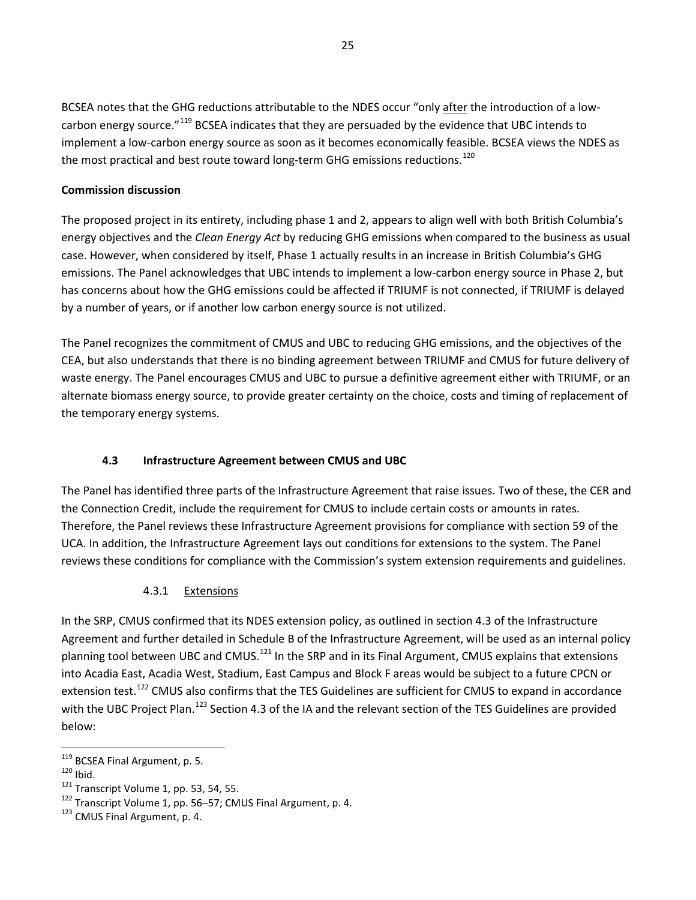BCSEA notes that the GHG reductions attributable to the NDES occur "only after the introduction of a low-carbon energy source."<sup>[119](#page-31-2)</sup> BCSEA indicates that they are persuaded by the evidence that UBC intends to implement a low-carbon energy source as soon as it becomes economically feasible. BCSEA views the NDES as the most practical and best route toward long-term GHG emissions reductions.<sup>[120](#page-31-3)</sup>

#### **Commission discussion**

The proposed project in its entirety, including phase 1 and 2, appears to align well with both British Columbia's energy objectives and the *Clean Energy Act* by reducing GHG emissions when compared to the business as usual case. However, when considered by itself, Phase 1 actually results in an increase in British Columbia's GHG emissions. The Panel acknowledges that UBC intends to implement a low-carbon energy source in Phase 2, but has concerns about how the GHG emissions could be affected if TRIUMF is not connected, if TRIUMF is delayed by a number of years, or if another low carbon energy source is not utilized.

The Panel recognizes the commitment of CMUS and UBC to reducing GHG emissions, and the objectives of the CEA, but also understands that there is no binding agreement between TRIUMF and CMUS for future delivery of waste energy. The Panel encourages CMUS and UBC to pursue a definitive agreement either with TRIUMF, or an alternate biomass energy source, to provide greater certainty on the choice, costs and timing of replacement of the temporary energy systems.

#### **4.3 Infrastructure Agreement between CMUS and UBC**

<span id="page-31-0"></span>The Panel has identified three parts of the Infrastructure Agreement that raise issues. Two of these, the CER and the Connection Credit, include the requirement for CMUS to include certain costs or amounts in rates. Therefore, the Panel reviews these Infrastructure Agreement provisions for compliance with section 59 of the UCA. In addition, the Infrastructure Agreement lays out conditions for extensions to the system. The Panel reviews these conditions for compliance with the Commission's system extension requirements and guidelines.

#### 4.3.1 Extensions

<span id="page-31-1"></span>In the SRP, CMUS confirmed that its NDES extension policy, as outlined in section 4.3 of the Infrastructure Agreement and further detailed in Schedule B of the Infrastructure Agreement, will be used as an internal policy planning tool between UBC and CMUS.<sup>[121](#page-31-4)</sup> In the SRP and in its Final Argument, CMUS explains that extensions into Acadia East, Acadia West, Stadium, East Campus and Block F areas would be subject to a future CPCN or extension test.<sup>[122](#page-31-5)</sup> CMUS also confirms that the TES Guidelines are sufficient for CMUS to expand in accordance with the UBC Project Plan.<sup>[123](#page-31-6)</sup> Section 4.3 of the IA and the relevant section of the TES Guidelines are provided below:

l

<span id="page-31-4"></span>

<span id="page-31-3"></span><span id="page-31-2"></span><sup>&</sup>lt;sup>119</sup> BCSEA Final Argument, p. 5.<br><sup>120</sup> Ibid. <sup>121</sup> Transcript Volume 1, pp. 53, 54, 55.<br><sup>122</sup> Transcript Volume 1, pp. 56–57; CMUS Final Argument, p. 4.<br><sup>123</sup> CMUS Final Argument, p. 4.

<span id="page-31-6"></span><span id="page-31-5"></span>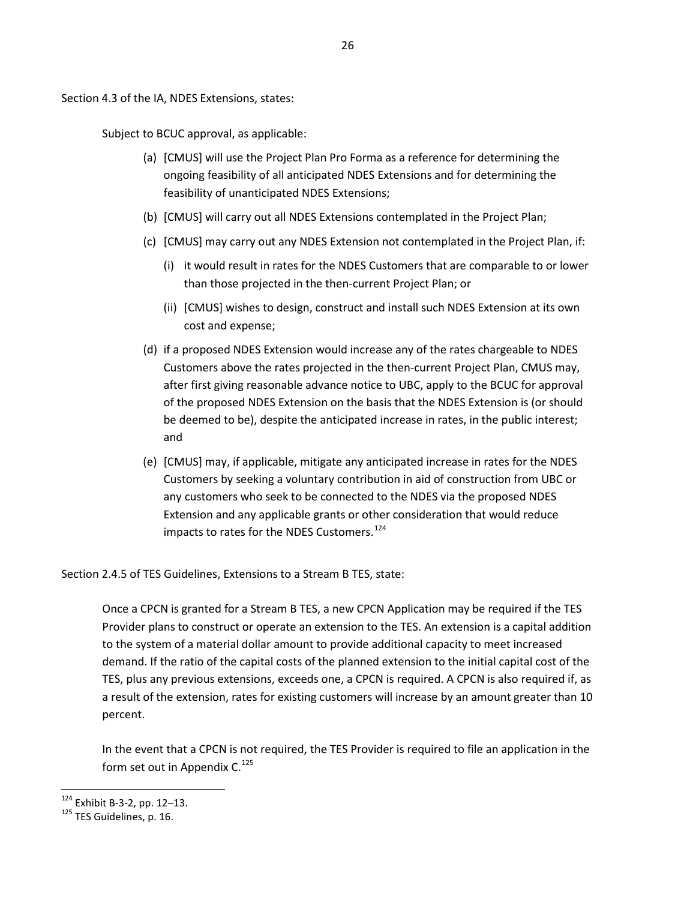Section 4.3 of the IA, NDES Extensions, states:

Subject to BCUC approval, as applicable:

- (a) [CMUS] will use the Project Plan Pro Forma as a reference for determining the ongoing feasibility of all anticipated NDES Extensions and for determining the feasibility of unanticipated NDES Extensions;
- (b) [CMUS] will carry out all NDES Extensions contemplated in the Project Plan;
- (c) [CMUS] may carry out any NDES Extension not contemplated in the Project Plan, if:
	- (i) it would result in rates for the NDES Customers that are comparable to or lower than those projected in the then-current Project Plan; or
	- (ii) [CMUS] wishes to design, construct and install such NDES Extension at its own cost and expense;
- (d) if a proposed NDES Extension would increase any of the rates chargeable to NDES Customers above the rates projected in the then-current Project Plan, CMUS may, after first giving reasonable advance notice to UBC, apply to the BCUC for approval of the proposed NDES Extension on the basis that the NDES Extension is (or should be deemed to be), despite the anticipated increase in rates, in the public interest; and
- (e) [CMUS] may, if applicable, mitigate any anticipated increase in rates for the NDES Customers by seeking a voluntary contribution in aid of construction from UBC or any customers who seek to be connected to the NDES via the proposed NDES Extension and any applicable grants or other consideration that would reduce impacts to rates for the NDES Customers.<sup>[124](#page-32-0)</sup>

Section 2.4.5 of TES Guidelines, Extensions to a Stream B TES, state:

Once a CPCN is granted for a Stream B TES, a new CPCN Application may be required if the TES Provider plans to construct or operate an extension to the TES. An extension is a capital addition to the system of a material dollar amount to provide additional capacity to meet increased demand. If the ratio of the capital costs of the planned extension to the initial capital cost of the TES, plus any previous extensions, exceeds one, a CPCN is required. A CPCN is also required if, as a result of the extension, rates for existing customers will increase by an amount greater than 10 percent.

In the event that a CPCN is not required, the TES Provider is required to file an application in the form set out in Appendix  $C^{125}$  $C^{125}$  $C^{125}$ 

<span id="page-32-0"></span><sup>&</sup>lt;sup>124</sup> Exhibit B-3-2, pp. 12–13.<br><sup>125</sup> TES Guidelines, p. 16.

<span id="page-32-1"></span>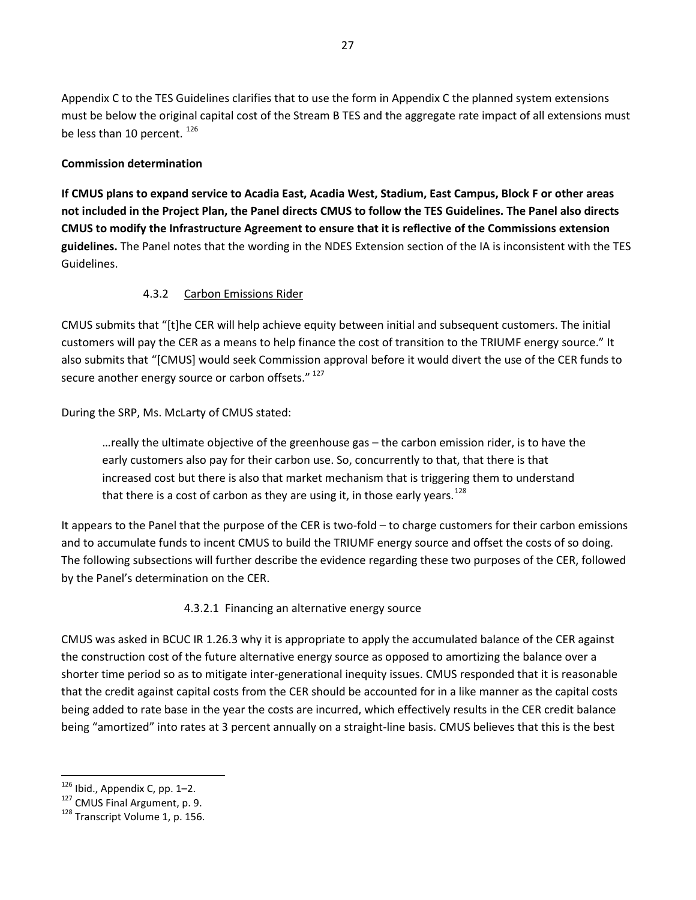Appendix C to the TES Guidelines clarifies that to use the form in Appendix C the planned system extensions must be below the original capital cost of the Stream B TES and the aggregate rate impact of all extensions must be less than 10 percent. [126](#page-33-2)

#### **Commission determination**

<span id="page-33-5"></span>**If CMUS plans to expand service to Acadia East, Acadia West, Stadium, East Campus, Block F or other areas not included in the Project Plan, the Panel directs CMUS to follow the TES Guidelines. The Panel also directs CMUS to modify the Infrastructure Agreement to ensure that it is reflective of the Commissions extension guidelines.** The Panel notes that the wording in the NDES Extension section of the IA is inconsistent with the TES Guidelines.

#### 4.3.2 Carbon Emissions Rider

<span id="page-33-0"></span>CMUS submits that "[t]he CER will help achieve equity between initial and subsequent customers. The initial customers will pay the CER as a means to help finance the cost of transition to the TRIUMF energy source." It also submits that "[CMUS] would seek Commission approval before it would divert the use of the CER funds to secure another energy source or carbon offsets." [127](#page-33-3)

During the SRP, Ms. McLarty of CMUS stated:

…really the ultimate objective of the greenhouse gas – the carbon emission rider, is to have the early customers also pay for their carbon use. So, concurrently to that, that there is that increased cost but there is also that market mechanism that is triggering them to understand that there is a cost of carbon as they are using it, in those early years.<sup>128</sup>

It appears to the Panel that the purpose of the CER is two-fold – to charge customers for their carbon emissions and to accumulate funds to incent CMUS to build the TRIUMF energy source and offset the costs of so doing. The following subsections will further describe the evidence regarding these two purposes of the CER, followed by the Panel's determination on the CER.

4.3.2.1 Financing an alternative energy source

<span id="page-33-1"></span>CMUS was asked in BCUC IR 1.26.3 why it is appropriate to apply the accumulated balance of the CER against the construction cost of the future alternative energy source as opposed to amortizing the balance over a shorter time period so as to mitigate inter-generational inequity issues. CMUS responded that it is reasonable that the credit against capital costs from the CER should be accounted for in a like manner as the capital costs being added to rate base in the year the costs are incurred, which effectively results in the CER credit balance being "amortized" into rates at 3 percent annually on a straight-line basis. CMUS believes that this is the best

<span id="page-33-2"></span> $126$  Ibid., Appendix C, pp. 1-2.

<span id="page-33-3"></span><sup>&</sup>lt;sup>127</sup> CMUS Final Argument, p. 9.  $128$  Transcript Volume 1, p. 156.

<span id="page-33-4"></span>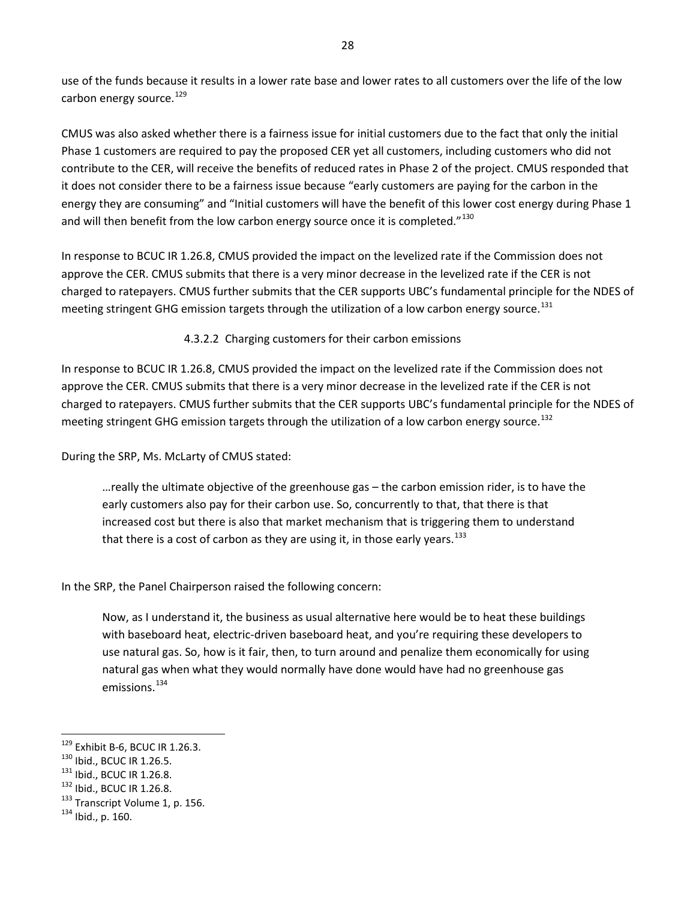use of the funds because it results in a lower rate base and lower rates to all customers over the life of the low carbon energy source.<sup>[129](#page-34-1)</sup>

CMUS was also asked whether there is a fairness issue for initial customers due to the fact that only the initial Phase 1 customers are required to pay the proposed CER yet all customers, including customers who did not contribute to the CER, will receive the benefits of reduced rates in Phase 2 of the project. CMUS responded that it does not consider there to be a fairness issue because "early customers are paying for the carbon in the energy they are consuming" and "Initial customers will have the benefit of this lower cost energy during Phase 1 and will then benefit from the low carbon energy source once it is completed. $1^{130}$  $1^{130}$  $1^{130}$ 

In response to BCUC IR 1.26.8, CMUS provided the impact on the levelized rate if the Commission does not approve the CER. CMUS submits that there is a very minor decrease in the levelized rate if the CER is not charged to ratepayers. CMUS further submits that the CER supports UBC's fundamental principle for the NDES of meeting stringent GHG emission targets through the utilization of a low carbon energy source.<sup>[131](#page-34-3)</sup>

#### 4.3.2.2 Charging customers for their carbon emissions

<span id="page-34-0"></span>In response to BCUC IR 1.26.8, CMUS provided the impact on the levelized rate if the Commission does not approve the CER. CMUS submits that there is a very minor decrease in the levelized rate if the CER is not charged to ratepayers. CMUS further submits that the CER supports UBC's fundamental principle for the NDES of meeting stringent GHG emission targets through the utilization of a low carbon energy source.<sup>[132](#page-34-4)</sup>

During the SRP, Ms. McLarty of CMUS stated:

…really the ultimate objective of the greenhouse gas – the carbon emission rider, is to have the early customers also pay for their carbon use. So, concurrently to that, that there is that increased cost but there is also that market mechanism that is triggering them to understand that there is a cost of carbon as they are using it, in those early years.<sup>133</sup>

In the SRP, the Panel Chairperson raised the following concern:

Now, as I understand it, the business as usual alternative here would be to heat these buildings with baseboard heat, electric-driven baseboard heat, and you're requiring these developers to use natural gas. So, how is it fair, then, to turn around and penalize them economically for using natural gas when what they would normally have done would have had no greenhouse gas emissions.<sup>[134](#page-34-6)</sup>

<span id="page-34-1"></span> $^{129}$  Exhibit B-6, BCUC IR 1.26.3.

<span id="page-34-5"></span><span id="page-34-4"></span>

<span id="page-34-3"></span><span id="page-34-2"></span><sup>&</sup>lt;sup>130</sup> Ibid., BCUC IR 1.26.5.<br><sup>131</sup> Ibid., BCUC IR 1.26.8.<br><sup>132</sup> Ibid., BCUC IR 1.26.8. <sup>133</sup> Transcript Volume 1, p. 156. <sup>134</sup> Ibid., p. 160.

<span id="page-34-6"></span>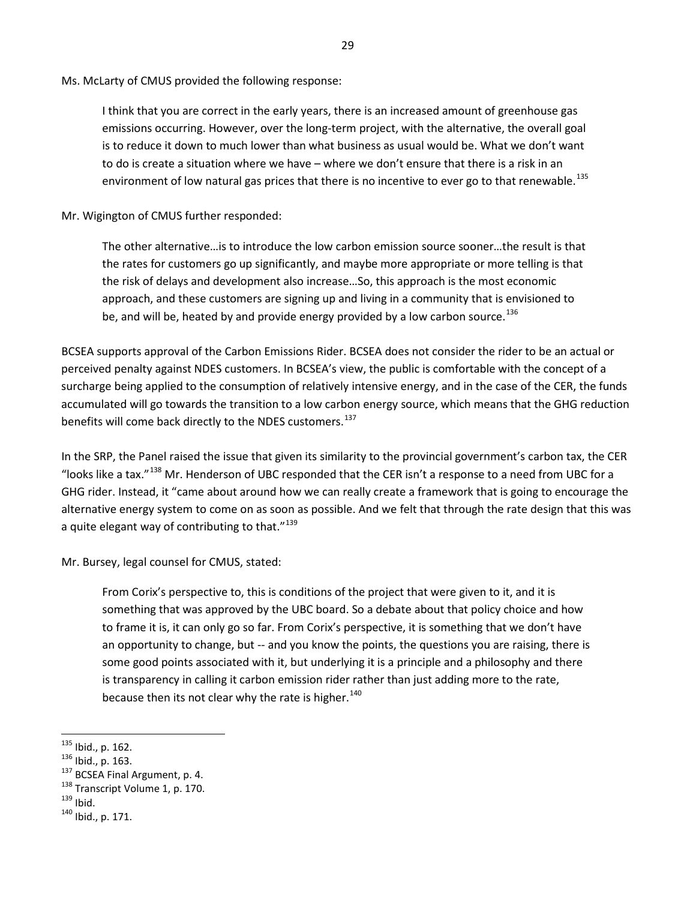Ms. McLarty of CMUS provided the following response:

I think that you are correct in the early years, there is an increased amount of greenhouse gas emissions occurring. However, over the long-term project, with the alternative, the overall goal is to reduce it down to much lower than what business as usual would be. What we don't want to do is create a situation where we have – where we don't ensure that there is a risk in an environment of low natural gas prices that there is no incentive to ever go to that renewable.<sup>135</sup>

Mr. Wigington of CMUS further responded:

The other alternative…is to introduce the low carbon emission source sooner…the result is that the rates for customers go up significantly, and maybe more appropriate or more telling is that the risk of delays and development also increase…So, this approach is the most economic approach, and these customers are signing up and living in a community that is envisioned to be, and will be, heated by and provide energy provided by a low carbon source.<sup>136</sup>

BCSEA supports approval of the Carbon Emissions Rider. BCSEA does not consider the rider to be an actual or perceived penalty against NDES customers. In BCSEA's view, the public is comfortable with the concept of a surcharge being applied to the consumption of relatively intensive energy, and in the case of the CER, the funds accumulated will go towards the transition to a low carbon energy source, which means that the GHG reduction benefits will come back directly to the NDES customers.<sup>137</sup>

In the SRP, the Panel raised the issue that given its similarity to the provincial government's carbon tax, the CER "looks like a tax."<sup>[138](#page-35-3)</sup> Mr. Henderson of UBC responded that the CER isn't a response to a need from UBC for a GHG rider. Instead, it "came about around how we can really create a framework that is going to encourage the alternative energy system to come on as soon as possible. And we felt that through the rate design that this was a quite elegant way of contributing to that."<sup>[139](#page-35-4)</sup>

Mr. Bursey, legal counsel for CMUS, stated:

From Corix's perspective to, this is conditions of the project that were given to it, and it is something that was approved by the UBC board. So a debate about that policy choice and how to frame it is, it can only go so far. From Corix's perspective, it is something that we don't have an opportunity to change, but -- and you know the points, the questions you are raising, there is some good points associated with it, but underlying it is a principle and a philosophy and there is transparency in calling it carbon emission rider rather than just adding more to the rate, because then its not clear why the rate is higher. $140$ 

<span id="page-35-0"></span> $^{135}$  Ibid., p. 162.

<span id="page-35-2"></span><span id="page-35-1"></span><sup>&</sup>lt;sup>136</sup> Ibid., p. 163.<br><sup>137</sup> BCSEA Final Argument, p. 4.<br><sup>138</sup> Transcript Volume 1, p. 170.<br><sup>139</sup> Ibid.<br><sup>140</sup> Ibid., p. 171.

<span id="page-35-3"></span>

<span id="page-35-5"></span><span id="page-35-4"></span>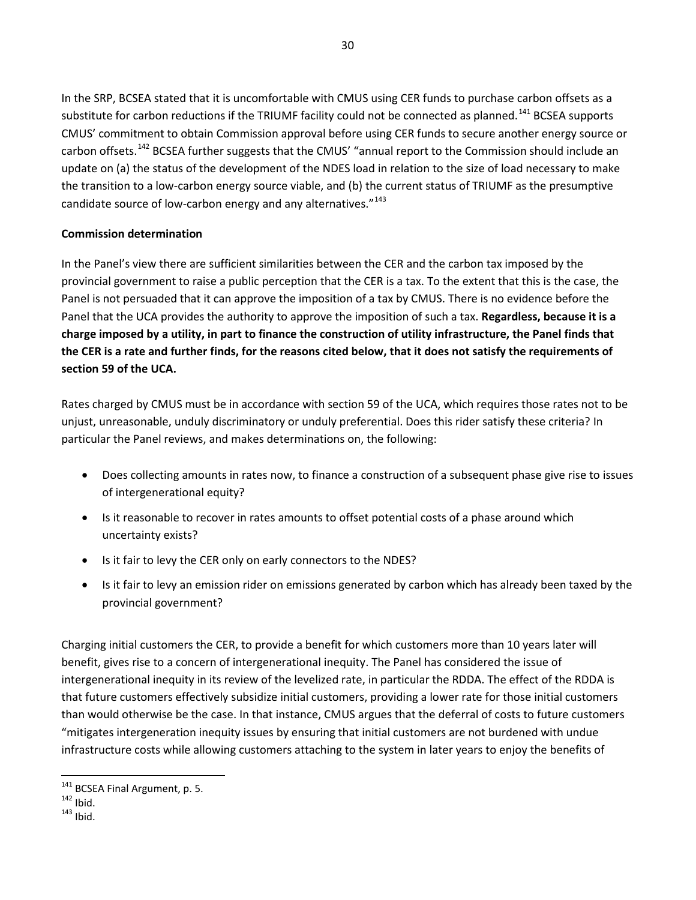In the SRP, BCSEA stated that it is uncomfortable with CMUS using CER funds to purchase carbon offsets as a substitute for carbon reductions if the TRIUMF facility could not be connected as planned.<sup>[141](#page-36-0)</sup> BCSEA supports CMUS' commitment to obtain Commission approval before using CER funds to secure another energy source or carbon offsets.<sup>[142](#page-36-1)</sup> BCSEA further suggests that the CMUS' "annual report to the Commission should include an update on (a) the status of the development of the NDES load in relation to the size of load necessary to make the transition to a low-carbon energy source viable, and (b) the current status of TRIUMF as the presumptive candidate source of low-carbon energy and any alternatives."<sup>[143](#page-36-2)</sup>

#### **Commission determination**

<span id="page-36-3"></span>In the Panel's view there are sufficient similarities between the CER and the carbon tax imposed by the provincial government to raise a public perception that the CER is a tax. To the extent that this is the case, the Panel is not persuaded that it can approve the imposition of a tax by CMUS. There is no evidence before the Panel that the UCA provides the authority to approve the imposition of such a tax. **Regardless, because it is a charge imposed by a utility, in part to finance the construction of utility infrastructure, the Panel finds that the CER is a rate and further finds, for the reasons cited below, that it does not satisfy the requirements of section 59 of the UCA.**

Rates charged by CMUS must be in accordance with section 59 of the UCA, which requires those rates not to be unjust, unreasonable, unduly discriminatory or unduly preferential. Does this rider satisfy these criteria? In particular the Panel reviews, and makes determinations on, the following:

- Does collecting amounts in rates now, to finance a construction of a subsequent phase give rise to issues of intergenerational equity?
- Is it reasonable to recover in rates amounts to offset potential costs of a phase around which uncertainty exists?
- Is it fair to levy the CER only on early connectors to the NDES?
- Is it fair to levy an emission rider on emissions generated by carbon which has already been taxed by the provincial government?

Charging initial customers the CER, to provide a benefit for which customers more than 10 years later will benefit, gives rise to a concern of intergenerational inequity. The Panel has considered the issue of intergenerational inequity in its review of the levelized rate, in particular the RDDA. The effect of the RDDA is that future customers effectively subsidize initial customers, providing a lower rate for those initial customers than would otherwise be the case. In that instance, CMUS argues that the deferral of costs to future customers "mitigates intergeneration inequity issues by ensuring that initial customers are not burdened with undue infrastructure costs while allowing customers attaching to the system in later years to enjoy the benefits of

l

<span id="page-36-0"></span><sup>&</sup>lt;sup>141</sup> BCSEA Final Argument, p. 5.<br><sup>142</sup> Ibid.<br><sup>143</sup> Ibid.

<span id="page-36-2"></span><span id="page-36-1"></span>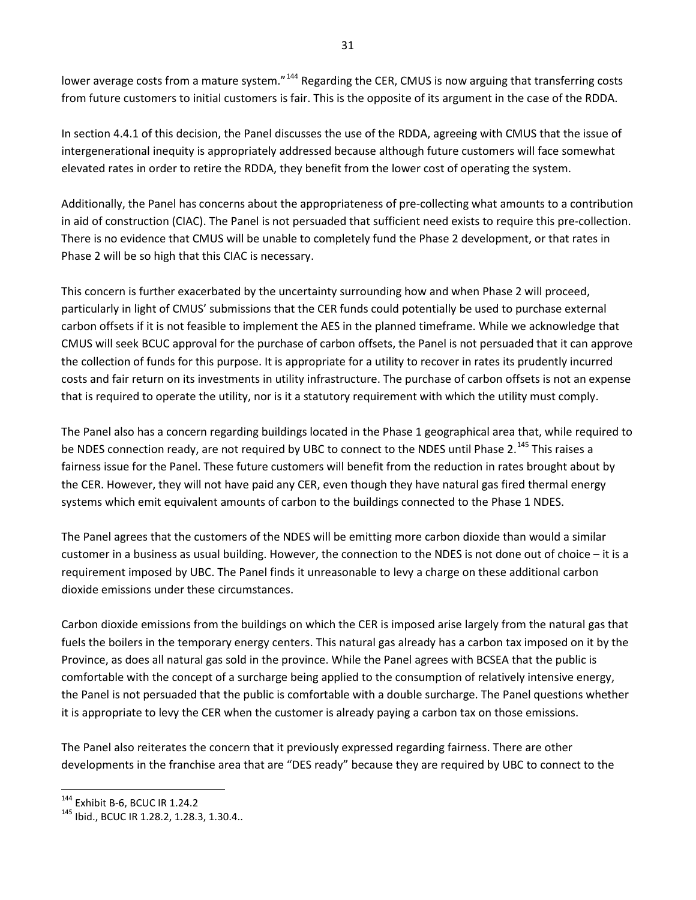lower average costs from a mature system."<sup>[144](#page-37-0)</sup> Regarding the CER, CMUS is now arguing that transferring costs from future customers to initial customers is fair. This is the opposite of its argument in the case of the RDDA.

In section 4.4.1 of this decision, the Panel discusses the use of the RDDA, agreeing with CMUS that the issue of intergenerational inequity is appropriately addressed because although future customers will face somewhat elevated rates in order to retire the RDDA, they benefit from the lower cost of operating the system.

Additionally, the Panel has concerns about the appropriateness of pre-collecting what amounts to a contribution in aid of construction (CIAC). The Panel is not persuaded that sufficient need exists to require this pre-collection. There is no evidence that CMUS will be unable to completely fund the Phase 2 development, or that rates in Phase 2 will be so high that this CIAC is necessary.

This concern is further exacerbated by the uncertainty surrounding how and when Phase 2 will proceed, particularly in light of CMUS' submissions that the CER funds could potentially be used to purchase external carbon offsets if it is not feasible to implement the AES in the planned timeframe. While we acknowledge that CMUS will seek BCUC approval for the purchase of carbon offsets, the Panel is not persuaded that it can approve the collection of funds for this purpose. It is appropriate for a utility to recover in rates its prudently incurred costs and fair return on its investments in utility infrastructure. The purchase of carbon offsets is not an expense that is required to operate the utility, nor is it a statutory requirement with which the utility must comply.

The Panel also has a concern regarding buildings located in the Phase 1 geographical area that, while required to be NDES connection ready, are not required by UBC to connect to the NDES until Phase 2.<sup>[145](#page-37-1)</sup> This raises a fairness issue for the Panel. These future customers will benefit from the reduction in rates brought about by the CER. However, they will not have paid any CER, even though they have natural gas fired thermal energy systems which emit equivalent amounts of carbon to the buildings connected to the Phase 1 NDES.

The Panel agrees that the customers of the NDES will be emitting more carbon dioxide than would a similar customer in a business as usual building. However, the connection to the NDES is not done out of choice – it is a requirement imposed by UBC. The Panel finds it unreasonable to levy a charge on these additional carbon dioxide emissions under these circumstances.

Carbon dioxide emissions from the buildings on which the CER is imposed arise largely from the natural gas that fuels the boilers in the temporary energy centers. This natural gas already has a carbon tax imposed on it by the Province, as does all natural gas sold in the province. While the Panel agrees with BCSEA that the public is comfortable with the concept of a surcharge being applied to the consumption of relatively intensive energy, the Panel is not persuaded that the public is comfortable with a double surcharge. The Panel questions whether it is appropriate to levy the CER when the customer is already paying a carbon tax on those emissions.

The Panel also reiterates the concern that it previously expressed regarding fairness. There are other developments in the franchise area that are "DES ready" because they are required by UBC to connect to the

<span id="page-37-1"></span><span id="page-37-0"></span><sup>&</sup>lt;sup>144</sup> Exhibit B-6, BCUC IR 1.24.2<br><sup>145</sup> Ibid., BCUC IR 1.28.2, 1.28.3, 1.30.4..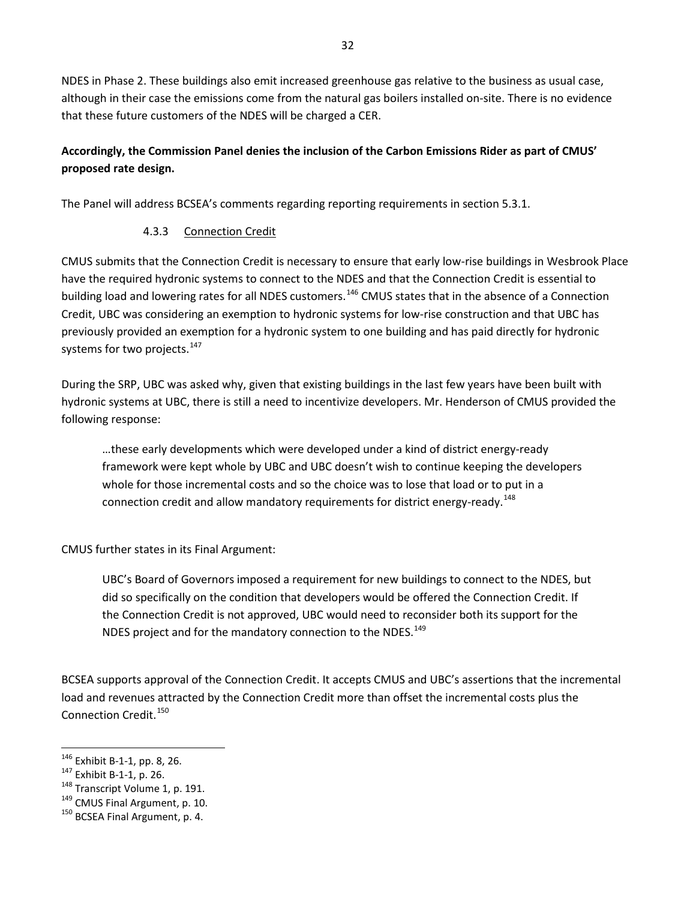NDES in Phase 2. These buildings also emit increased greenhouse gas relative to the business as usual case, although in their case the emissions come from the natural gas boilers installed on-site. There is no evidence that these future customers of the NDES will be charged a CER.

# <span id="page-38-6"></span>**Accordingly, the Commission Panel denies the inclusion of the Carbon Emissions Rider as part of CMUS' proposed rate design.**

<span id="page-38-0"></span>The Panel will address BCSEA's comments regarding reporting requirements in section 5.3.1.

# 4.3.3 Connection Credit

CMUS submits that the Connection Credit is necessary to ensure that early low-rise buildings in Wesbrook Place have the required hydronic systems to connect to the NDES and that the Connection Credit is essential to building load and lowering rates for all NDES customers.<sup>[146](#page-38-1)</sup> CMUS states that in the absence of a Connection Credit, UBC was considering an exemption to hydronic systems for low-rise construction and that UBC has previously provided an exemption for a hydronic system to one building and has paid directly for hydronic systems for two projects.<sup>[147](#page-38-2)</sup>

During the SRP, UBC was asked why, given that existing buildings in the last few years have been built with hydronic systems at UBC, there is still a need to incentivize developers. Mr. Henderson of CMUS provided the following response:

…these early developments which were developed under a kind of district energy-ready framework were kept whole by UBC and UBC doesn't wish to continue keeping the developers whole for those incremental costs and so the choice was to lose that load or to put in a connection credit and allow mandatory requirements for district energy-ready.<sup>148</sup>

CMUS further states in its Final Argument:

UBC's Board of Governors imposed a requirement for new buildings to connect to the NDES, but did so specifically on the condition that developers would be offered the Connection Credit. If the Connection Credit is not approved, UBC would need to reconsider both its support for the NDES project and for the mandatory connection to the NDES.<sup>149</sup>

BCSEA supports approval of the Connection Credit. It accepts CMUS and UBC's assertions that the incremental load and revenues attracted by the Connection Credit more than offset the incremental costs plus the Connection Credit.<sup>[150](#page-38-5)</sup>

l

<span id="page-38-4"></span><span id="page-38-3"></span>

<span id="page-38-2"></span><span id="page-38-1"></span><sup>&</sup>lt;sup>146</sup> Exhibit B-1-1, pp. 8, 26.<br><sup>147</sup> Exhibit B-1-1, p. 26.<br><sup>148</sup> Transcript Volume 1, p. 191.<br><sup>149</sup> CMUS Final Argument, p. 10.<br><sup>150</sup> BCSEA Final Argument, p. 4.

<span id="page-38-5"></span>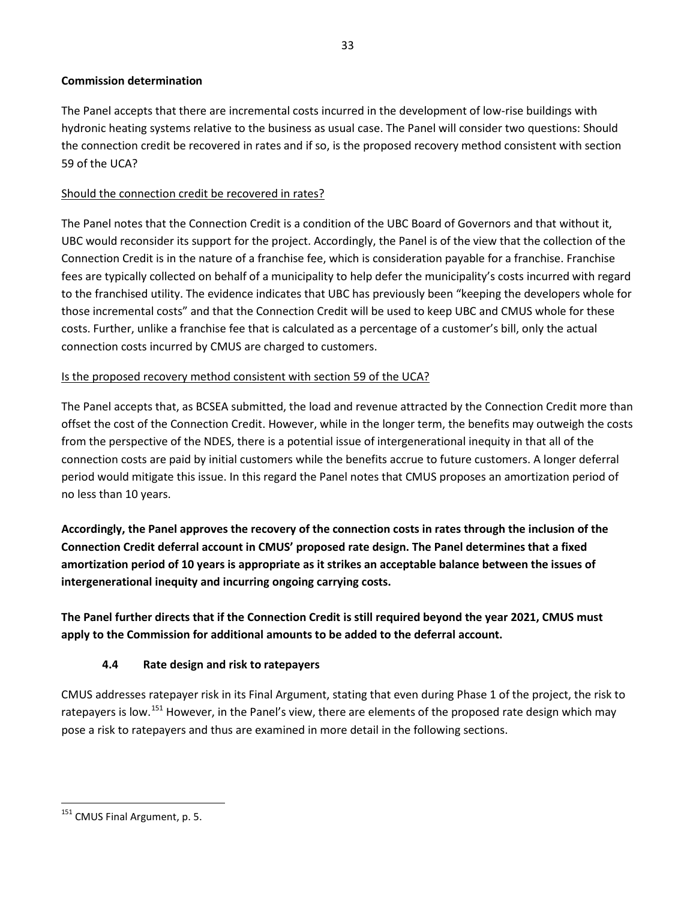#### **Commission determination**

The Panel accepts that there are incremental costs incurred in the development of low-rise buildings with hydronic heating systems relative to the business as usual case. The Panel will consider two questions: Should the connection credit be recovered in rates and if so, is the proposed recovery method consistent with section 59 of the UCA?

#### Should the connection credit be recovered in rates?

The Panel notes that the Connection Credit is a condition of the UBC Board of Governors and that without it, UBC would reconsider its support for the project. Accordingly, the Panel is of the view that the collection of the Connection Credit is in the nature of a franchise fee, which is consideration payable for a franchise. Franchise fees are typically collected on behalf of a municipality to help defer the municipality's costs incurred with regard to the franchised utility. The evidence indicates that UBC has previously been "keeping the developers whole for those incremental costs" and that the Connection Credit will be used to keep UBC and CMUS whole for these costs. Further, unlike a franchise fee that is calculated as a percentage of a customer's bill, only the actual connection costs incurred by CMUS are charged to customers.

#### Is the proposed recovery method consistent with section 59 of the UCA?

The Panel accepts that, as BCSEA submitted, the load and revenue attracted by the Connection Credit more than offset the cost of the Connection Credit. However, while in the longer term, the benefits may outweigh the costs from the perspective of the NDES, there is a potential issue of intergenerational inequity in that all of the connection costs are paid by initial customers while the benefits accrue to future customers. A longer deferral period would mitigate this issue. In this regard the Panel notes that CMUS proposes an amortization period of no less than 10 years.

<span id="page-39-2"></span>**Accordingly, the Panel approves the recovery of the connection costs in rates through the inclusion of the Connection Credit deferral account in CMUS' proposed rate design. The Panel determines that a fixed amortization period of 10 years is appropriate as it strikes an acceptable balance between the issues of intergenerational inequity and incurring ongoing carrying costs.** 

<span id="page-39-3"></span><span id="page-39-0"></span>**The Panel further directs that if the Connection Credit is still required beyond the year 2021, CMUS must apply to the Commission for additional amounts to be added to the deferral account.** 

#### **4.4 Rate design and risk to ratepayers**

CMUS addresses ratepayer risk in its Final Argument, stating that even during Phase 1 of the project, the risk to ratepayers is low.<sup>[151](#page-39-1)</sup> However, in the Panel's view, there are elements of the proposed rate design which may pose a risk to ratepayers and thus are examined in more detail in the following sections.

l

<span id="page-39-1"></span><sup>&</sup>lt;sup>151</sup> CMUS Final Argument, p. 5.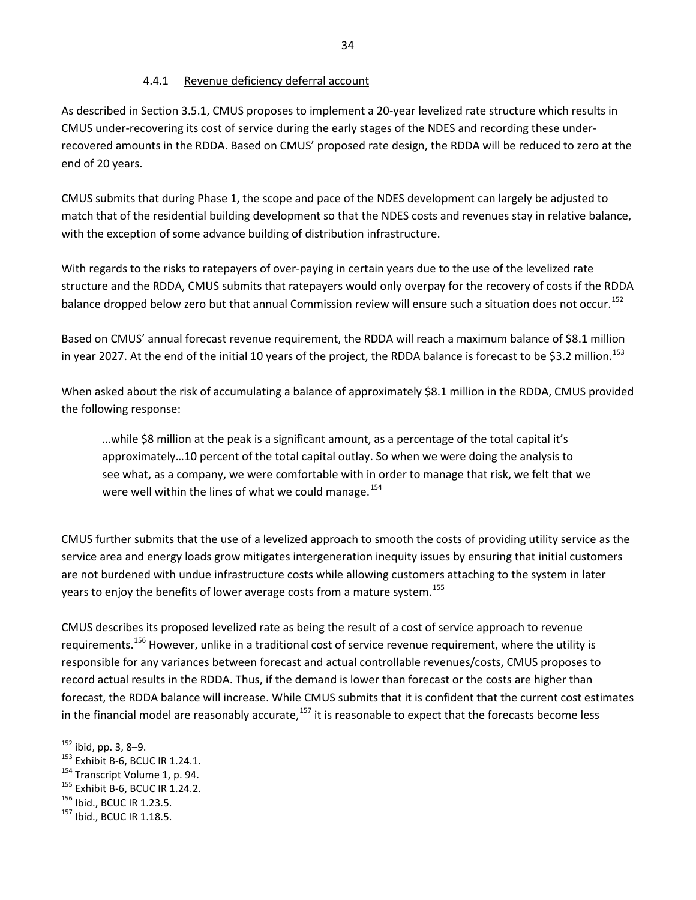#### 4.4.1 Revenue deficiency deferral account

<span id="page-40-0"></span>As described in Sectio[n 3.5.1,](#page-22-2) CMUS proposes to implement a 20-year levelized rate structure which results in CMUS under-recovering its cost of service during the early stages of the NDES and recording these underrecovered amounts in the RDDA. Based on CMUS' proposed rate design, the RDDA will be reduced to zero at the end of 20 years.

CMUS submits that during Phase 1, the scope and pace of the NDES development can largely be adjusted to match that of the residential building development so that the NDES costs and revenues stay in relative balance, with the exception of some advance building of distribution infrastructure.

With regards to the risks to ratepayers of over-paying in certain years due to the use of the levelized rate structure and the RDDA, CMUS submits that ratepayers would only overpay for the recovery of costs if the RDDA balance dropped below zero but that annual Commission review will ensure such a situation does not occur.<sup>[152](#page-40-1)</sup>

Based on CMUS' annual forecast revenue requirement, the RDDA will reach a maximum balance of \$8.1 million in year 2027. At the end of the initial 10 years of the project, the RDDA balance is forecast to be \$3.2 million.<sup>[153](#page-40-2)</sup>

When asked about the risk of accumulating a balance of approximately \$8.1 million in the RDDA, CMUS provided the following response:

…while \$8 million at the peak is a significant amount, as a percentage of the total capital it's approximately…10 percent of the total capital outlay. So when we were doing the analysis to see what, as a company, we were comfortable with in order to manage that risk, we felt that we were well within the lines of what we could manage.<sup>[154](#page-40-3)</sup>

CMUS further submits that the use of a levelized approach to smooth the costs of providing utility service as the service area and energy loads grow mitigates intergeneration inequity issues by ensuring that initial customers are not burdened with undue infrastructure costs while allowing customers attaching to the system in later years to enjoy the benefits of lower average costs from a mature system.<sup>[155](#page-40-4)</sup>

CMUS describes its proposed levelized rate as being the result of a cost of service approach to revenue requirements.<sup>[156](#page-40-5)</sup> However, unlike in a traditional cost of service revenue requirement, where the utility is responsible for any variances between forecast and actual controllable revenues/costs, CMUS proposes to record actual results in the RDDA. Thus, if the demand is lower than forecast or the costs are higher than forecast, the RDDA balance will increase. While CMUS submits that it is confident that the current cost estimates in the financial model are reasonably accurate,<sup>[157](#page-40-6)</sup> it is reasonable to expect that the forecasts become less

<span id="page-40-1"></span> $152$  ibid, pp. 3, 8-9.

<span id="page-40-3"></span><span id="page-40-2"></span><sup>&</sup>lt;sup>153</sup> Exhibit B-6, BCUC IR 1.24.1.<br><sup>154</sup> Transcript Volume 1, p. 94.<br><sup>155</sup> Exhibit B-6, BCUC IR 1.24.2.<br><sup>156</sup> Ibid., BCUC IR 1.23.5.<br><sup>157</sup> Ibid., BCUC IR 1.18.5.

<span id="page-40-4"></span>

<span id="page-40-5"></span>

<span id="page-40-6"></span>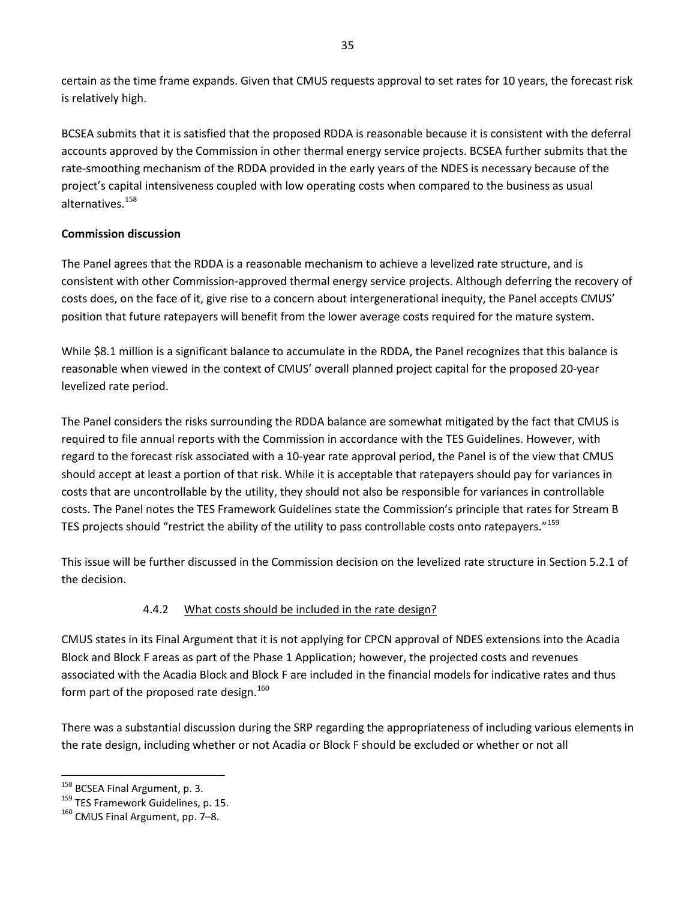certain as the time frame expands. Given that CMUS requests approval to set rates for 10 years, the forecast risk is relatively high.

BCSEA submits that it is satisfied that the proposed RDDA is reasonable because it is consistent with the deferral accounts approved by the Commission in other thermal energy service projects. BCSEA further submits that the rate-smoothing mechanism of the RDDA provided in the early years of the NDES is necessary because of the project's capital intensiveness coupled with low operating costs when compared to the business as usual alternatives.<sup>[158](#page-41-1)</sup>

# **Commission discussion**

The Panel agrees that the RDDA is a reasonable mechanism to achieve a levelized rate structure, and is consistent with other Commission-approved thermal energy service projects. Although deferring the recovery of costs does, on the face of it, give rise to a concern about intergenerational inequity, the Panel accepts CMUS' position that future ratepayers will benefit from the lower average costs required for the mature system.

While \$8.1 million is a significant balance to accumulate in the RDDA, the Panel recognizes that this balance is reasonable when viewed in the context of CMUS' overall planned project capital for the proposed 20-year levelized rate period.

The Panel considers the risks surrounding the RDDA balance are somewhat mitigated by the fact that CMUS is required to file annual reports with the Commission in accordance with the TES Guidelines. However, with regard to the forecast risk associated with a 10-year rate approval period, the Panel is of the view that CMUS should accept at least a portion of that risk. While it is acceptable that ratepayers should pay for variances in costs that are uncontrollable by the utility, they should not also be responsible for variances in controllable costs. The Panel notes the TES Framework Guidelines state the Commission's principle that rates for Stream B TES projects should "restrict the ability of the utility to pass controllable costs onto ratepayers."[159](#page-41-2)

<span id="page-41-0"></span>This issue will be further discussed in the Commission decision on the levelized rate structure in Sectio[n 5.2.1](#page-48-0) of the decision.

# 4.4.2 What costs should be included in the rate design?

CMUS states in its Final Argument that it is not applying for CPCN approval of NDES extensions into the Acadia Block and Block F areas as part of the Phase 1 Application; however, the projected costs and revenues associated with the Acadia Block and Block F are included in the financial models for indicative rates and thus form part of the proposed rate design.<sup>[160](#page-41-3)</sup>

There was a substantial discussion during the SRP regarding the appropriateness of including various elements in the rate design, including whether or not Acadia or Block F should be excluded or whether or not all

<span id="page-41-1"></span><sup>&</sup>lt;sup>158</sup> BCSEA Final Argument, p. 3.

<span id="page-41-2"></span><sup>&</sup>lt;sup>159</sup> TES Framework Guidelines, p. 15.  $160$  CMUS Final Argument, pp. 7–8.

<span id="page-41-3"></span>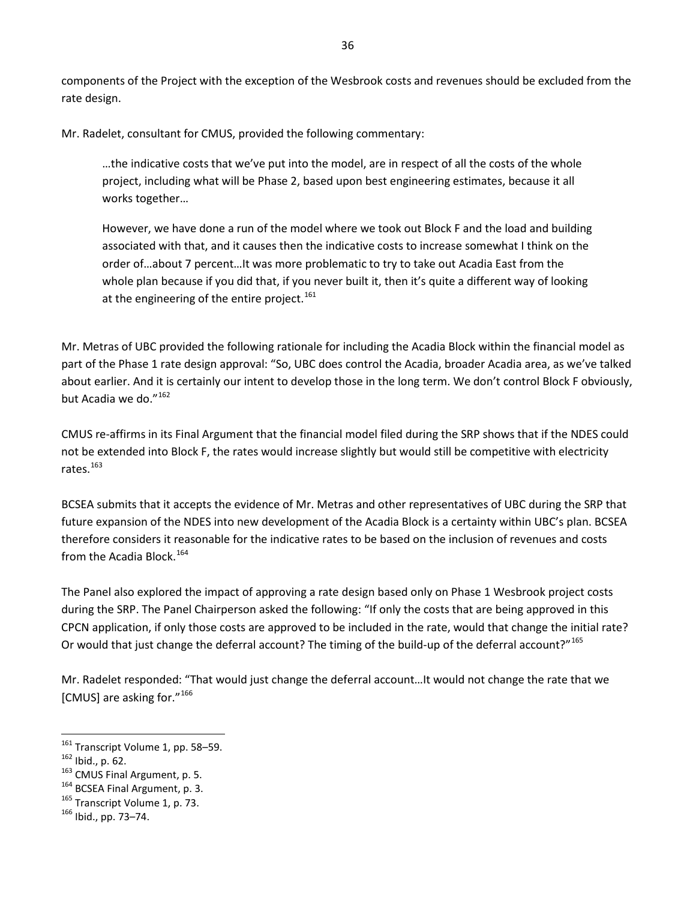components of the Project with the exception of the Wesbrook costs and revenues should be excluded from the rate design.

Mr. Radelet, consultant for CMUS, provided the following commentary:

…the indicative costs that we've put into the model, are in respect of all the costs of the whole project, including what will be Phase 2, based upon best engineering estimates, because it all works together…

However, we have done a run of the model where we took out Block F and the load and building associated with that, and it causes then the indicative costs to increase somewhat I think on the order of…about 7 percent…It was more problematic to try to take out Acadia East from the whole plan because if you did that, if you never built it, then it's quite a different way of looking at the engineering of the entire project.<sup>[161](#page-42-0)</sup>

Mr. Metras of UBC provided the following rationale for including the Acadia Block within the financial model as part of the Phase 1 rate design approval: "So, UBC does control the Acadia, broader Acadia area, as we've talked about earlier. And it is certainly our intent to develop those in the long term. We don't control Block F obviously, but Acadia we do."<sup>[162](#page-42-1)</sup>

CMUS re-affirms in its Final Argument that the financial model filed during the SRP shows that if the NDES could not be extended into Block F, the rates would increase slightly but would still be competitive with electricity rates.<sup>[163](#page-42-2)</sup>

BCSEA submits that it accepts the evidence of Mr. Metras and other representatives of UBC during the SRP that future expansion of the NDES into new development of the Acadia Block is a certainty within UBC's plan. BCSEA therefore considers it reasonable for the indicative rates to be based on the inclusion of revenues and costs from the Acadia Block.<sup>[164](#page-42-3)</sup>

The Panel also explored the impact of approving a rate design based only on Phase 1 Wesbrook project costs during the SRP. The Panel Chairperson asked the following: "If only the costs that are being approved in this CPCN application, if only those costs are approved to be included in the rate, would that change the initial rate? Or would that just change the deferral account? The timing of the build-up of the deferral account?"<sup>[165](#page-42-4)</sup>

Mr. Radelet responded: "That would just change the deferral account…It would not change the rate that we [CMUS] are asking for."[166](#page-42-5)

- <span id="page-42-4"></span><span id="page-42-3"></span>
- <span id="page-42-2"></span><span id="page-42-1"></span><sup>162</sup> Ibid., p. 62.<br><sup>163</sup> CMUS Final Argument, p. 5.<br><sup>164</sup> BCSEA Final Argument, p. 3.<br><sup>165</sup> Transcript Volume 1, p. 73.<br><sup>166</sup> Ibid., pp. 73–74.

<span id="page-42-0"></span> $161$  Transcript Volume 1, pp. 58-59.

<span id="page-42-5"></span>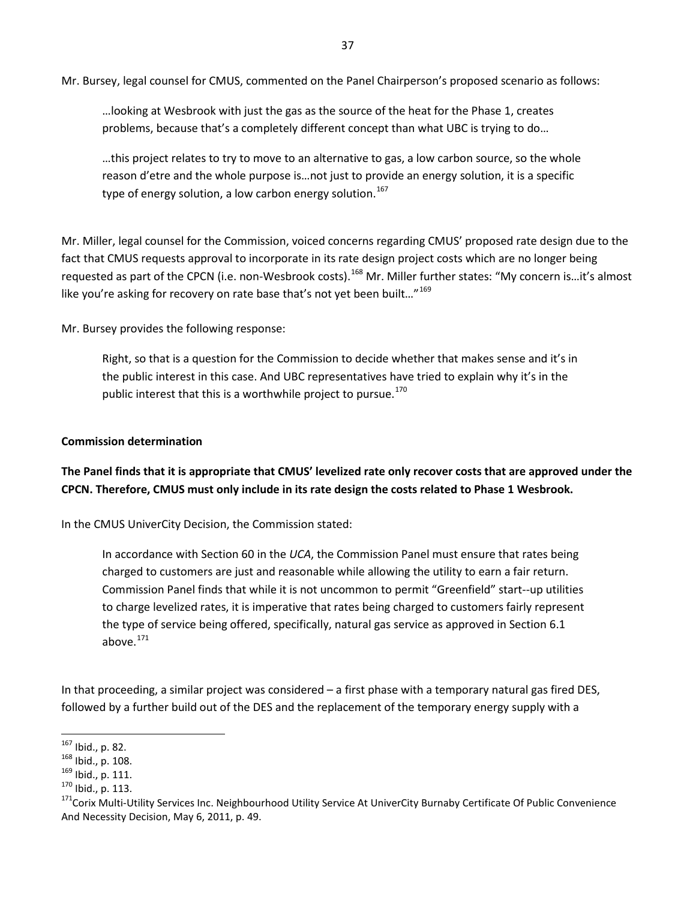Mr. Bursey, legal counsel for CMUS, commented on the Panel Chairperson's proposed scenario as follows:

…looking at Wesbrook with just the gas as the source of the heat for the Phase 1, creates problems, because that's a completely different concept than what UBC is trying to do…

…this project relates to try to move to an alternative to gas, a low carbon source, so the whole reason d'etre and the whole purpose is…not just to provide an energy solution, it is a specific type of energy solution, a low carbon energy solution.<sup>[167](#page-43-0)</sup>

Mr. Miller, legal counsel for the Commission, voiced concerns regarding CMUS' proposed rate design due to the fact that CMUS requests approval to incorporate in its rate design project costs which are no longer being requested as part of the CPCN (i.e. non-Wesbrook costs).<sup>[168](#page-43-1)</sup> Mr. Miller further states: "My concern is...it's almost like you're asking for recovery on rate base that's not yet been built..."<sup>[169](#page-43-2)</sup>

Mr. Bursey provides the following response:

Right, so that is a question for the Commission to decide whether that makes sense and it's in the public interest in this case. And UBC representatives have tried to explain why it's in the public interest that this is a worthwhile project to pursue.<sup>[170](#page-43-3)</sup>

#### **Commission determination**

<span id="page-43-5"></span>**The Panel finds that it is appropriate that CMUS' levelized rate only recover costs that are approved under the CPCN. Therefore, CMUS must only include in its rate design the costs related to Phase 1 Wesbrook.** 

In the CMUS UniverCity Decision, the Commission stated:

In accordance with Section 60 in the *UCA*, the Commission Panel must ensure that rates being charged to customers are just and reasonable while allowing the utility to earn a fair return. Commission Panel finds that while it is not uncommon to permit "Greenfield" start-‐up utilities to charge levelized rates, it is imperative that rates being charged to customers fairly represent the type of service being offered, specifically, natural gas service as approved in Section 6.1 above. $171$ 

In that proceeding, a similar project was considered – a first phase with a temporary natural gas fired DES, followed by a further build out of the DES and the replacement of the temporary energy supply with a

<span id="page-43-0"></span> $167$  Ibid., p. 82.

<span id="page-43-4"></span><span id="page-43-3"></span>

<span id="page-43-2"></span><span id="page-43-1"></span><sup>168</sup> Ibid., p. 108.<br><sup>169</sup> Ibid., p. 111.<br><sup>170</sup> Ibid., p. 113.<br><sup>171</sup>Corix Multi-Utility Services Inc. Neighbourhood Utility Service At UniverCity Burnaby Certificate Of Public Convenience And Necessity Decision, May 6, 2011, p. 49.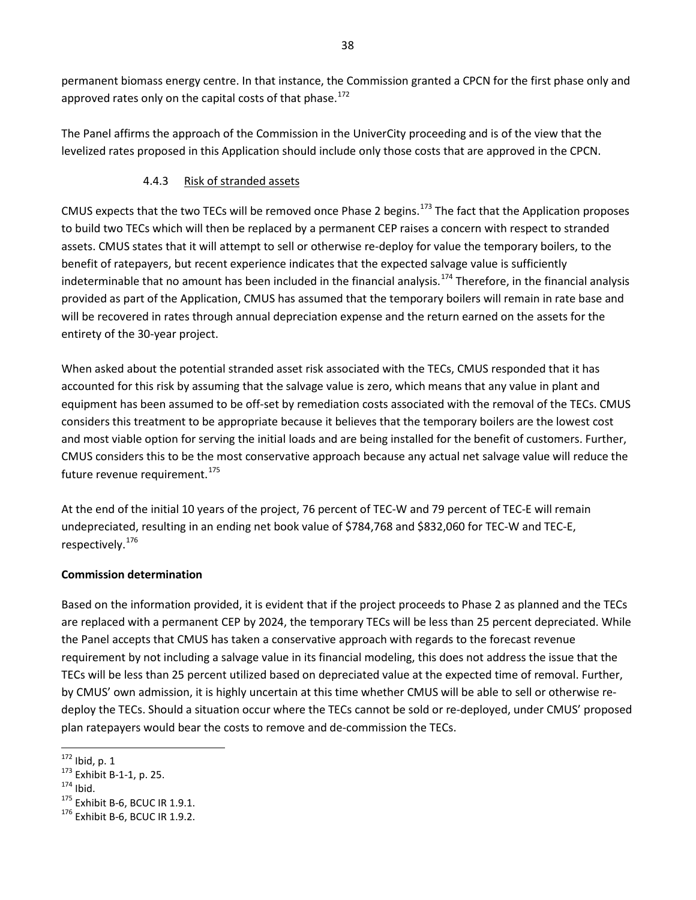permanent biomass energy centre. In that instance, the Commission granted a CPCN for the first phase only and approved rates only on the capital costs of that phase.<sup>[172](#page-44-1)</sup>

<span id="page-44-0"></span>The Panel affirms the approach of the Commission in the UniverCity proceeding and is of the view that the levelized rates proposed in this Application should include only those costs that are approved in the CPCN.

# 4.4.3 Risk of stranded assets

CMUS expects that the two TECs will be removed once Phase 2 begins.<sup>[173](#page-44-2)</sup> The fact that the Application proposes to build two TECs which will then be replaced by a permanent CEP raises a concern with respect to stranded assets. CMUS states that it will attempt to sell or otherwise re-deploy for value the temporary boilers, to the benefit of ratepayers, but recent experience indicates that the expected salvage value is sufficiently indeterminable that no amount has been included in the financial analysis.<sup>[174](#page-44-3)</sup> Therefore, in the financial analysis provided as part of the Application, CMUS has assumed that the temporary boilers will remain in rate base and will be recovered in rates through annual depreciation expense and the return earned on the assets for the entirety of the 30-year project.

When asked about the potential stranded asset risk associated with the TECs, CMUS responded that it has accounted for this risk by assuming that the salvage value is zero, which means that any value in plant and equipment has been assumed to be off-set by remediation costs associated with the removal of the TECs. CMUS considers this treatment to be appropriate because it believes that the temporary boilers are the lowest cost and most viable option for serving the initial loads and are being installed for the benefit of customers. Further, CMUS considers this to be the most conservative approach because any actual net salvage value will reduce the future revenue requirement.<sup>[175](#page-44-4)</sup>

At the end of the initial 10 years of the project, 76 percent of TEC-W and 79 percent of TEC-E will remain undepreciated, resulting in an ending net book value of \$784,768 and \$832,060 for TEC-W and TEC-E, respectively.[176](#page-44-5)

#### **Commission determination**

Based on the information provided, it is evident that if the project proceeds to Phase 2 as planned and the TECs are replaced with a permanent CEP by 2024, the temporary TECs will be less than 25 percent depreciated. While the Panel accepts that CMUS has taken a conservative approach with regards to the forecast revenue requirement by not including a salvage value in its financial modeling, this does not address the issue that the TECs will be less than 25 percent utilized based on depreciated value at the expected time of removal. Further, by CMUS' own admission, it is highly uncertain at this time whether CMUS will be able to sell or otherwise redeploy the TECs. Should a situation occur where the TECs cannot be sold or re-deployed, under CMUS' proposed plan ratepayers would bear the costs to remove and de-commission the TECs.

<span id="page-44-1"></span> $172$  lbid, p. 1

<span id="page-44-4"></span><span id="page-44-3"></span>

<span id="page-44-2"></span><sup>&</sup>lt;sup>173</sup> Exhibit B-1-1, p. 25.<br><sup>174</sup> Ibid.<br><sup>175</sup> Exhibit B-6, BCUC IR 1.9.1.<br><sup>176</sup> Exhibit B-6, BCUC IR 1.9.2.

<span id="page-44-5"></span>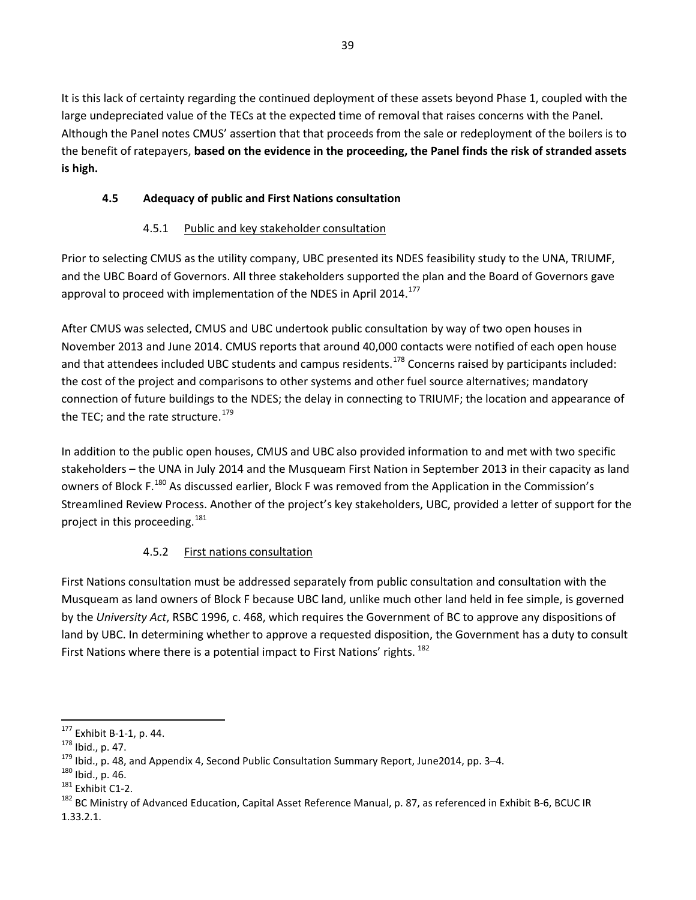It is this lack of certainty regarding the continued deployment of these assets beyond Phase 1, coupled with the large undepreciated value of the TECs at the expected time of removal that raises concerns with the Panel. Although the Panel notes CMUS' assertion that that proceeds from the sale or redeployment of the boilers is to the benefit of ratepayers, **based on the evidence in the proceeding, the Panel finds the risk of stranded assets is high.**

# <span id="page-45-0"></span>**4.5 Adequacy of public and First Nations consultation**

# <span id="page-45-9"></span>4.5.1 Public and key stakeholder consultation

<span id="page-45-1"></span>Prior to selecting CMUS as the utility company, UBC presented its NDES feasibility study to the UNA, TRIUMF, and the UBC Board of Governors. All three stakeholders supported the plan and the Board of Governors gave approval to proceed with implementation of the NDES in April 2014.<sup>[177](#page-45-3)</sup>

After CMUS was selected, CMUS and UBC undertook public consultation by way of two open houses in November 2013 and June 2014. CMUS reports that around 40,000 contacts were notified of each open house and that attendees included UBC students and campus residents.<sup>[178](#page-45-4)</sup> Concerns raised by participants included: the cost of the project and comparisons to other systems and other fuel source alternatives; mandatory connection of future buildings to the NDES; the delay in connecting to TRIUMF; the location and appearance of the TEC; and the rate structure.<sup>179</sup>

In addition to the public open houses, CMUS and UBC also provided information to and met with two specific stakeholders – the UNA in July 2014 and the Musqueam First Nation in September 2013 in their capacity as land owners of Block F.<sup>[180](#page-45-6)</sup> As discussed earlier, Block F was removed from the Application in the Commission's Streamlined Review Process. Another of the project's key stakeholders, UBC, provided a letter of support for the project in this proceeding.<sup>[181](#page-45-7)</sup>

# 4.5.2 First nations consultation

<span id="page-45-2"></span>First Nations consultation must be addressed separately from public consultation and consultation with the Musqueam as land owners of Block F because UBC land, unlike much other land held in fee simple, is governed by the *University Act*, RSBC 1996, c. 468, which requires the Government of BC to approve any dispositions of land by UBC. In determining whether to approve a requested disposition, the Government has a duty to consult First Nations where there is a potential impact to First Nations' rights. <sup>[182](#page-45-8)</sup>

<span id="page-45-3"></span> $177$  Exhibit B-1-1, p. 44.

<span id="page-45-6"></span>

<span id="page-45-8"></span><span id="page-45-7"></span>

<span id="page-45-5"></span><span id="page-45-4"></span><sup>&</sup>lt;sup>178</sup> Ibid., p. 47.<br><sup>179</sup> Ibid., p. 48, and Appendix 4, Second Public Consultation Summary Report, June2014, pp. 3–4.<br><sup>180</sup> Ibid., p. 46.<br><sup>181</sup> Exhibit C1-2.<br><sup>181</sup> Exhibit C1-2.<br><sup>182</sup> BC Ministry of Advanced Education, Ca 1.33.2.1.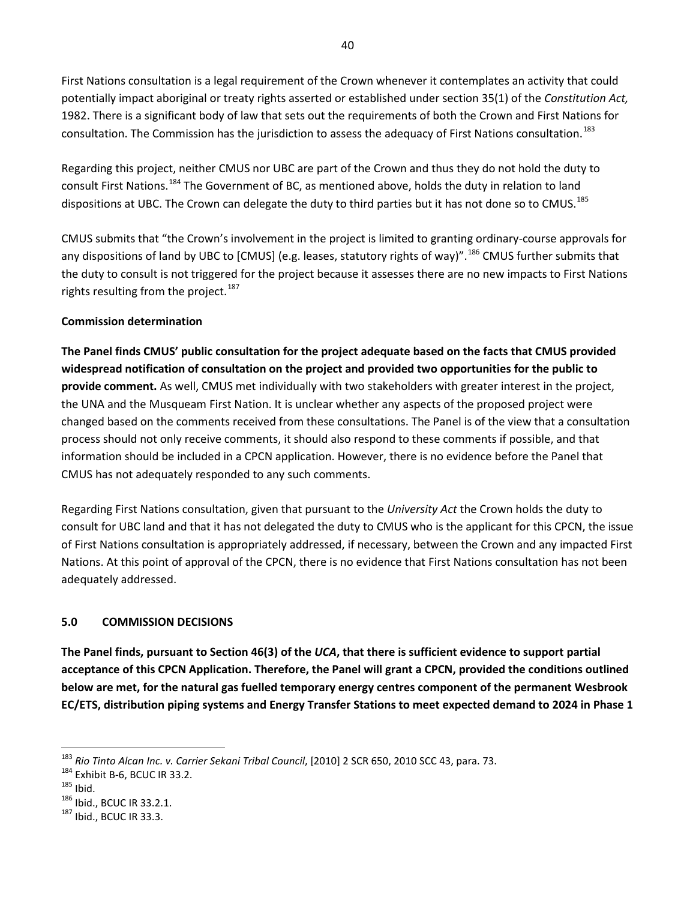First Nations consultation is a legal requirement of the Crown whenever it contemplates an activity that could potentially impact aboriginal or treaty rights asserted or established under section 35(1) of the *Constitution Act,*  1982. There is a significant body of law that sets out the requirements of both the Crown and First Nations for consultation. The Commission has the jurisdiction to assess the adequacy of First Nations consultation. <sup>[183](#page-46-1)</sup>

Regarding this project, neither CMUS nor UBC are part of the Crown and thus they do not hold the duty to consult First Nations.[184](#page-46-2) The Government of BC, as mentioned above, holds the duty in relation to land dispositions at UBC. The Crown can delegate the duty to third parties but it has not done so to CMUS.<sup>[185](#page-46-3)</sup>

CMUS submits that "the Crown's involvement in the project is limited to granting ordinary-course approvals for any dispositions of land by UBC to [CMUS] (e.g. leases, statutory rights of way)".<sup>[186](#page-46-4)</sup> CMUS further submits that the duty to consult is not triggered for the project because it assesses there are no new impacts to First Nations rights resulting from the project.<sup>[187](#page-46-5)</sup>

#### **Commission determination**

<span id="page-46-6"></span>**The Panel finds CMUS' public consultation for the project adequate based on the facts that CMUS provided widespread notification of consultation on the project and provided two opportunities for the public to provide comment.** As well, CMUS met individually with two stakeholders with greater interest in the project, the UNA and the Musqueam First Nation. It is unclear whether any aspects of the proposed project were changed based on the comments received from these consultations. The Panel is of the view that a consultation process should not only receive comments, it should also respond to these comments if possible, and that information should be included in a CPCN application. However, there is no evidence before the Panel that CMUS has not adequately responded to any such comments.

Regarding First Nations consultation, given that pursuant to the *University Act* the Crown holds the duty to consult for UBC land and that it has not delegated the duty to CMUS who is the applicant for this CPCN, the issue of First Nations consultation is appropriately addressed, if necessary, between the Crown and any impacted First Nations. At this point of approval of the CPCN, there is no evidence that First Nations consultation has not been adequately addressed.

#### <span id="page-46-0"></span>**5.0 COMMISSION DECISIONS**

<span id="page-46-7"></span>**The Panel finds, pursuant to Section 46(3) of the** *UCA***, that there is sufficient evidence to support partial acceptance of this CPCN Application. Therefore, the Panel will grant a CPCN, provided the conditions outlined below are met, for the natural gas fuelled temporary energy centres component of the permanent Wesbrook EC/ETS, distribution piping systems and Energy Transfer Stations to meet expected demand to 2024 in Phase 1** 

l

<span id="page-46-1"></span><sup>&</sup>lt;sup>183</sup> *Rio Tinto Alcan Inc. v. Carrier Sekani Tribal Council,* [2010] 2 SCR 650, 2010 SCC 43, para. 73.<br><sup>184</sup> Exhibit B-6, BCUC IR 33.2.<br><sup>185</sup> Ibid., BCUC IR 33.2.1. <sup>187</sup> Ibid., BCUC IR 33.3.

<span id="page-46-2"></span>

<span id="page-46-3"></span>

<span id="page-46-4"></span>

<span id="page-46-5"></span>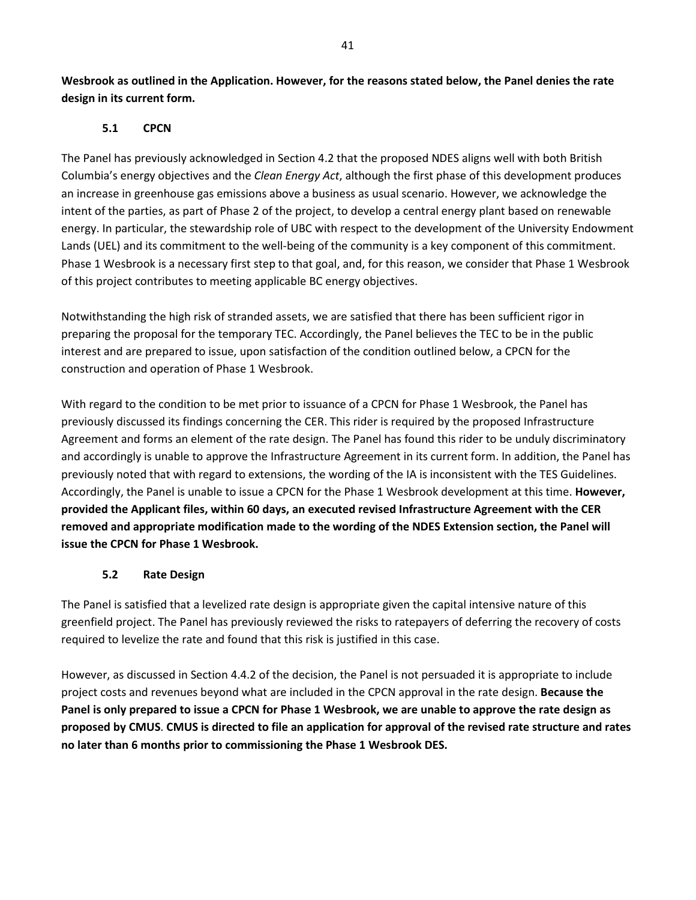<span id="page-47-0"></span>**Wesbrook as outlined in the Application. However, for the reasons stated below, the Panel denies the rate design in its current form.** 

#### **5.1 CPCN**

The Panel has previously acknowledged in Section [4.2](#page-30-0) that the proposed NDES aligns well with both British Columbia's energy objectives and the *Clean Energy Act*, although the first phase of this development produces an increase in greenhouse gas emissions above a business as usual scenario. However, we acknowledge the intent of the parties, as part of Phase 2 of the project, to develop a central energy plant based on renewable energy. In particular, the stewardship role of UBC with respect to the development of the University Endowment Lands (UEL) and its commitment to the well-being of the community is a key component of this commitment. Phase 1 Wesbrook is a necessary first step to that goal, and, for this reason, we consider that Phase 1 Wesbrook of this project contributes to meeting applicable BC energy objectives.

Notwithstanding the high risk of stranded assets, we are satisfied that there has been sufficient rigor in preparing the proposal for the temporary TEC. Accordingly, the Panel believes the TEC to be in the public interest and are prepared to issue, upon satisfaction of the condition outlined below, a CPCN for the construction and operation of Phase 1 Wesbrook.

With regard to the condition to be met prior to issuance of a CPCN for Phase 1 Wesbrook, the Panel has previously discussed its findings concerning the CER. This rider is required by the proposed Infrastructure Agreement and forms an element of the rate design. The Panel has found this rider to be unduly discriminatory and accordingly is unable to approve the Infrastructure Agreement in its current form. In addition, the Panel has previously noted that with regard to extensions, the wording of the IA is inconsistent with the TES Guidelines. Accordingly, the Panel is unable to issue a CPCN for the Phase 1 Wesbrook development at this time. **However, provided the Applicant files, within 60 days, an executed revised Infrastructure Agreement with the CER removed and appropriate modification made to the wording of the NDES Extension section, the Panel will issue the CPCN for Phase 1 Wesbrook.** 

#### <span id="page-47-3"></span><span id="page-47-2"></span>**5.2 Rate Design**

<span id="page-47-1"></span>The Panel is satisfied that a levelized rate design is appropriate given the capital intensive nature of this greenfield project. The Panel has previously reviewed the risks to ratepayers of deferring the recovery of costs required to levelize the rate and found that this risk is justified in this case.

However, as discussed in Section [4.4.2](#page-41-0) of the decision, the Panel is not persuaded it is appropriate to include project costs and revenues beyond what are included in the CPCN approval in the rate design. **Because the Panel is only prepared to issue a CPCN for Phase 1 Wesbrook, we are unable to approve the rate design as proposed by CMUS**. **CMUS is directed to file an application for approval of the revised rate structure and rates no later than 6 months prior to commissioning the Phase 1 Wesbrook DES.**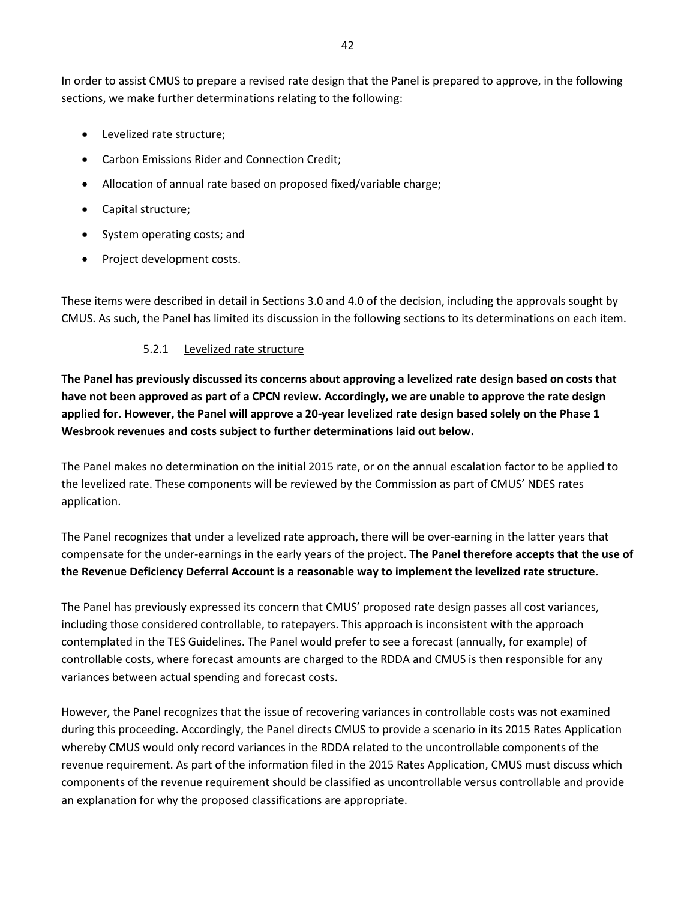In order to assist CMUS to prepare a revised rate design that the Panel is prepared to approve, in the following sections, we make further determinations relating to the following:

- Levelized rate structure;
- Carbon Emissions Rider and Connection Credit;
- Allocation of annual rate based on proposed fixed/variable charge;
- Capital structure;
- System operating costs; and
- Project development costs.

<span id="page-48-0"></span>These items were described in detail in Section[s 3.0](#page-15-0) and [4.0](#page-25-1) of the decision, including the approvals sought by CMUS. As such, the Panel has limited its discussion in the following sections to its determinations on each item.

#### <span id="page-48-2"></span>5.2.1 Levelized rate structure

<span id="page-48-1"></span>**The Panel has previously discussed its concerns about approving a levelized rate design based on costs that have not been approved as part of a CPCN review. Accordingly, we are unable to approve the rate design applied for. However, the Panel will approve a 20-year levelized rate design based solely on the Phase 1 Wesbrook revenues and costs subject to further determinations laid out below.** 

The Panel makes no determination on the initial 2015 rate, or on the annual escalation factor to be applied to the levelized rate. These components will be reviewed by the Commission as part of CMUS' NDES rates application.

The Panel recognizes that under a levelized rate approach, there will be over-earning in the latter years that compensate for the under-earnings in the early years of the project. **The Panel therefore accepts that the use of the Revenue Deficiency Deferral Account is a reasonable way to implement the levelized rate structure.** 

The Panel has previously expressed its concern that CMUS' proposed rate design passes all cost variances, including those considered controllable, to ratepayers. This approach is inconsistent with the approach contemplated in the TES Guidelines. The Panel would prefer to see a forecast (annually, for example) of controllable costs, where forecast amounts are charged to the RDDA and CMUS is then responsible for any variances between actual spending and forecast costs.

However, the Panel recognizes that the issue of recovering variances in controllable costs was not examined during this proceeding. Accordingly, the Panel directs CMUS to provide a scenario in its 2015 Rates Application whereby CMUS would only record variances in the RDDA related to the uncontrollable components of the revenue requirement. As part of the information filed in the 2015 Rates Application, CMUS must discuss which components of the revenue requirement should be classified as uncontrollable versus controllable and provide an explanation for why the proposed classifications are appropriate.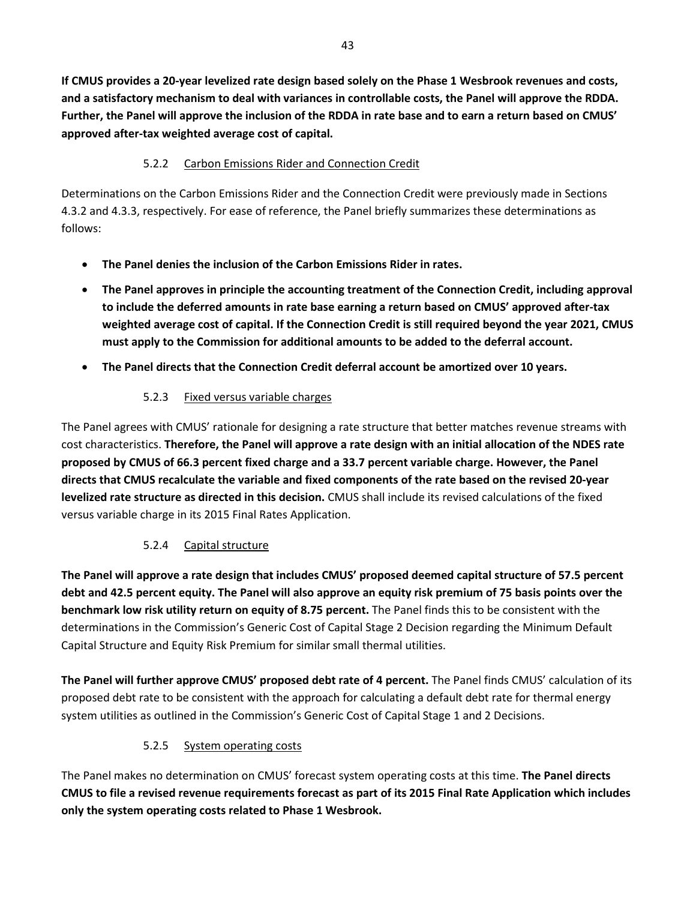<span id="page-49-4"></span>**If CMUS provides a 20-year levelized rate design based solely on the Phase 1 Wesbrook revenues and costs, and a satisfactory mechanism to deal with variances in controllable costs, the Panel will approve the RDDA. Further, the Panel will approve the inclusion of the RDDA in rate base and to earn a return based on CMUS' approved after-tax weighted average cost of capital.**

# 5.2.2 Carbon Emissions Rider and Connection Credit

<span id="page-49-0"></span>Determinations on the Carbon Emissions Rider and the Connection Credit were previously made in Sections [4.3.2](#page-33-0) and [4.3.3,](#page-38-0) respectively. For ease of reference, the Panel briefly summarizes these determinations as follows:

- <span id="page-49-5"></span>• **The Panel denies the inclusion of the Carbon Emissions Rider in rates.**
- <span id="page-49-6"></span>• **The Panel approves in principle the accounting treatment of the Connection Credit, including approval to include the deferred amounts in rate base earning a return based on CMUS' approved after-tax weighted average cost of capital. If the Connection Credit is still required beyond the year 2021, CMUS must apply to the Commission for additional amounts to be added to the deferral account.**
- <span id="page-49-7"></span><span id="page-49-1"></span>• **The Panel directs that the Connection Credit deferral account be amortized over 10 years.**

# <span id="page-49-8"></span>5.2.3 Fixed versus variable charges

The Panel agrees with CMUS' rationale for designing a rate structure that better matches revenue streams with cost characteristics. **Therefore, the Panel will approve a rate design with an initial allocation of the NDES rate proposed by CMUS of 66.3 percent fixed charge and a 33.7 percent variable charge. However, the Panel directs that CMUS recalculate the variable and fixed components of the rate based on the revised 20-year levelized rate structure as directed in this decision.** CMUS shall include its revised calculations of the fixed versus variable charge in its 2015 Final Rates Application.

# 5.2.4 Capital structure

<span id="page-49-9"></span><span id="page-49-2"></span>**The Panel will approve a rate design that includes CMUS' proposed deemed capital structure of 57.5 percent debt and 42.5 percent equity. The Panel will also approve an equity risk premium of 75 basis points over the benchmark low risk utility return on equity of 8.75 percent.** The Panel finds this to be consistent with the determinations in the Commission's Generic Cost of Capital Stage 2 Decision regarding the Minimum Default Capital Structure and Equity Risk Premium for similar small thermal utilities.

<span id="page-49-10"></span>**The Panel will further approve CMUS' proposed debt rate of 4 percent.** The Panel finds CMUS' calculation of its proposed debt rate to be consistent with the approach for calculating a default debt rate for thermal energy system utilities as outlined in the Commission's Generic Cost of Capital Stage 1 and 2 Decisions.

# <span id="page-49-11"></span>5.2.5 System operating costs

<span id="page-49-3"></span>The Panel makes no determination on CMUS' forecast system operating costs at this time. **The Panel directs CMUS to file a revised revenue requirements forecast as part of its 2015 Final Rate Application which includes only the system operating costs related to Phase 1 Wesbrook.**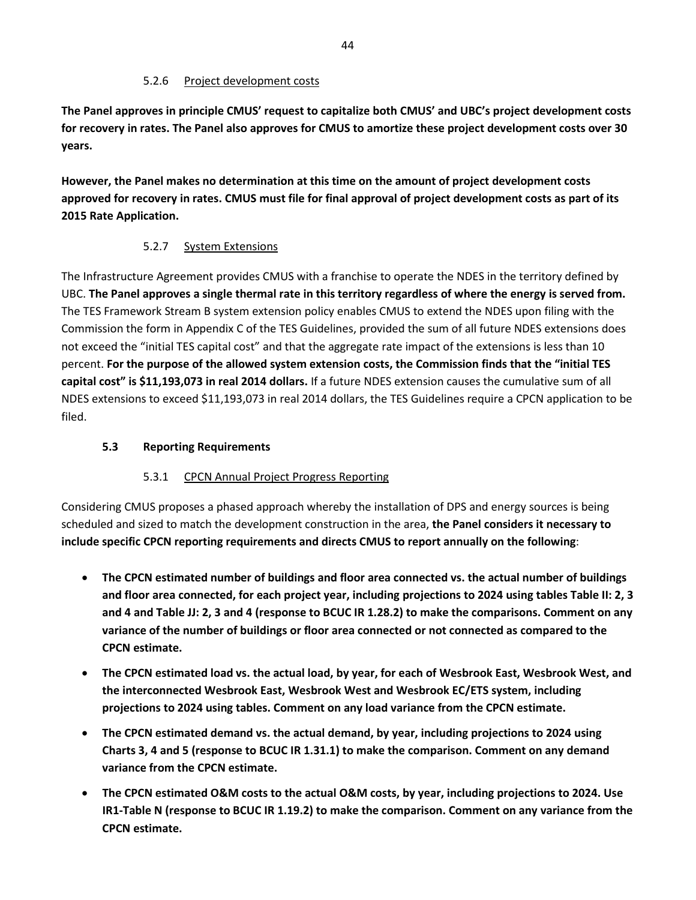#### 5.2.6 Project development costs

<span id="page-50-4"></span><span id="page-50-0"></span>**The Panel approves in principle CMUS' request to capitalize both CMUS' and UBC's project development costs for recovery in rates. The Panel also approves for CMUS to amortize these project development costs over 30 years.** 

<span id="page-50-5"></span>**However, the Panel makes no determination at this time on the amount of project development costs approved for recovery in rates. CMUS must file for final approval of project development costs as part of its 2015 Rate Application.**

#### 5.2.7 System Extensions

<span id="page-50-6"></span><span id="page-50-1"></span>The Infrastructure Agreement provides CMUS with a franchise to operate the NDES in the territory defined by UBC. **The Panel approves a single thermal rate in this territory regardless of where the energy is served from.** The TES Framework Stream B system extension policy enables CMUS to extend the NDES upon filing with the Commission the form in Appendix C of the TES Guidelines, provided the sum of all future NDES extensions does not exceed the "initial TES capital cost" and that the aggregate rate impact of the extensions is less than 10 percent. **For the purpose of the allowed system extension costs, the Commission finds that the "initial TES capital cost" is \$11,193,073 in real 2014 dollars.** If a future NDES extension causes the cumulative sum of all NDES extensions to exceed \$11,193,073 in real 2014 dollars, the TES Guidelines require a CPCN application to be filed.

#### <span id="page-50-7"></span><span id="page-50-2"></span>**5.3 Reporting Requirements**

#### <span id="page-50-8"></span>5.3.1 CPCN Annual Project Progress Reporting

<span id="page-50-3"></span>Considering CMUS proposes a phased approach whereby the installation of DPS and energy sources is being scheduled and sized to match the development construction in the area, **the Panel considers it necessary to include specific CPCN reporting requirements and directs CMUS to report annually on the following**:

- **The CPCN estimated number of buildings and floor area connected vs. the actual number of buildings and floor area connected, for each project year, including projections to 2024 using tables Table II: 2, 3 and 4 and Table JJ: 2, 3 and 4 (response to BCUC IR 1.28.2) to make the comparisons. Comment on any variance of the number of buildings or floor area connected or not connected as compared to the CPCN estimate.**
- **The CPCN estimated load vs. the actual load, by year, for each of Wesbrook East, Wesbrook West, and the interconnected Wesbrook East, Wesbrook West and Wesbrook EC/ETS system, including projections to 2024 using tables. Comment on any load variance from the CPCN estimate.**
- **The CPCN estimated demand vs. the actual demand, by year, including projections to 2024 using Charts 3, 4 and 5 (response to BCUC IR 1.31.1) to make the comparison. Comment on any demand variance from the CPCN estimate.**
- **The CPCN estimated O&M costs to the actual O&M costs, by year, including projections to 2024. Use IR1-Table N (response to BCUC IR 1.19.2) to make the comparison. Comment on any variance from the CPCN estimate.**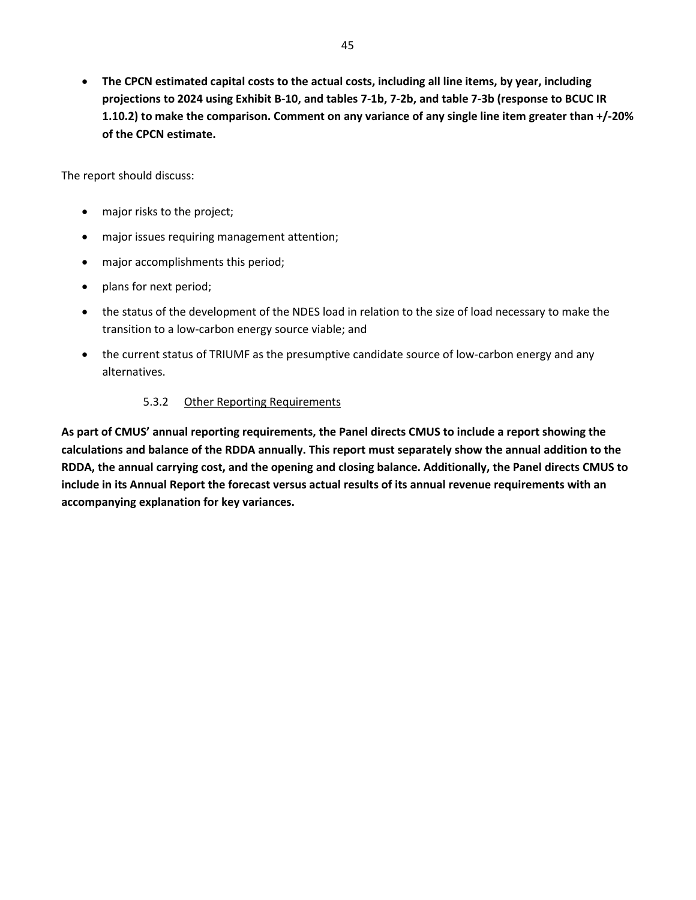• **The CPCN estimated capital costs to the actual costs, including all line items, by year, including projections to 2024 using Exhibit B-10, and tables 7-1b, 7-2b, and table 7-3b (response to BCUC IR 1.10.2) to make the comparison. Comment on any variance of any single line item greater than +/-20% of the CPCN estimate.** 

The report should discuss:

- major risks to the project;
- major issues requiring management attention;
- major accomplishments this period;
- plans for next period;
- the status of the development of the NDES load in relation to the size of load necessary to make the transition to a low-carbon energy source viable; and
- the current status of TRIUMF as the presumptive candidate source of low-carbon energy and any alternatives.

#### 5.3.2 Other Reporting Requirements

<span id="page-51-1"></span><span id="page-51-0"></span>**As part of CMUS' annual reporting requirements, the Panel directs CMUS to include a report showing the calculations and balance of the RDDA annually. This report must separately show the annual addition to the RDDA, the annual carrying cost, and the opening and closing balance. Additionally, the Panel directs CMUS to include in its Annual Report the forecast versus actual results of its annual revenue requirements with an accompanying explanation for key variances.**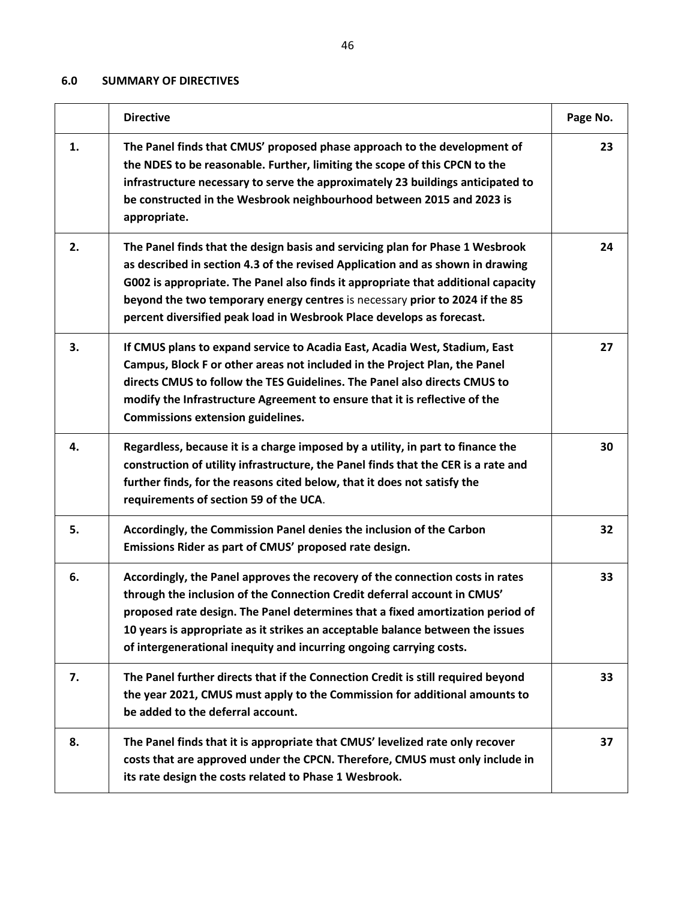# <span id="page-52-0"></span>**6.0 SUMMARY OF DIRECTIVES**

|    | <b>Directive</b>                                                                                                                                                                                                                                                                                                                                                                                              | Page No. |
|----|---------------------------------------------------------------------------------------------------------------------------------------------------------------------------------------------------------------------------------------------------------------------------------------------------------------------------------------------------------------------------------------------------------------|----------|
| 1. | The Panel finds that CMUS' proposed phase approach to the development of<br>the NDES to be reasonable. Further, limiting the scope of this CPCN to the<br>infrastructure necessary to serve the approximately 23 buildings anticipated to<br>be constructed in the Wesbrook neighbourhood between 2015 and 2023 is<br>appropriate.                                                                            | 23       |
| 2. | The Panel finds that the design basis and servicing plan for Phase 1 Wesbrook<br>as described in section 4.3 of the revised Application and as shown in drawing<br>G002 is appropriate. The Panel also finds it appropriate that additional capacity<br>beyond the two temporary energy centres is necessary prior to 2024 if the 85<br>percent diversified peak load in Wesbrook Place develops as forecast. | 24       |
| 3. | If CMUS plans to expand service to Acadia East, Acadia West, Stadium, East<br>Campus, Block F or other areas not included in the Project Plan, the Panel<br>directs CMUS to follow the TES Guidelines. The Panel also directs CMUS to<br>modify the Infrastructure Agreement to ensure that it is reflective of the<br><b>Commissions extension guidelines.</b>                                               | 27       |
| 4. | Regardless, because it is a charge imposed by a utility, in part to finance the<br>construction of utility infrastructure, the Panel finds that the CER is a rate and<br>further finds, for the reasons cited below, that it does not satisfy the<br>requirements of section 59 of the UCA.                                                                                                                   | 30       |
| 5. | Accordingly, the Commission Panel denies the inclusion of the Carbon<br>Emissions Rider as part of CMUS' proposed rate design.                                                                                                                                                                                                                                                                                | 32       |
| 6. | Accordingly, the Panel approves the recovery of the connection costs in rates<br>through the inclusion of the Connection Credit deferral account in CMUS'<br>proposed rate design. The Panel determines that a fixed amortization period of<br>10 years is appropriate as it strikes an acceptable balance between the issues<br>of intergenerational inequity and incurring ongoing carrying costs.          | 33       |
| 7. | The Panel further directs that if the Connection Credit is still required beyond<br>the year 2021, CMUS must apply to the Commission for additional amounts to<br>be added to the deferral account.                                                                                                                                                                                                           | 33       |
| 8. | The Panel finds that it is appropriate that CMUS' levelized rate only recover<br>costs that are approved under the CPCN. Therefore, CMUS must only include in<br>its rate design the costs related to Phase 1 Wesbrook.                                                                                                                                                                                       | 37       |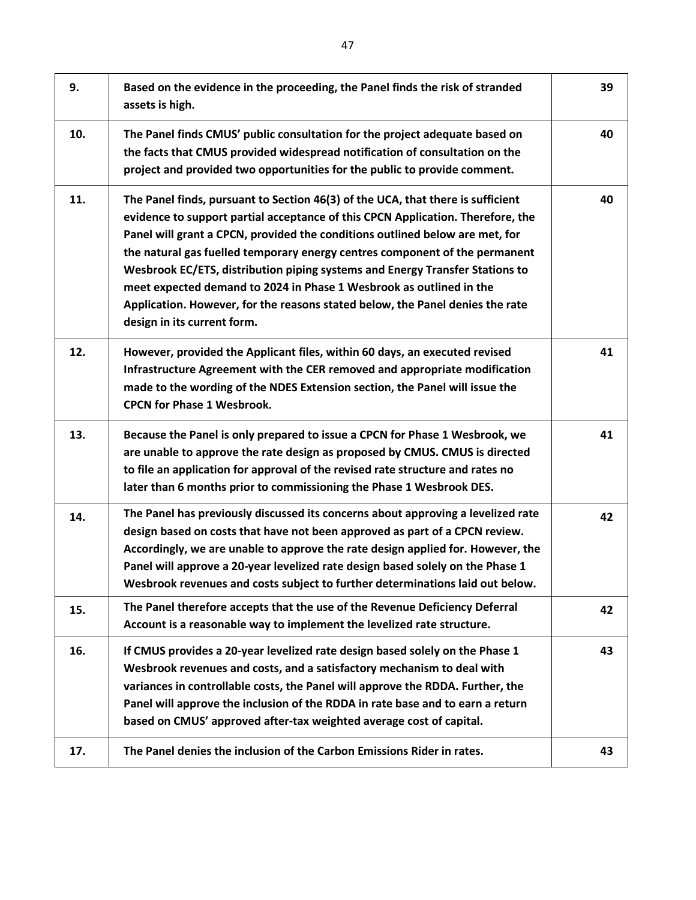| 9.  | Based on the evidence in the proceeding, the Panel finds the risk of stranded<br>assets is high.                                                                                                                                                                                                                                                                                                                                                                                                                                                                                                         | 39 |
|-----|----------------------------------------------------------------------------------------------------------------------------------------------------------------------------------------------------------------------------------------------------------------------------------------------------------------------------------------------------------------------------------------------------------------------------------------------------------------------------------------------------------------------------------------------------------------------------------------------------------|----|
| 10. | The Panel finds CMUS' public consultation for the project adequate based on<br>the facts that CMUS provided widespread notification of consultation on the<br>project and provided two opportunities for the public to provide comment.                                                                                                                                                                                                                                                                                                                                                                  | 40 |
| 11. | The Panel finds, pursuant to Section 46(3) of the UCA, that there is sufficient<br>evidence to support partial acceptance of this CPCN Application. Therefore, the<br>Panel will grant a CPCN, provided the conditions outlined below are met, for<br>the natural gas fuelled temporary energy centres component of the permanent<br>Wesbrook EC/ETS, distribution piping systems and Energy Transfer Stations to<br>meet expected demand to 2024 in Phase 1 Wesbrook as outlined in the<br>Application. However, for the reasons stated below, the Panel denies the rate<br>design in its current form. | 40 |
| 12. | However, provided the Applicant files, within 60 days, an executed revised<br>Infrastructure Agreement with the CER removed and appropriate modification<br>made to the wording of the NDES Extension section, the Panel will issue the<br><b>CPCN for Phase 1 Wesbrook.</b>                                                                                                                                                                                                                                                                                                                             | 41 |
| 13. | Because the Panel is only prepared to issue a CPCN for Phase 1 Wesbrook, we<br>are unable to approve the rate design as proposed by CMUS. CMUS is directed<br>to file an application for approval of the revised rate structure and rates no<br>later than 6 months prior to commissioning the Phase 1 Wesbrook DES.                                                                                                                                                                                                                                                                                     | 41 |
| 14. | The Panel has previously discussed its concerns about approving a levelized rate<br>design based on costs that have not been approved as part of a CPCN review.<br>Accordingly, we are unable to approve the rate design applied for. However, the<br>Panel will approve a 20-year levelized rate design based solely on the Phase 1<br>Wesbrook revenues and costs subject to further determinations laid out below.                                                                                                                                                                                    | 42 |
| 15. | The Panel therefore accepts that the use of the Revenue Deficiency Deferral<br>Account is a reasonable way to implement the levelized rate structure.                                                                                                                                                                                                                                                                                                                                                                                                                                                    | 42 |
| 16. | If CMUS provides a 20-year levelized rate design based solely on the Phase 1<br>Wesbrook revenues and costs, and a satisfactory mechanism to deal with<br>variances in controllable costs, the Panel will approve the RDDA. Further, the<br>Panel will approve the inclusion of the RDDA in rate base and to earn a return<br>based on CMUS' approved after-tax weighted average cost of capital.                                                                                                                                                                                                        | 43 |
| 17. | The Panel denies the inclusion of the Carbon Emissions Rider in rates.                                                                                                                                                                                                                                                                                                                                                                                                                                                                                                                                   | 43 |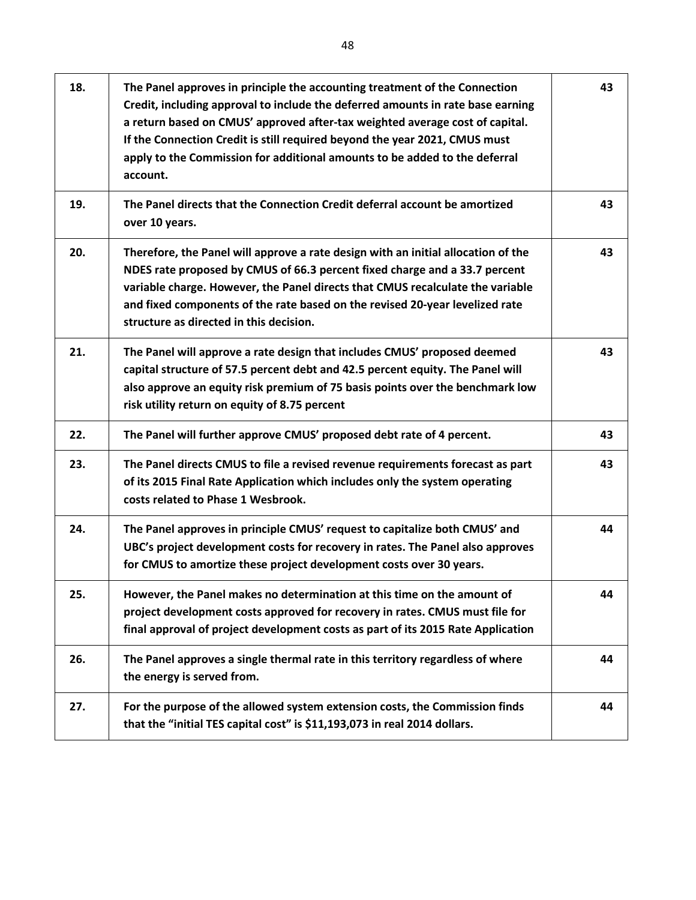| 18. | The Panel approves in principle the accounting treatment of the Connection<br>Credit, including approval to include the deferred amounts in rate base earning<br>a return based on CMUS' approved after-tax weighted average cost of capital.<br>If the Connection Credit is still required beyond the year 2021, CMUS must<br>apply to the Commission for additional amounts to be added to the deferral<br>account. | 43 |
|-----|-----------------------------------------------------------------------------------------------------------------------------------------------------------------------------------------------------------------------------------------------------------------------------------------------------------------------------------------------------------------------------------------------------------------------|----|
| 19. | The Panel directs that the Connection Credit deferral account be amortized<br>over 10 years.                                                                                                                                                                                                                                                                                                                          | 43 |
| 20. | Therefore, the Panel will approve a rate design with an initial allocation of the<br>NDES rate proposed by CMUS of 66.3 percent fixed charge and a 33.7 percent<br>variable charge. However, the Panel directs that CMUS recalculate the variable<br>and fixed components of the rate based on the revised 20-year levelized rate<br>structure as directed in this decision.                                          | 43 |
| 21. | The Panel will approve a rate design that includes CMUS' proposed deemed<br>capital structure of 57.5 percent debt and 42.5 percent equity. The Panel will<br>also approve an equity risk premium of 75 basis points over the benchmark low<br>risk utility return on equity of 8.75 percent                                                                                                                          | 43 |
| 22. | The Panel will further approve CMUS' proposed debt rate of 4 percent.                                                                                                                                                                                                                                                                                                                                                 | 43 |
| 23. | The Panel directs CMUS to file a revised revenue requirements forecast as part<br>of its 2015 Final Rate Application which includes only the system operating<br>costs related to Phase 1 Wesbrook.                                                                                                                                                                                                                   | 43 |
| 24. | The Panel approves in principle CMUS' request to capitalize both CMUS' and<br>UBC's project development costs for recovery in rates. The Panel also approves<br>for CMUS to amortize these project development costs over 30 years.                                                                                                                                                                                   | 44 |
| 25. | However, the Panel makes no determination at this time on the amount of<br>project development costs approved for recovery in rates. CMUS must file for<br>final approval of project development costs as part of its 2015 Rate Application                                                                                                                                                                           | 44 |
| 26. | The Panel approves a single thermal rate in this territory regardless of where<br>the energy is served from.                                                                                                                                                                                                                                                                                                          | 44 |
| 27. | For the purpose of the allowed system extension costs, the Commission finds<br>that the "initial TES capital cost" is \$11,193,073 in real 2014 dollars.                                                                                                                                                                                                                                                              | 44 |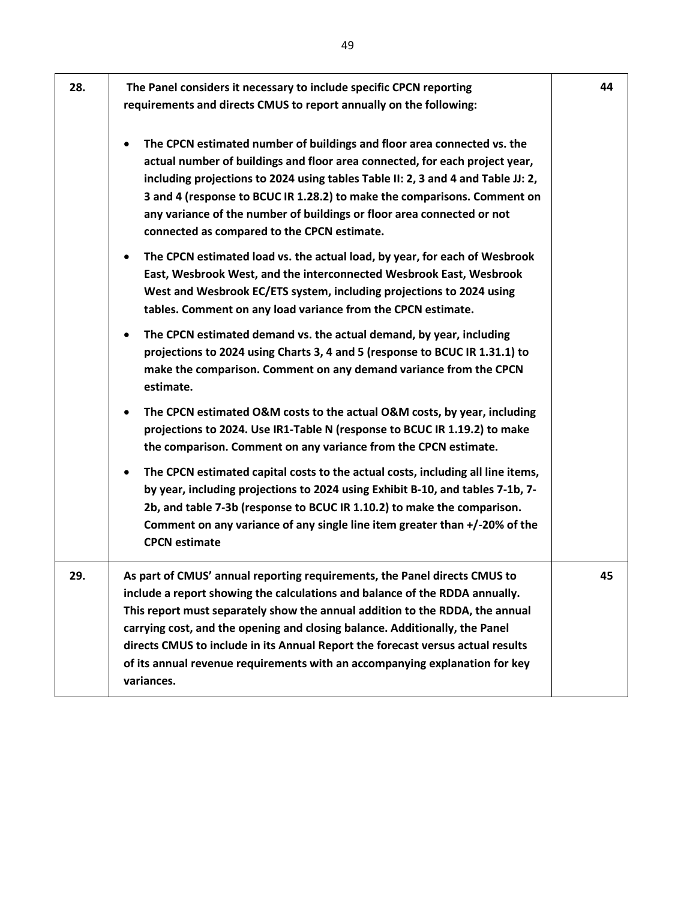| 28. | The Panel considers it necessary to include specific CPCN reporting<br>requirements and directs CMUS to report annually on the following:                                                                                                                                                                                                                                                                                                                                                               | 44 |
|-----|---------------------------------------------------------------------------------------------------------------------------------------------------------------------------------------------------------------------------------------------------------------------------------------------------------------------------------------------------------------------------------------------------------------------------------------------------------------------------------------------------------|----|
|     | The CPCN estimated number of buildings and floor area connected vs. the<br>actual number of buildings and floor area connected, for each project year,<br>including projections to 2024 using tables Table II: 2, 3 and 4 and Table JJ: 2,<br>3 and 4 (response to BCUC IR 1.28.2) to make the comparisons. Comment on<br>any variance of the number of buildings or floor area connected or not<br>connected as compared to the CPCN estimate.                                                         |    |
|     | The CPCN estimated load vs. the actual load, by year, for each of Wesbrook<br>$\bullet$<br>East, Wesbrook West, and the interconnected Wesbrook East, Wesbrook<br>West and Wesbrook EC/ETS system, including projections to 2024 using<br>tables. Comment on any load variance from the CPCN estimate.                                                                                                                                                                                                  |    |
|     | The CPCN estimated demand vs. the actual demand, by year, including<br>$\bullet$<br>projections to 2024 using Charts 3, 4 and 5 (response to BCUC IR 1.31.1) to<br>make the comparison. Comment on any demand variance from the CPCN<br>estimate.                                                                                                                                                                                                                                                       |    |
|     | The CPCN estimated O&M costs to the actual O&M costs, by year, including<br>$\bullet$<br>projections to 2024. Use IR1-Table N (response to BCUC IR 1.19.2) to make<br>the comparison. Comment on any variance from the CPCN estimate.                                                                                                                                                                                                                                                                   |    |
|     | The CPCN estimated capital costs to the actual costs, including all line items,<br>$\bullet$<br>by year, including projections to 2024 using Exhibit B-10, and tables 7-1b, 7-<br>2b, and table 7-3b (response to BCUC IR 1.10.2) to make the comparison.<br>Comment on any variance of any single line item greater than +/-20% of the<br><b>CPCN</b> estimate                                                                                                                                         |    |
| 29. | As part of CMUS' annual reporting requirements, the Panel directs CMUS to<br>include a report showing the calculations and balance of the RDDA annually.<br>This report must separately show the annual addition to the RDDA, the annual<br>carrying cost, and the opening and closing balance. Additionally, the Panel<br>directs CMUS to include in its Annual Report the forecast versus actual results<br>of its annual revenue requirements with an accompanying explanation for key<br>variances. | 45 |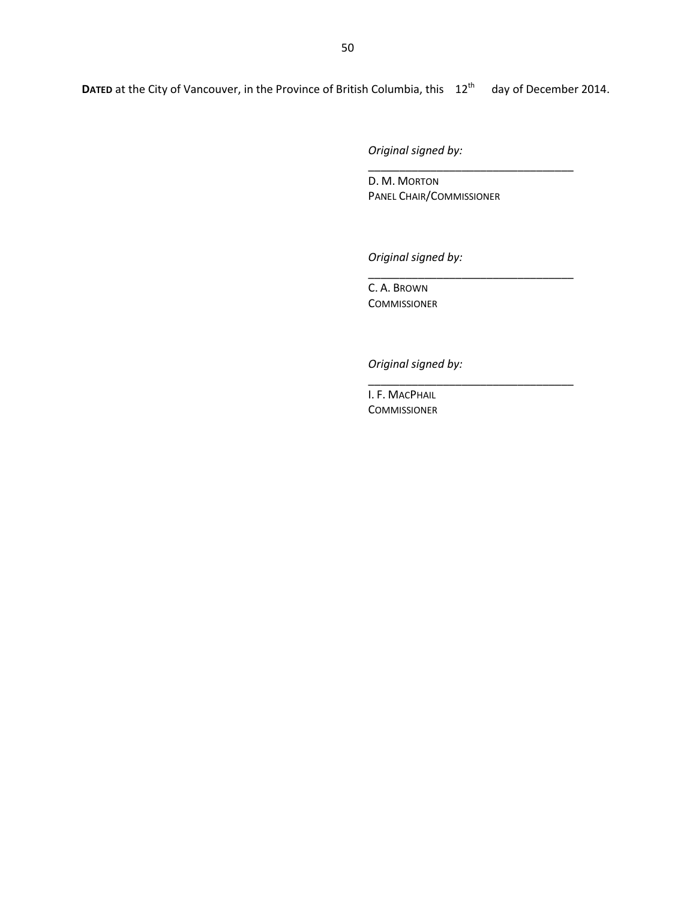*Original signed by:*

D. M. MORTON PANEL CHAIR/COMMISSIONER

\_\_\_\_\_\_\_\_\_\_\_\_\_\_\_\_\_\_\_\_\_\_\_\_\_\_\_\_\_\_\_\_\_

\_\_\_\_\_\_\_\_\_\_\_\_\_\_\_\_\_\_\_\_\_\_\_\_\_\_\_\_\_\_\_\_\_

\_\_\_\_\_\_\_\_\_\_\_\_\_\_\_\_\_\_\_\_\_\_\_\_\_\_\_\_\_\_\_\_\_

*Original signed by:*

C. A. BROWN **COMMISSIONER** 

*Original signed by:*

I. F. MACPHAIL COMMISSIONER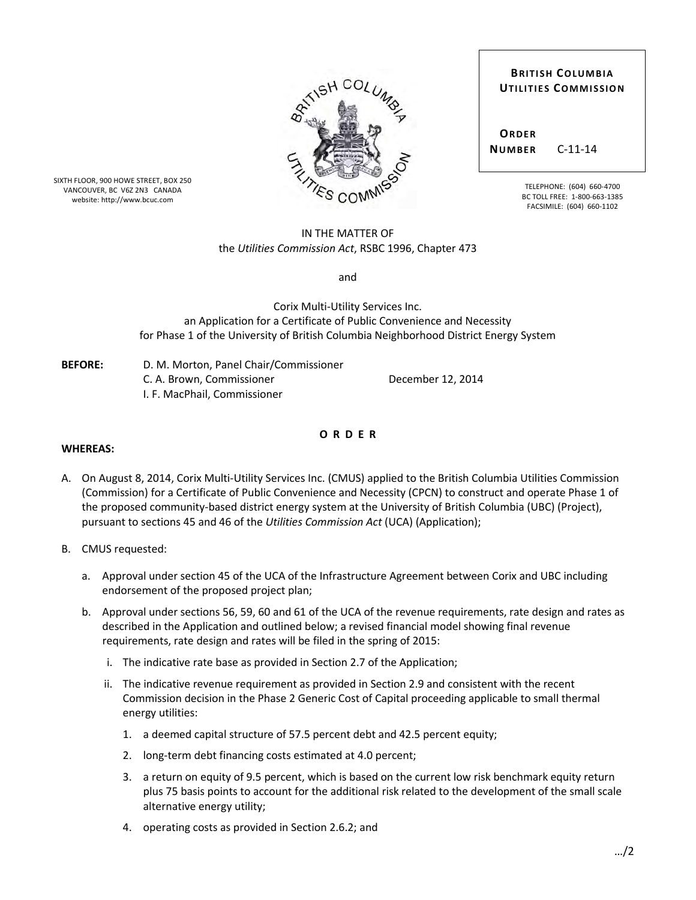|               |                  | SHUULUMS |  |
|---------------|------------------|----------|--|
|               |                  |          |  |
|               |                  |          |  |
| $\rightarrow$ |                  |          |  |
|               | <b>TIES COMP</b> |          |  |

SIXTH FLOOR, 900 HOWE STREET, BOX 250 VANCOUVER, BC V6Z 2N3 CANADA website: http://www.bcuc.com

#### IN THE MATTER OF the *Utilities Commission Act*, RSBC 1996, Chapter 473

and

Corix Multi-Utility Services Inc. an Application for a Certificate of Public Convenience and Necessity for Phase 1 of the University of British Columbia Neighborhood District Energy System

| <b>BEFORE:</b> | D. M. Morton, Panel Chair/Commissioner |
|----------------|----------------------------------------|
|                | C. A. Brown. Commissioner              |
|                | I. F. MacPhail. Commissioner           |

**O R D E R**

December 12, 2014

#### **WHEREAS:**

- A. On August 8, 2014, Corix Multi-Utility Services Inc. (CMUS) applied to the British Columbia Utilities Commission (Commission) for a Certificate of Public Convenience and Necessity (CPCN) to construct and operate Phase 1 of the proposed community-based district energy system at the University of British Columbia (UBC) (Project), pursuant to sections 45 and 46 of the *Utilities Commission Act* (UCA) (Application);
- B. CMUS requested:
	- a. Approval under section 45 of the UCA of the Infrastructure Agreement between Corix and UBC including endorsement of the proposed project plan;
	- b. Approval under sections 56, 59, 60 and 61 of the UCA of the revenue requirements, rate design and rates as described in the Application and outlined below; a revised financial model showing final revenue requirements, rate design and rates will be filed in the spring of 2015:
		- i. The indicative rate base as provided in Section 2.7 of the Application;
		- ii. The indicative revenue requirement as provided in Section 2.9 and consistent with the recent Commission decision in the Phase 2 Generic Cost of Capital proceeding applicable to small thermal energy utilities:
			- 1. a deemed capital structure of 57.5 percent debt and 42.5 percent equity;
			- 2. long-term debt financing costs estimated at 4.0 percent;
			- 3. a return on equity of 9.5 percent, which is based on the current low risk benchmark equity return plus 75 basis points to account for the additional risk related to the development of the small scale alternative energy utility;
			- 4. operating costs as provided in Section 2.6.2; and

| <b>BRITISH COLUMBIA</b>     |
|-----------------------------|
| <b>UTILITIES COMMISSION</b> |
|                             |
|                             |
|                             |

 **NUMBER** C-11-14

**ORDER**

TELEPHONE: (604) 660-4700 BC TOLL FREE: 1-800-663-1385 FACSIMILE: (604) 660-1102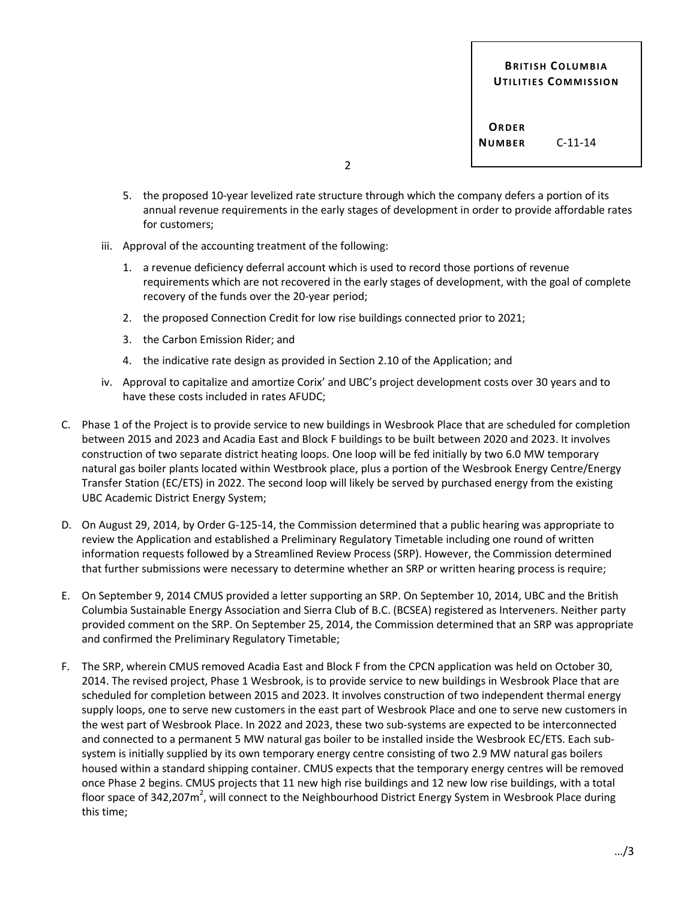**BRITISH COLUMBIA UTILITIES COMMISSION**

**ORDER NUMBER** C-11-14

2

- 5. the proposed 10-year levelized rate structure through which the company defers a portion of its annual revenue requirements in the early stages of development in order to provide affordable rates for customers;
- iii. Approval of the accounting treatment of the following:
	- 1. a revenue deficiency deferral account which is used to record those portions of revenue requirements which are not recovered in the early stages of development, with the goal of complete recovery of the funds over the 20-year period;
	- 2. the proposed Connection Credit for low rise buildings connected prior to 2021;
	- 3. the Carbon Emission Rider; and
	- 4. the indicative rate design as provided in Section 2.10 of the Application; and
- iv. Approval to capitalize and amortize Corix' and UBC's project development costs over 30 years and to have these costs included in rates AFUDC;
- C. Phase 1 of the Project is to provide service to new buildings in Wesbrook Place that are scheduled for completion between 2015 and 2023 and Acadia East and Block F buildings to be built between 2020 and 2023. It involves construction of two separate district heating loops. One loop will be fed initially by two 6.0 MW temporary natural gas boiler plants located within Westbrook place, plus a portion of the Wesbrook Energy Centre/Energy Transfer Station (EC/ETS) in 2022. The second loop will likely be served by purchased energy from the existing UBC Academic District Energy System;
- D. On August 29, 2014, by Order G-125-14, the Commission determined that a public hearing was appropriate to review the Application and established a Preliminary Regulatory Timetable including one round of written information requests followed by a Streamlined Review Process (SRP). However, the Commission determined that further submissions were necessary to determine whether an SRP or written hearing process is require;
- E. On September 9, 2014 CMUS provided a letter supporting an SRP. On September 10, 2014, UBC and the British Columbia Sustainable Energy Association and Sierra Club of B.C. (BCSEA) registered as Interveners. Neither party provided comment on the SRP. On September 25, 2014, the Commission determined that an SRP was appropriate and confirmed the Preliminary Regulatory Timetable;
- F. The SRP, wherein CMUS removed Acadia East and Block F from the CPCN application was held on October 30, 2014. The revised project, Phase 1 Wesbrook, is to provide service to new buildings in Wesbrook Place that are scheduled for completion between 2015 and 2023. It involves construction of two independent thermal energy supply loops, one to serve new customers in the east part of Wesbrook Place and one to serve new customers in the west part of Wesbrook Place. In 2022 and 2023, these two sub-systems are expected to be interconnected and connected to a permanent 5 MW natural gas boiler to be installed inside the Wesbrook EC/ETS. Each subsystem is initially supplied by its own temporary energy centre consisting of two 2.9 MW natural gas boilers housed within a standard shipping container. CMUS expects that the temporary energy centres will be removed once Phase 2 begins. CMUS projects that 11 new high rise buildings and 12 new low rise buildings, with a total floor space of 342,207m<sup>2</sup>, will connect to the Neighbourhood District Energy System in Wesbrook Place during this time;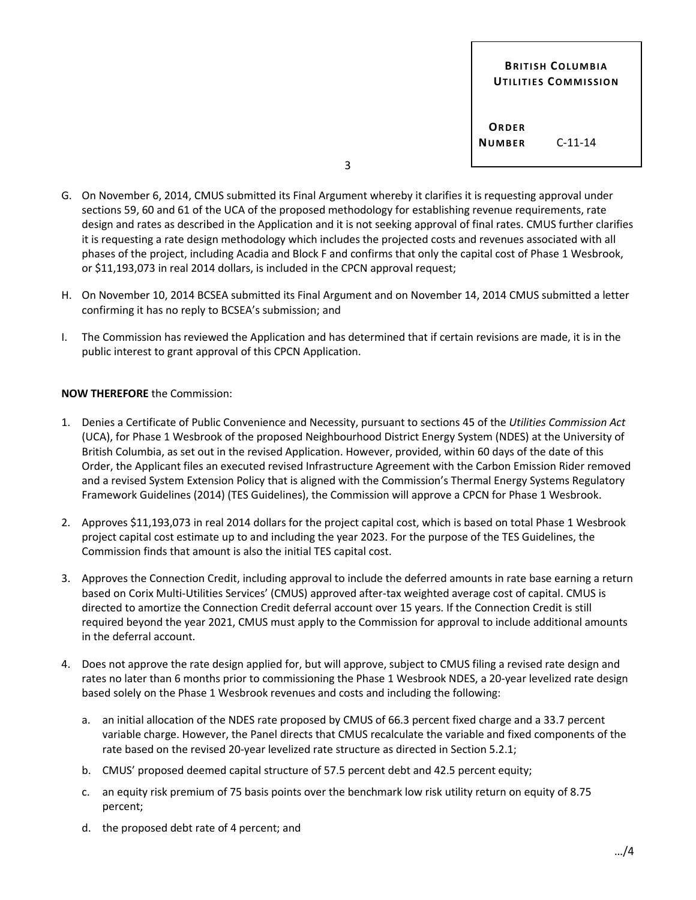**BRITISH COLUMBIA UTILITIES COMMISSION**

**ORDER NUMBER** C-11-14

3

- G. On November 6, 2014, CMUS submitted its Final Argument whereby it clarifies it is requesting approval under sections 59, 60 and 61 of the UCA of the proposed methodology for establishing revenue requirements, rate design and rates as described in the Application and it is not seeking approval of final rates. CMUS further clarifies it is requesting a rate design methodology which includes the projected costs and revenues associated with all phases of the project, including Acadia and Block F and confirms that only the capital cost of Phase 1 Wesbrook, or \$11,193,073 in real 2014 dollars, is included in the CPCN approval request;
- H. On November 10, 2014 BCSEA submitted its Final Argument and on November 14, 2014 CMUS submitted a letter confirming it has no reply to BCSEA's submission; and
- I. The Commission has reviewed the Application and has determined that if certain revisions are made, it is in the public interest to grant approval of this CPCN Application.

#### **NOW THEREFORE** the Commission:

- 1. Denies a Certificate of Public Convenience and Necessity, pursuant to sections 45 of the *Utilities Commission Act*  (UCA), for Phase 1 Wesbrook of the proposed Neighbourhood District Energy System (NDES) at the University of British Columbia, as set out in the revised Application. However, provided, within 60 days of the date of this Order, the Applicant files an executed revised Infrastructure Agreement with the Carbon Emission Rider removed and a revised System Extension Policy that is aligned with the Commission's Thermal Energy Systems Regulatory Framework Guidelines (2014) (TES Guidelines), the Commission will approve a CPCN for Phase 1 Wesbrook.
- 2. Approves \$11,193,073 in real 2014 dollars for the project capital cost, which is based on total Phase 1 Wesbrook project capital cost estimate up to and including the year 2023. For the purpose of the TES Guidelines, the Commission finds that amount is also the initial TES capital cost.
- 3. Approves the Connection Credit, including approval to include the deferred amounts in rate base earning a return based on Corix Multi-Utilities Services' (CMUS) approved after-tax weighted average cost of capital. CMUS is directed to amortize the Connection Credit deferral account over 15 years. If the Connection Credit is still required beyond the year 2021, CMUS must apply to the Commission for approval to include additional amounts in the deferral account.
- 4. Does not approve the rate design applied for, but will approve, subject to CMUS filing a revised rate design and rates no later than 6 months prior to commissioning the Phase 1 Wesbrook NDES, a 20-year levelized rate design based solely on the Phase 1 Wesbrook revenues and costs and including the following:
	- a. an initial allocation of the NDES rate proposed by CMUS of 66.3 percent fixed charge and a 33.7 percent variable charge. However, the Panel directs that CMUS recalculate the variable and fixed components of the rate based on the revised 20-year levelized rate structure as directed in Section 5.2.1;
	- b. CMUS' proposed deemed capital structure of 57.5 percent debt and 42.5 percent equity;
	- c. an equity risk premium of 75 basis points over the benchmark low risk utility return on equity of 8.75 percent;
	- d. the proposed debt rate of 4 percent; and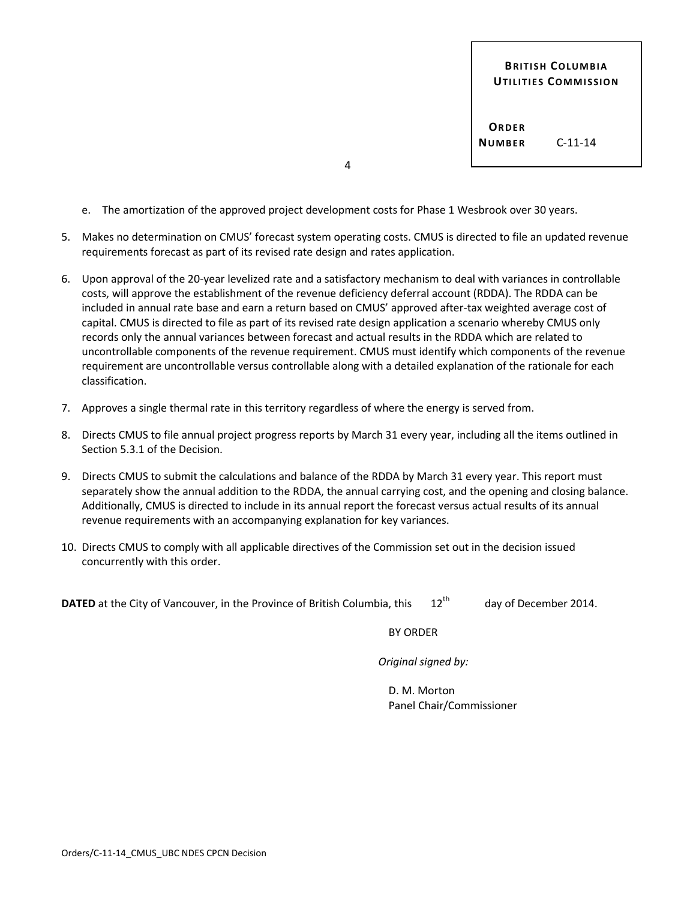**BRITISH COLUMBIA UTILITIES COMMISSION**

**ORDER NUMBER** C-11-14

4

- e. The amortization of the approved project development costs for Phase 1 Wesbrook over 30 years.
- 5. Makes no determination on CMUS' forecast system operating costs. CMUS is directed to file an updated revenue requirements forecast as part of its revised rate design and rates application.
- 6. Upon approval of the 20-year levelized rate and a satisfactory mechanism to deal with variances in controllable costs, will approve the establishment of the revenue deficiency deferral account (RDDA). The RDDA can be included in annual rate base and earn a return based on CMUS' approved after-tax weighted average cost of capital. CMUS is directed to file as part of its revised rate design application a scenario whereby CMUS only records only the annual variances between forecast and actual results in the RDDA which are related to uncontrollable components of the revenue requirement. CMUS must identify which components of the revenue requirement are uncontrollable versus controllable along with a detailed explanation of the rationale for each classification.
- 7. Approves a single thermal rate in this territory regardless of where the energy is served from.
- 8. Directs CMUS to file annual project progress reports by March 31 every year, including all the items outlined in Section 5.3.1 of the Decision.
- 9. Directs CMUS to submit the calculations and balance of the RDDA by March 31 every year. This report must separately show the annual addition to the RDDA, the annual carrying cost, and the opening and closing balance. Additionally, CMUS is directed to include in its annual report the forecast versus actual results of its annual revenue requirements with an accompanying explanation for key variances.
- 10. Directs CMUS to comply with all applicable directives of the Commission set out in the decision issued concurrently with this order.

**DATED** at the City of Vancouver, in the Province of British Columbia, this 12<sup>th</sup> day of December 2014.

BY ORDER

*Original signed by:*

D. M. Morton Panel Chair/Commissioner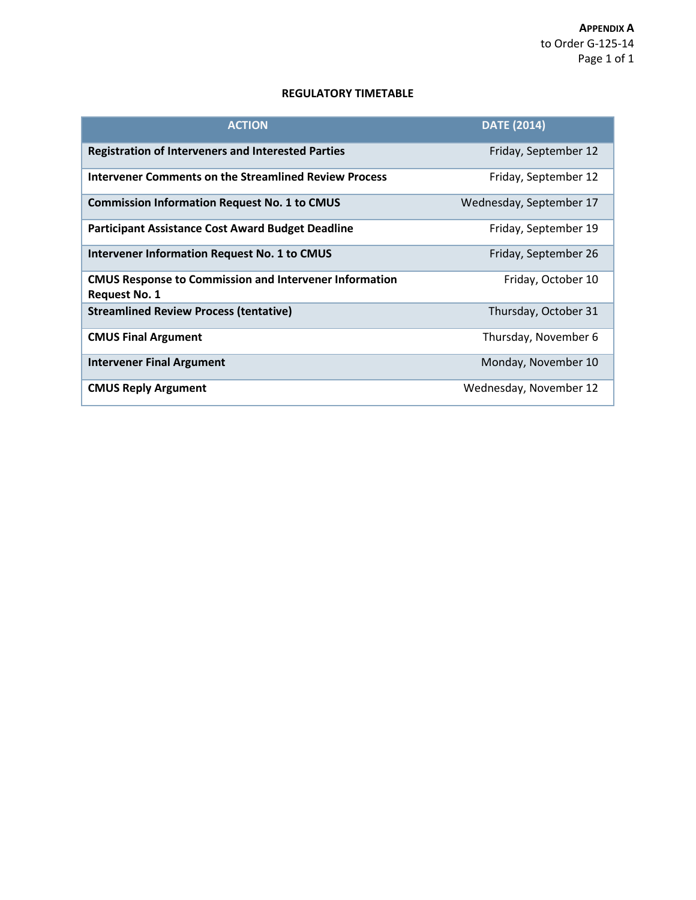#### **REGULATORY TIMETABLE**

| <b>ACTION</b>                                                                         | <b>DATE (2014)</b>      |
|---------------------------------------------------------------------------------------|-------------------------|
| <b>Registration of Interveners and Interested Parties</b>                             | Friday, September 12    |
| Intervener Comments on the Streamlined Review Process                                 | Friday, September 12    |
| <b>Commission Information Request No. 1 to CMUS</b>                                   | Wednesday, September 17 |
| <b>Participant Assistance Cost Award Budget Deadline</b>                              | Friday, September 19    |
| <b>Intervener Information Request No. 1 to CMUS</b>                                   | Friday, September 26    |
| <b>CMUS Response to Commission and Intervener Information</b><br><b>Request No. 1</b> | Friday, October 10      |
| <b>Streamlined Review Process (tentative)</b>                                         | Thursday, October 31    |
| <b>CMUS Final Argument</b>                                                            | Thursday, November 6    |
| <b>Intervener Final Argument</b>                                                      | Monday, November 10     |
| <b>CMUS Reply Argument</b>                                                            | Wednesday, November 12  |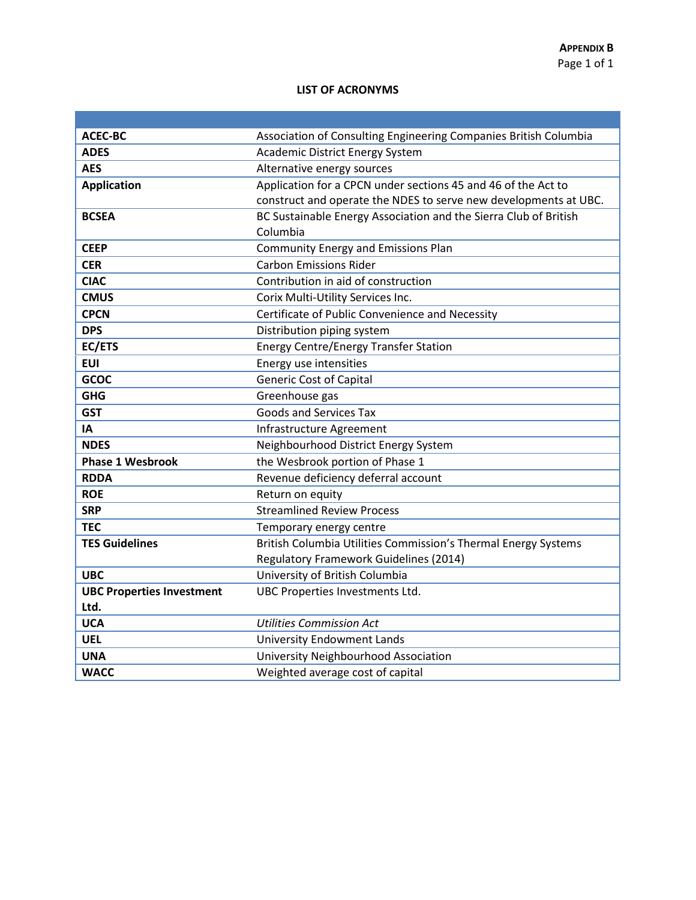#### **LIST OF ACRONYMS**

| <b>ACEC-BC</b>                   | Association of Consulting Engineering Companies British Columbia |
|----------------------------------|------------------------------------------------------------------|
| <b>ADES</b>                      | <b>Academic District Energy System</b>                           |
| <b>AES</b>                       | Alternative energy sources                                       |
| <b>Application</b>               | Application for a CPCN under sections 45 and 46 of the Act to    |
|                                  | construct and operate the NDES to serve new developments at UBC. |
| <b>BCSEA</b>                     | BC Sustainable Energy Association and the Sierra Club of British |
|                                  | Columbia                                                         |
| <b>CEEP</b>                      | <b>Community Energy and Emissions Plan</b>                       |
| <b>CER</b>                       | <b>Carbon Emissions Rider</b>                                    |
| <b>CIAC</b>                      | Contribution in aid of construction                              |
| <b>CMUS</b>                      | Corix Multi-Utility Services Inc.                                |
| <b>CPCN</b>                      | Certificate of Public Convenience and Necessity                  |
| <b>DPS</b>                       | Distribution piping system                                       |
| EC/ETS                           | <b>Energy Centre/Energy Transfer Station</b>                     |
| <b>EUI</b>                       | Energy use intensities                                           |
| GCOC                             | <b>Generic Cost of Capital</b>                                   |
| <b>GHG</b>                       | Greenhouse gas                                                   |
| <b>GST</b>                       | <b>Goods and Services Tax</b>                                    |
| ΙA                               | Infrastructure Agreement                                         |
| <b>NDES</b>                      | Neighbourhood District Energy System                             |
| <b>Phase 1 Wesbrook</b>          | the Wesbrook portion of Phase 1                                  |
| <b>RDDA</b>                      | Revenue deficiency deferral account                              |
| <b>ROE</b>                       | Return on equity                                                 |
| <b>SRP</b>                       | <b>Streamlined Review Process</b>                                |
| <b>TEC</b>                       | Temporary energy centre                                          |
| <b>TES Guidelines</b>            | British Columbia Utilities Commission's Thermal Energy Systems   |
|                                  | <b>Regulatory Framework Guidelines (2014)</b>                    |
| <b>UBC</b>                       | University of British Columbia                                   |
| <b>UBC Properties Investment</b> | UBC Properties Investments Ltd.                                  |
| Ltd.                             |                                                                  |
| <b>UCA</b>                       | <b>Utilities Commission Act</b>                                  |
| <b>UEL</b>                       | <b>University Endowment Lands</b>                                |
| <b>UNA</b>                       | University Neighbourhood Association                             |
| <b>WACC</b>                      | Weighted average cost of capital                                 |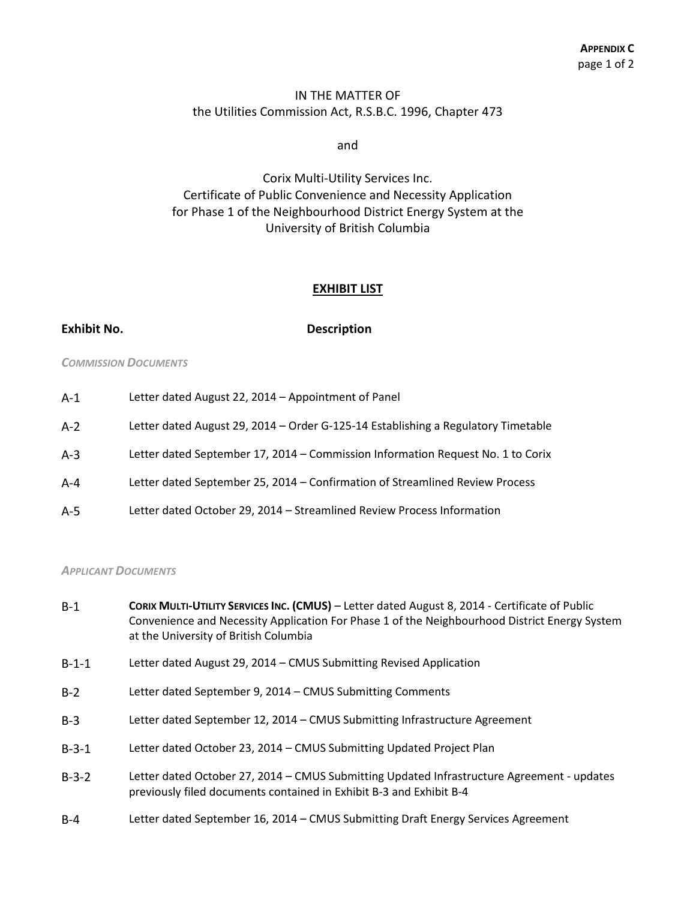# IN THE MATTER OF the Utilities Commission Act, R.S.B.C. 1996, Chapter 473

and

Corix Multi-Utility Services Inc. Certificate of Public Convenience and Necessity Application for Phase 1 of the Neighbourhood District Energy System at the University of British Columbia

#### **EXHIBIT LIST**

**Exhibit No. Description**

#### *COMMISSION DOCUMENTS*

| $A-1$   | Letter dated August 22, 2014 – Appointment of Panel                               |
|---------|-----------------------------------------------------------------------------------|
| $A-2$   | Letter dated August 29, 2014 – Order G-125-14 Establishing a Regulatory Timetable |
| $A-3$   | Letter dated September 17, 2014 – Commission Information Request No. 1 to Corix   |
| $A - 4$ | Letter dated September 25, 2014 - Confirmation of Streamlined Review Process      |
| $A-5$   | Letter dated October 29, 2014 - Streamlined Review Process Information            |

#### *APPLICANT DOCUMENTS*

| $B-1$ | CORIX MULTI-UTILITY SERVICES INC. (CMUS) - Letter dated August 8, 2014 - Certificate of Public |
|-------|------------------------------------------------------------------------------------------------|
|       | Convenience and Necessity Application For Phase 1 of the Neighbourhood District Energy System  |
|       | at the University of British Columbia                                                          |

- B-1-1 Letter dated August 29, 2014 CMUS Submitting Revised Application
- B-2 Letter dated September 9, 2014 CMUS Submitting Comments
- B-3 Letter dated September 12, 2014 CMUS Submitting Infrastructure Agreement
- B-3-1 Letter dated October 23, 2014 CMUS Submitting Updated Project Plan
- B-3-2 Letter dated October 27, 2014 CMUS Submitting Updated Infrastructure Agreement updates previously filed documents contained in Exhibit B-3 and Exhibit B-4
- B-4 Letter dated September 16, 2014 CMUS Submitting Draft Energy Services Agreement